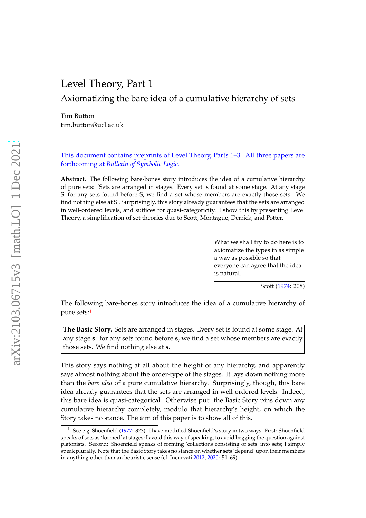# <span id="page-0-1"></span>Level Theory, Part 1

Axiomatizing the bare idea of a cumulative hierarchy of sets

Tim Button tim.button@ucl.ac.uk

This document contains preprints of Level Theory, Parts 1–3. All three papers are forthcoming at *Bulletin of Symbolic Logic*.

**Abstract.** The following bare-bones story introduces the idea of a cumulative hierarchy of pure sets: 'Sets are arranged in stages. Every set is found at some stage. At any stage S: for any sets found before S, we find a set whose members are exactly those sets. We find nothing else at S'. Surprisingly, this story already guarantees that the sets are arranged in well-ordered levels, and suffices for quasi-categoricity. I show this by presenting Level Theory, a simplification of set theories due to Scott, Montague, Derrick, and Potter.

> What we shall try to do here is to axiomatize the types in as simple a way as possible so that everyone can agree that the idea is natural.

> > Scott [\(1974](#page-73-0): 208)

The following bare-bones story introduces the idea of a cumulative hierarchy of pure sets:[1](#page-0-0)

**The Basic Story.** Sets are arranged in stages. Every set is found at some stage. At any stage **s**: for any sets found before **s**, we find a set whose members are exactly those sets. We find nothing else at **s**.

This story says nothing at all about the height of any hierarchy, and apparently says almost nothing about the order-type of the stages. It lays down nothing more than the *bare idea* of a pure cumulative hierarchy. Surprisingly, though, this bare idea already guarantees that the sets are arranged in well-ordered levels. Indeed, this bare idea is quasi-categorical. Otherwise put: the Basic Story pins down any cumulative hierarchy completely, modulo that hierarchy's height, on which the Story takes no stance. The aim of this paper is to show all of this.

<span id="page-0-0"></span><sup>&</sup>lt;sup>1</sup> See e.g. Shoenfield [\(1977:](#page-73-1) 323). I have modified Shoenfield's story in two ways. First: Shoenfield speaks of sets as 'formed' at stages; I avoid this way of speaking, to avoid begging the question against platonists. Second: Shoenfield speaks of forming 'collections consisting of sets' into sets; I simply speak plurally. Note that the Basic Story takes no stance on whether sets 'depend' upon their members in anything other than an heuristic sense (cf. Incurvati [2012,](#page-72-0) [2020](#page-72-1): 51–69).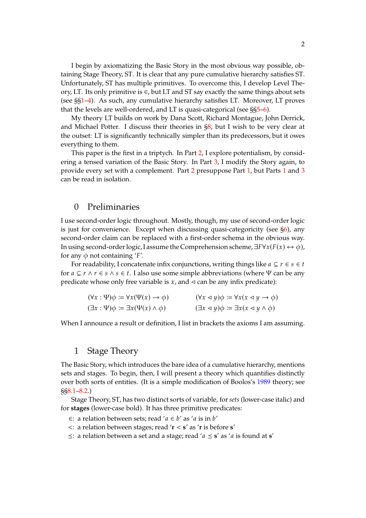I begin by axiomatizing the Basic Story in the most obvious way possible, obtaining Stage Theory, ST. It is clear that any pure cumulative hierarchy satisfies ST. Unfortunately, ST has multiple primitives. To overcome this, I develop Level Theory, LT. Its only primitive is  $\in$ , but LT and ST say exactly the same things about sets (see §[§1](#page-1-0)[–4\)](#page-6-0). As such, any cumulative hierarchy satisfies LT. Moreover, LT proves that the levels are well-ordered, and LT is quasi-categorical (see §[§5](#page-8-0)[–6\)](#page-9-0).

My theory LT builds on work by Dana Scott, Richard Montague, John Derrick, and Michael Potter. I discuss their theories in [§8,](#page-12-0) but I wish to be very clear at the outset: LT is significantly technically simpler than its predecessors, but it owes everything to them.

This paper is the first in a triptych. In Part [2,](#page-23-0) I explore potentialism, by considering a tensed variation of the Basic Story. In Part [3,](#page-46-0) I modify the Story again, to provide every set with a complement. Part [2](#page-23-0) presuppose Part [1,](#page-0-1) but Parts [1](#page-0-1) and [3](#page-46-0) can be read in isolation.

### <span id="page-1-1"></span>0 Preliminaries

I use second-order logic throughout. Mostly, though, my use of second-order logic is just for convenience. Except when discussing quasi-categoricity (see [§6\)](#page-9-0), any second-order claim can be replaced with a first-order schema in the obvious way. In using second-order logic, I assume the Comprehension scheme,  $\exists F \forall x (F(x) \leftrightarrow \phi)$ , for any  $\phi$  not containing 'F'.

For readability, I concatenate infix conjunctions, writing things like  $a \subseteq r \in s \in t$ for  $a \subseteq r \land r \in s \land s \in t$ . I also use some simple abbreviations (where  $\Psi$  can be any predicate whose only free variable is  $x$ , and  $\triangleleft$  can be any infix predicate):

| $(\forall x : \Psi)\phi \coloneqq \forall x(\Psi(x) \rightarrow \phi)$ | $(\forall x \triangleleft y)\phi \coloneqq \forall x(x \triangleleft y \rightarrow \phi)$ |
|------------------------------------------------------------------------|-------------------------------------------------------------------------------------------|
| $(\exists x : \Psi)\phi \coloneqq \exists x(\Psi(x) \land \phi)$       | $(\exists x \triangleleft y)\phi \coloneqq \exists x(x \triangleleft y \wedge \phi)$      |

When I announce a result or definition, I list in brackets the axioms I am assuming.

### <span id="page-1-0"></span>1 Stage Theory

The Basic Story, which introduces the bare idea of a cumulative hierarchy, mentions sets and stages. To begin, then, I will present a theory which quantifies distinctly over both sorts of entities. (It is a simple modification of Boolos's [1989](#page-72-2) theory; see §[§8.1](#page-12-1)[–8.2.](#page-13-0))

Stage Theory, ST, has two distinct sorts of variable, for *sets* (lower-case italic) and for **stages** (lower-case bold). It has three primitive predicates:

∈: a relation between sets; read ' $a \in b'$  as 'a is in  $b'$ 

<: a relation between stages; read '**r** < **s**' as '**r** is before **s**'

 $\leq$ : a relation between a set and a stage; read ' $a \leq s'$  as 'a is found at **s**'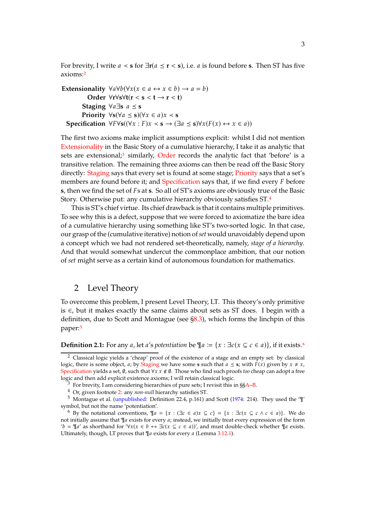For brevity, I write  $a \leq s$  for  $\exists r(a \leq r \leq s)$ , i.e. a is found before s. Then ST has five axioms:[2](#page-2-0)

```
Extensionality \forall a \forall b (\forall x (x \in a \leftrightarrow x \in b) \rightarrow a = b)Order ∀r∀s∀t(r < s < t → r < t)
            Staging \forall a \exists s \ a \leq sPriority \foralls(\foralla \le s)(\forallx \in a)x \le s
   Specification \forall F \forall s((\forall x : F)x \prec s \rightarrow (\exists a \leq s) \forall x (F(x) \leftrightarrow x \in a))
```
The first two axioms make implicit assumptions explicit: whilst I did not mention [Extensionality](#page-1-0) in the Basic Story of a cumulative hierarchy, I take it as analytic that sets are extensional;<sup>[3](#page-2-1)</sup> similarly, [Order](#page-1-0) records the analytic fact that 'before' is a transitive relation. The remaining three axioms can then be read off the Basic Story directly: [Staging](#page-1-0) says that every set is found at some stage; [Priority](#page-1-0) says that a set's members are found before it; and [Specification](#page-1-0) says that, if we find every  $F$  before **s**, then we find the set of Fs at **s**. So all of ST's axioms are obviously true of the Basic Story. Otherwise put: any cumulative hierarchy obviously satisfies ST.[4](#page-2-2)

This is ST's chief virtue. Its chief drawback is that it contains multiple primitives. To see why this is a defect, suppose that we were forced to axiomatize the bare idea of a cumulative hierarchy using something like ST's two-sorted logic. In that case, our grasp of the (cumulative iterative) notion of*set* would unavoidably depend upon a concept which we had not rendered set-theoretically, namely, *stage of a hierarchy*. And that would somewhat undercut the commonplace ambition, that our notion of *set* might serve as a certain kind of autonomous foundation for mathematics.

### <span id="page-2-6"></span>2 Level Theory

To overcome this problem, I present Level Theory, LT. This theory's only primitive is  $∈$ , but it makes exactly the same claims about sets as ST does. I begin with a definition, due to Scott and Montague (see [§8.3\)](#page-14-0), which forms the linchpin of this paper:[5](#page-2-3)

<span id="page-2-5"></span>**Definition 2.1:** For any *a*, let *a's potentiation* be  $\P$ *a* := { $x : \exists c(x \subseteq c \in a)$ }, if it exists.<sup>[6](#page-2-4)</sup>

<span id="page-2-0"></span><sup>2</sup> Classical logic yields a 'cheap' proof of the existence of a stage and an empty set: by classical logic, there is some object, *a*; by [Staging](#page-1-0) we have some **s** such that  $a \leq s$ ; with  $F(x)$  given by  $x \neq x$ , [Specification](#page-1-0) yields a set, Ø, such that ∀*x*  $x \notin \emptyset$ . Those who find such proofs *too* cheap can adopt a free logic and then add explicit existence axioms; I will retain classical logic.

<sup>3</sup> For brevity, I am considering hierarchies of pure sets; I revisit this in §[§A](#page-17-0)[–B.](#page-18-0)

<span id="page-2-2"></span><span id="page-2-1"></span><sup>4</sup> Or, given footnote [2:](#page-2-0) any *non-null* hierarchy satisfies ST.

<span id="page-2-3"></span><sup>5</sup> Montague et al. [\(unpublished](#page-73-2): Definition 22.4, p.161) and Scott [\(1974](#page-73-0): 214). They used the '¶' symbol, but not the name 'potentiation'.

<span id="page-2-4"></span><sup>6</sup> By the notational conventions,  $\P_a = \{x : (\exists c \in a) x \subseteq c\} = \{x : \exists c(x \subseteq c \land c \in a)\}.$  We do not initially assume that  $\P_a$  exists for every  $a$ ; instead, we initially treat every expression of the form ' $b = \frac{q}{a}$ ' as shorthand for '∀ $x(x \in b \leftrightarrow \exists c(x \subseteq c \in a)$ '', and must double-check whether  $\frac{q}{a}$  exists. Ultimately, though, LT proves that  $\P$ a exists for every a (Lemma [3.12.](#page-5-0)[1\)](#page-5-1).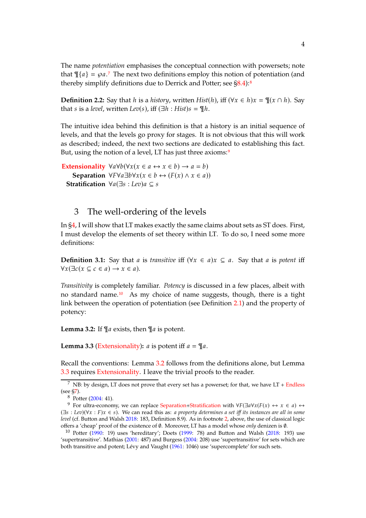The name *potentiation* emphasises the conceptual connection with powersets; note that  $\P{a} = \varphi a$ .<sup>[7](#page-3-0)</sup> The next two definitions employ this notion of potentiation (and thereby simplify definitions due to Derrick and Potter; see  $\S 8.4$  $\S 8.4$  $\S 8.4$ ):<sup>8</sup>

<span id="page-3-6"></span>**Definition 2.2:** Say that *h* is a *history*, written *Hist*(*h*), iff ( $\forall x \in h$ ) $x = \mathcal{F}(x \cap h)$ . Say that *s* is a *level*, written *Lev*(*s*), iff  $(\exists h : Hist)s = \mathcal{I}h$ .

The intuitive idea behind this definition is that a history is an initial sequence of levels, and that the levels go proxy for stages. It is not obvious that this will work as described; indeed, the next two sections are dedicated to establishing this fact. But, using the notion of a level, LT has just three axioms:<sup>[9](#page-3-2)</sup>

**[Extensionality](#page-1-0)**  $\forall a \forall b (\forall x (x \in a \leftrightarrow x \in b) \rightarrow a = b)$ **Separation**  $\forall F \forall a \exists b \forall x (x \in b \leftrightarrow (F(x) \land x \in a))$ **Stratification**  $\forall a(\exists s : Lev)a \subseteq s$ 

### <span id="page-3-7"></span>3 The well-ordering of the levels

In [§4,](#page-6-0) I will show that LT makes exactly the same claims about sets as ST does. First, I must develop the elements of set theory within LT. To do so, I need some more definitions:

**Definition 3.1:** Say that *a* is *transitive* iff  $(\forall x \in a) x \subseteq a$ . Say that *a* is *potent* iff  $\forall x(\exists c(x \subseteq c \in a) \rightarrow x \in a).$ 

*Transitivity* is completely familiar. *Potency* is discussed in a few places, albeit with no standard name.[10](#page-3-3) As my choice of name suggests, though, there is a tight link between the operation of potentiation (see Definition [2.1\)](#page-2-5) and the property of potency:

<span id="page-3-4"></span>**Lemma 3.2:** If  $\P a$  exists, then  $\P a$  is potent.

<span id="page-3-5"></span>**Lemma 3.3** [\(Extensionality\)](#page-1-0):  $a$  is potent iff  $a = \mathcal{A}a$ .

Recall the conventions: Lemma [3.2](#page-3-4) follows from the definitions alone, but Lemma [3.3](#page-3-5) requires [Extensionality.](#page-1-0) I leave the trivial proofs to the reader.

 $\overline{7}$  NB: by design, LT does not prove that every set has a powerset; for that, we have LT + [Endless](#page-11-0) (see [§7\)](#page-11-0).

<span id="page-3-1"></span><span id="page-3-0"></span><sup>8</sup> Potter [\(2004](#page-73-3): 41).

<span id="page-3-2"></span><sup>&</sup>lt;sup>9</sup> For ultra-economy, we can replace [Separation+Stratification](#page-3-6) with  $\forall F(\exists a \forall x (F(x) \leftrightarrow x \in a) \leftrightarrow$  $(\exists s : Lev)(\forall x : F)x \in s)$ . We can read this as: *a property determines a set iff its instances are all in some level* (cf. Button and Walsh [2018](#page-72-3): 183, Definition 8.9). As in footnote [2,](#page-2-0) above, the use of classical logic offers a 'cheap' proof of the existence of ∅. Moreover, LT has a model whose *only* denizen is ∅.

<span id="page-3-3"></span><sup>&</sup>lt;sup>10</sup> Potter [\(1990](#page-73-4): 19) uses 'hereditary'; Doets [\(1999](#page-72-4): 78) and Button and Walsh [\(2018](#page-72-3): 193) use 'supertransitive'. Mathias [\(2001](#page-72-5): 487) and Burgess [\(2004](#page-72-6): 208) use 'supertransitive' for sets which are both transitive and potent; Lévy and Vaught [\(1961:](#page-72-7) 1046) use 'supercomplete' for such sets.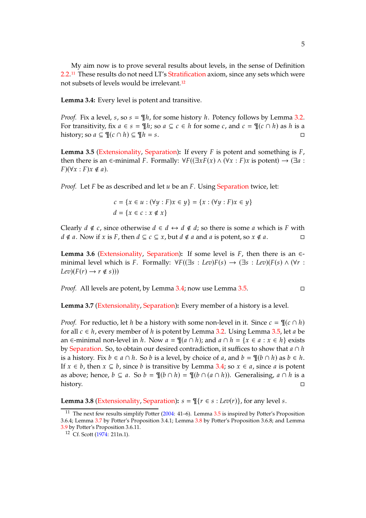My aim now is to prove several results about levels, in the sense of Definition [2.2.](#page-3-6)[11](#page-4-0) These results do not need LT's [Stratification](#page-3-6) axiom, since any sets which were not subsets of levels would be irrelevant.[12](#page-4-1)

<span id="page-4-2"></span>**Lemma 3.4:** Every level is potent and transitive.

*Proof.* Fix a level,  $s$ , so  $s = \mathbb{I}/h$ , for some history  $h$ . Potency follows by Lemma [3.2.](#page-3-4) For transitivity, fix  $a \in s = \mathcal{F}/n$ ; so  $a \subseteq c \in h$  for some c, and  $c = \mathcal{F}/(c \cap h)$  as h is a history; so  $a \subseteq \mathcal{L}(c \cap h) \subseteq \mathcal{L}h = s$ .

<span id="page-4-3"></span>**Lemma 3.5** [\(Extensionality,](#page-1-0) [Separation\)](#page-3-6): If every  $F$  is potent and something is  $F$ , then there is an ∈-minimal F. Formally:  $\forall F((\exists x F(x) \land (\forall x : F)x \text{ is potent}) \rightarrow (\exists a :$  $F)(\forall x : F)x \notin a$ ).

*Proof.* Let  $F$  be as described and let  $u$  be an  $F$ . Using [Separation](#page-3-6) twice, let:

$$
c = \{x \in u : (\forall y : F)x \in y\} = \{x : (\forall y : F)x \in y\}
$$
  

$$
d = \{x \in c : x \notin x\}
$$

Clearly  $d \notin c$ , since otherwise  $d \in d \leftrightarrow d \notin d$ ; so there is some a which is F with  $d \notin a$ . Now if  $x$  is  $F$ , then  $d \subseteq c \subseteq x$ , but  $d \notin a$  and  $a$  is potent, so  $x \notin a$ .

<span id="page-4-6"></span>**Lemma 3.6** [\(Extensionality,](#page-1-0) [Separation\)](#page-3-6): If some level is  $F$ , then there is an  $\in$ minimal level which is F. Formally:  $\forall F((\exists s : \text{Lev})F(s) \rightarrow (\exists s : \text{Lev})(F(s) \land (\forall r : \text{MeV}))$  $Lev(F(r) \rightarrow r \notin s))$ 

*Proof.* All levels are potent, by Lemma [3.4;](#page-4-2) now use Lemma [3.5.](#page-4-3)

<span id="page-4-4"></span>**Lemma 3.7** [\(Extensionality,](#page-1-0) [Separation\)](#page-3-6)**:** Every member of a history is a level.

*Proof.* For reductio, let h be a history with some non-level in it. Since  $c = \mathcal{P}(c \cap h)$ for all  $c \in h$ , every member of h is potent by Lemma [3.2.](#page-3-4) Using Lemma [3.5,](#page-4-3) let a be an  $\in$ -minimal non-level in h. Now  $a = \mathcal{P}(a \cap h)$ ; and  $a \cap h = \{x \in a : x \in h\}$  exists by [Separation.](#page-3-6) So, to obtain our desired contradiction, it suffices to show that  $a \cap h$ is a history. Fix  $b \in a \cap h$ . So  $b$  is a level, by choice of  $a$ , and  $b = \mathcal{P}(b \cap h)$  as  $b \in h$ . If  $x \in b$ , then  $x \subseteq b$ , since b is transitive by Lemma [3.4;](#page-4-2) so  $x \in a$ , since a is potent as above; hence,  $b \subseteq a$ . So  $b = \mathcal{P}(b \cap h) = \mathcal{P}(b \cap (a \cap h))$ . Generalising,  $a \cap h$  is a history.

<span id="page-4-5"></span>**Lemma 3.8** [\(Extensionality,](#page-1-0) [Separation\)](#page-3-6):  $s = \frac{m}{r} \in s : Lev(r)$ , for any level s.

<span id="page-4-0"></span><sup>&</sup>lt;sup>11</sup> The next few results simplify Potter  $(2004: 41-6)$ . Lemma  $3.5$  is inspired by Potter's Proposition 3.6.4; Lemma [3.7](#page-4-4) by Potter's Proposition 3.4.1; Lemma [3.8](#page-4-5) by Potter's Proposition 3.6.8; and Lemma [3.9](#page-5-2) by Potter's Proposition 3.6.11.

<span id="page-4-1"></span><sup>12</sup> Cf. Scott [\(1974:](#page-73-0) 211n.1).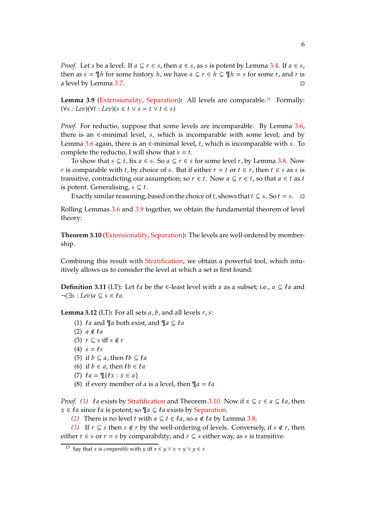*Proof.* Let s be a level. If  $a \subseteq r \in s$ , then  $a \in s$ , as s is potent by Lemma [3.4.](#page-4-2) If  $a \in s$ , then as  $s = \mathcal{I}$ h for some history  $h$ , we have  $a \subseteq r \in h \subseteq \mathcal{I}$  = s for some  $r$ , and  $r$  is a level by Lemma [3.7.](#page-4-4)

<span id="page-5-2"></span>**Lemma 3.9** [\(Extensionality,](#page-1-0) [Separation\)](#page-3-6)**:** All levels are comparable.[13](#page-5-3) Formally:  $(\forall s : \text{Lev})(\forall t : \text{Lev})(s \in t \lor s = t \lor t \in s)$ 

*Proof.* For reductio, suppose that some levels are incomparable. By Lemma [3.6,](#page-4-6) there is an  $\epsilon$ -minimal level, s, which is incomparable with some level; and by Lemma [3.6](#page-4-6) again, there is an  $\epsilon$ -minimal level, t, which is incomparable with s. To complete the reductio, I will show that  $s = t$ .

To show that  $s \subseteq t$ , fix  $a \in s$ . So  $a \subseteq r \in s$  for some level  $r$ , by Lemma [3.8.](#page-4-5) Now r is comparable with t, by choice of s. But if either  $r = t$  or  $t \in r$ , then  $t \in s$  as s is transitive, contradicting our assumption; so  $r \in t$ . Now  $a \subseteq r \in t$ , so that  $a \in t$  as  $t$ is potent. Generalising,  $s \subseteq t$ .

Exactly similar reasoning, based on the choice of t, shows that  $t \subseteq s$ . So  $t = s$ .  $\Box$ 

Rolling Lemmas [3.6](#page-4-6) and [3.9](#page-5-2) together, we obtain the fundamental theorem of level theory:

<span id="page-5-4"></span>**Theorem 3.10** [\(Extensionality,](#page-1-0) [Separation\)](#page-3-6)**:** The levels are well-ordered by membership.

Combining this result with [Stratification,](#page-3-6) we obtain a powerful tool, which intuitively allows us to consider the level at which a set is first found:

<span id="page-5-12"></span>**Definition 3.11** (LT): Let  $\ell a$  be the  $\epsilon$ -least level with  $a$  as a subset; i.e.,  $a \subseteq \ell a$  and  $\neg(\exists s : Lev)a \subseteq s \in \ell a$ .

<span id="page-5-5"></span><span id="page-5-1"></span><span id="page-5-0"></span>**Lemma 3.12** (LT): For all sets  $a$ ,  $b$ , and all levels  $r$ ,  $s$ :

- (1)  $\ell a$  and  $\P a$  both exist, and  $\P a \subseteq \ell a$
- <span id="page-5-6"></span>(2)  $a \notin \ell a$
- <span id="page-5-7"></span>(3)  $r \subseteq s$  iff  $s \notin r$
- <span id="page-5-8"></span>(4)  $s = \ell s$
- <span id="page-5-9"></span>(5) if  $b \subseteq a$ , then  $\ell b \subseteq \ell a$
- <span id="page-5-10"></span>(6) if  $b \in a$ , then  $\ell b \in \ell a$
- <span id="page-5-11"></span>(7)  $l a = \mathbb{I} \{ l x : x \in a \}$
- (8) if every member of *a* is a level, then  $\P a = \ell a$

*Proof.* [\(1\)](#page-5-1)  $\ell a$  exists by [Stratification](#page-3-6) and Theorem [3.10.](#page-5-4) Now if  $x \subseteq c \in a \subseteq \ell a$ , then  $x \in \ell a$  since  $\ell a$  is potent; so  $\P a \subseteq \ell a$  exists by [Separation.](#page-3-6)

*[\(2\)](#page-5-5)* There is no level *t* with  $a \subseteq t \in \ell a$ , so  $a \notin \ell a$  by Lemma [3.8.](#page-4-5)

*[\(3\)](#page-5-6)* If  $r \subseteq s$  then  $s \notin r$  by the well-ordering of levels. Conversely, if  $s \notin r$ , then either  $r \in s$  or  $r = s$  by comparability; and  $r \subseteq s$  either way, as s is transitive.

<span id="page-5-3"></span><sup>&</sup>lt;sup>13</sup> Say that *x* is *comparable* with *y* iff  $x \in y \lor x = y \lor y \in x$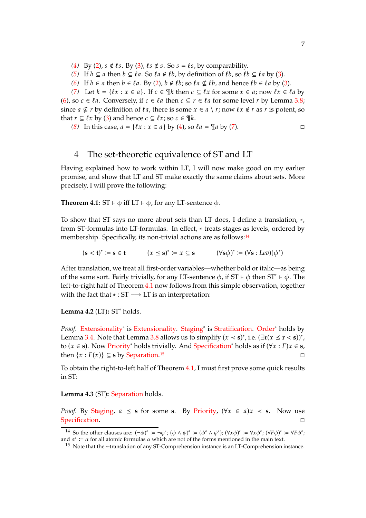- [\(4\)](#page-5-7) By [\(2\)](#page-5-5),  $s \notin \ell s$ . By [\(3\)](#page-5-6),  $\ell s \notin s$ . So  $s = \ell s$ , by comparability.
- *[\(5\)](#page-5-8)* If  $b \subseteq a$  then  $b \subseteq \ell a$ . So  $\ell a \notin \ell b$ , by definition of  $\ell b$ , so  $\ell b \subseteq \ell a$  by [\(3\)](#page-5-6).
- *[\(6\)](#page-5-9)* If  $b \in a$  then  $b \in \ell a$ . By [\(2\)](#page-5-5),  $b \notin \ell b$ ; so  $\ell a \nsubseteq \ell b$ , and hence  $\ell b \in \ell a$  by [\(3\)](#page-5-6).

[\(7\)](#page-5-10) Let  $k = \{ \ell x : x \in a \}$ . If  $c \in \mathcal{R}$  then  $c \subseteq \ell x$  for some  $x \in a$ ; now  $\ell x \in \ell a$  by [\(6\)](#page-5-9), so  $c \in \ell a$ . Conversely, if  $c \in \ell a$  then  $c \subseteq r \in \ell a$  for some level r by Lemma [3.8;](#page-4-5) since  $a \nsubseteq r$  by definition of  $\ell a$ , there is some  $x \in a \setminus r$ ; now  $\ell x \notin r$  as  $r$  is potent, so that  $r \subseteq \ell x$  by [\(3\)](#page-5-6) and hence  $c \subseteq \ell x$ ; so  $c \in \mathcal{F}$ .

[\(8\)](#page-5-11) In this case,  $a = \{ \ell x : x \in a \}$  by [\(4\)](#page-5-7), so  $\ell a = \mathcal{T} a$  by [\(7\)](#page-5-10).

# <span id="page-6-0"></span>4 The set-theoretic equivalence of ST and LT

Having explained how to work within LT, I will now make good on my earlier promise, and show that LT and ST make exactly the same claims about sets. More precisely, I will prove the following:

<span id="page-6-2"></span>**Theorem 4.1:** ST  $\vdash$   $\phi$  iff LT  $\vdash$   $\phi$ , for any LT-sentence  $\phi$ .

To show that ST says no more about sets than LT does, I define a translation, ∗, from ST-formulas into LT-formulas. In effect,  $*$  treats stages as levels, ordered by membership. Specifically, its non-trivial actions are as follows:[14](#page-6-1)

 $(\mathbf{s} < \mathbf{t})^* \coloneqq \mathbf{s} \in \mathbf{t}$   $(x \leq \mathbf{s})$ <sup>\*</sup> :=  $x \subseteq$  **s**  $(\forall$ **s** $\phi)$ <sup>\*</sup> :=  $(\forall$ **s** : *Lev*)( $\phi$ <sup>\*</sup>)

After translation, we treat all first-order variables—whether bold or italic—as being of the same sort. Fairly trivially, for any LT-sentence  $\phi$ , if ST  $\vdash \phi$  then ST<sup>\*</sup>  $\vdash \phi$ . The left-to-right half of Theorem [4.1](#page-6-2) now follows from this simple observation, together with the fact that  $* : ST \longrightarrow LT$  is an interpretation:

<span id="page-6-5"></span>**Lemma 4.2** (LT)**:** ST<sup>∗</sup> holds.

Proof. [Extensionality](#page-1-0)<sup>\*</sup> is [Extensionality.](#page-1-0) [Staging](#page-1-0)<sup>\*</sup> is [Stratification.](#page-3-6) [Order](#page-1-0)<sup>\*</sup> holds by Lemma [3.4.](#page-4-2) Note that Lemma [3.8](#page-4-5) allows us to simplify  $(x < s)^*$ , i.e.  $(\exists r(x \le r < s))^*$ , to (𝑥 ∈ **s**). Now [Priority](#page-1-0)<sup>∗</sup> holds trivially. And [Specification](#page-1-0)<sup>∗</sup> holds as if (∀𝑥 : 𝐹)𝑥 ∈ **s**, then  $\{x : F(x)\} \subseteq$  **s** by [Separation.](#page-3-6)<sup>[15](#page-6-3)</sup>

To obtain the right-to-left half of Theorem [4.1,](#page-6-2) I must first prove some quick results in ST:

<span id="page-6-4"></span>**Lemma 4.3** (ST)**:** [Separation](#page-3-6) holds.

*Proof.* By [Staging,](#page-1-0)  $a \leq s$  for some **s**. By [Priority,](#page-1-0)  $(\forall x \in a) x \leq s$ . Now use [Specification.](#page-1-0)

<sup>&</sup>lt;sup>14</sup> So the other clauses are:  $(\neg \phi)^* \coloneqq \neg \phi^*$ ;  $(\phi \land \psi)^* \coloneqq (\phi^* \land \psi^*)$ ;  $(\forall x \phi)^* \coloneqq \forall x \phi^*$ ;  $(\forall F \phi)^* \coloneqq \forall F \phi^*$ ; and  $\alpha^* := \alpha$  for all atomic formulas  $\alpha$  which are not of the forms mentioned in the main text.

<span id="page-6-3"></span><span id="page-6-1"></span><sup>15</sup> Note that the ∗-translation of any ST-Comprehension instance is an LT-Comprehension instance.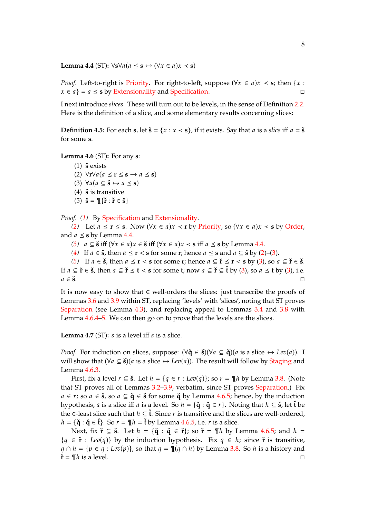<span id="page-7-2"></span>**Lemma 4.4** (ST):  $\forall$ **s** $\forall$ *a*( $a \leq$ **s** ↔ ( $\forall$ *x* ∈  $a$ )*x* < **s**)

*Proof.* Left-to-right is [Priority.](#page-1-0) For right-to-left, suppose ( $\forall x \in a$ ) $x < s$ ; then {x :  $x \in a$ } =  $a \leq s$  by [Extensionality](#page-1-0) and [Specification.](#page-1-0)

I next introduce *slices*. These will turn out to be levels, in the sense of Definition [2.2.](#page-3-6) Here is the definition of a slice, and some elementary results concerning slices:

<span id="page-7-8"></span>**Definition 4.5:** For each **s**, let  $\check{\mathbf{s}} = \{x : x \leq \mathbf{s}\}$ , if it exists. Say that *a* is a *slice* iff  $a = \check{\mathbf{s}}$ for some **s**.

<span id="page-7-6"></span><span id="page-7-1"></span><span id="page-7-0"></span>**Lemma 4.6** (ST)**:** For any **s**:

<span id="page-7-4"></span><span id="page-7-3"></span> $(1)$  **š** exists (2)  $\forall$ **r** $\forall$ *a*( $a \leq$ **r** $\leq$ **s** $\rightarrow$ *a* $\leq$ **s**) (3)  $\forall a (a \subseteq \check{\mathbf{s}} \leftrightarrow a \leq \mathbf{s})$  $(4)$   $\check{\mathbf{s}}$  is transitive  $(5)$   $\check{\mathbf{s}} = \mathbb{I}\{\check{\mathbf{r}} : \check{\mathbf{r}} \in \check{\mathbf{s}}\}$ 

<span id="page-7-5"></span>*Proof. [\(1\)](#page-7-0)* By [Specification](#page-1-0) and [Extensionality.](#page-1-0)

*[\(2\)](#page-7-1)* Let  $a \le r \le s$ . Now  $(\forall x \in a)x$  ≺ r by [Priority,](#page-1-0) so  $(\forall x \in a)x$  < s by [Order,](#page-1-0) and  $a \leq s$  by Lemma [4.4.](#page-7-2)

[\(3\)](#page-7-3)  $a \subseteq \mathbf{S}$  iff  $(\forall x \in a) x \in \mathbf{S}$  iff  $(\forall x \in a) x < \mathbf{s}$  iff  $a \leq \mathbf{s}$  by Lemma [4.4.](#page-7-2)

*[\(4\)](#page-7-4)* If  $a \in \mathbf{S}$ , then  $a \leq \mathbf{r} < \mathbf{s}$  for some **r**; hence  $a \leq \mathbf{s}$  and  $a \subseteq \mathbf{S}$  by [\(2\)](#page-7-1)–[\(3\)](#page-7-3).

*[\(5\)](#page-7-5)* If  $a \in \check{\mathbf{s}}$ , then  $a \leq \mathbf{r} < \mathbf{s}$  for some **r**; hence  $a \subseteq \check{\mathbf{r}} \leq \mathbf{r} < \mathbf{s}$  by [\(3\)](#page-7-3), so  $a \subseteq \check{\mathbf{r}} \in \check{\mathbf{s}}$ . If  $a \subseteq \check{r} \in \check{\mathbf{s}}$ , then  $a \subseteq \check{r} \leq \check{\mathbf{t}} < \mathbf{s}$  for some  $\mathbf{t}$ ; now  $a \subseteq \check{\mathbf{t}} \subseteq \check{\mathbf{t}}$  by [\(3\)](#page-7-3), so  $a \leq \mathbf{t}$  by (3), i.e.  $a \in \check{\mathbf{s}}$ .

It is now easy to show that ∈ well-orders the slices: just transcribe the proofs of Lemmas [3.6](#page-4-6) and [3.9](#page-5-2) within ST, replacing 'levels' with 'slices', noting that ST proves [Separation](#page-3-6) (see Lemma [4.3\)](#page-6-4), and replacing appeal to Lemmas [3.4](#page-4-2) and [3.8](#page-4-5) with Lemma [4.6.](#page-7-6)[4](#page-7-4)[–5.](#page-7-5) We can then go on to prove that the levels are the slices.

<span id="page-7-7"></span>**Lemma 4.7** (ST):  $s$  is a level iff  $s$  is a slice.

*Proof.* For induction on slices, suppose:  $(\forall \check{q} \in \check{s})(\forall a \subseteq \check{q})(a \text{ is a slice} \leftrightarrow \text{Lev}(a))$ . I will show that  $(\forall a \subseteq \check{\mathbf{s}})(a \text{ is a slice} \leftrightarrow \text{Lev}(a))$ . The result will follow by [Staging](#page-1-0) and Lemma [4.6.](#page-7-6)[3.](#page-7-3)

First, fix a level  $r \subseteq \check{\mathbf{s}}$ . Let  $h = \{q \in r : \text{Lev}(q)\}\;$  so  $r = \mathcal{I}h$  by Lemma [3.8.](#page-4-5) (Note that ST proves all of Lemmas [3.2–](#page-3-4)[3.9,](#page-5-2) verbatim, since ST proves [Separation.](#page-3-6)) Fix  $a \in r$ ; so  $a \in \mathbf{S}$ , so  $a \subseteq \mathbf{q} \in \mathbf{S}$  for some  $\mathbf{q}$  by Lemma [4.6.](#page-7-6)[5;](#page-7-5) hence, by the induction hypothesis, *a* is a slice iff *a* is a level. So  $h = {\{\check{\mathbf{q}} : \check{\mathbf{q}} \in r\}}$ . Noting that  $h \subseteq \check{\mathbf{s}}$ , let  $\check{\mathbf{t}}$  be the ∈-least slice such that  $h \subseteq \check{t}$ . Since r is transitive and the slices are well-ordered,  $h = {\mathbf{\check{q}} : \mathbf{\check{q}} \in \mathbf{\check{t}}}$ . So  $r = \mathbf{\mathcal{I}} h = \mathbf{\check{t}}$  by Lemma [4.6.](#page-7-6)[5,](#page-7-5) i.e. r is a slice.

Next, fix  $\check{\mathbf{r}} \subseteq \check{\mathbf{s}}$ . Let  $h = {\{\check{\mathbf{q}} : \check{\mathbf{q}} \in \check{\mathbf{r}}\}}$ ; so  $\check{\mathbf{r}} = \mathcal{F}[h]$  by Lemma [4.6.](#page-7-6)[5;](#page-7-5) and  $h =$  ${q \in \mathbf{r} : \text{Lev}(q)}$  by the induction hypothesis. Fix  $q \in h$ ; since **r**<sup>\*</sup> is transitive,  $q \cap h = \{p \in q : Lev(p)\}\$ , so that  $q = \mathcal{I}(q \cap h)$  by Lemma [3.8.](#page-4-5) So h is a history and  $\check{\mathbf{r}} = \mathcal{T}h$  is a level.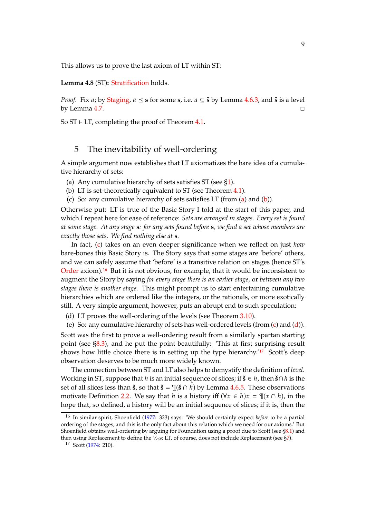This allows us to prove the last axiom of LT within ST:

**Lemma 4.8** (ST)**:** [Stratification](#page-3-6) holds.

*Proof.* Fix *a*; by [Staging,](#page-1-0)  $a \leq s$  for some s, i.e.  $a \subseteq \check{s}$  by Lemma [4.6](#page-7-6)[.3,](#page-7-3) and  $\check{s}$  is a level by Lemma [4.7.](#page-7-7)  $\Box$ 

<span id="page-8-0"></span>So  $ST$  ⊦ LT, completing the proof of Theorem [4.1.](#page-6-2)

### 5 The inevitability of well-ordering

A simple argument now establishes that LT axiomatizes the bare idea of a cumulative hierarchy of sets:

- <span id="page-8-2"></span><span id="page-8-1"></span>(a) Any cumulative hierarchy of sets satisfies  $ST$  (see  $$1$ ).
- <span id="page-8-3"></span>(b) LT is set-theoretically equivalent to ST (see Theorem [4.1\)](#page-6-2).
- (c) So: any cumulative hierarchy of sets satisfies LT (from  $(a)$  and  $(b)$ ).

Otherwise put: LT is true of the Basic Story I told at the start of this paper, and which I repeat here for ease of reference: *Sets are arranged in stages. Every set is found at some stage. At any stage* **s***: for any sets found before* **s***, we find a set whose members are exactly those sets. We find nothing else at* **s***.*

In fact, [\(c\)](#page-8-3) takes on an even deeper significance when we reflect on just *how* bare-bones this Basic Story is. The Story says that some stages are 'before' others, and we can safely assume that 'before' is a transitive relation on stages (hence ST's [Order](#page-1-0) axiom).[16](#page-8-4) But it is not obvious, for example, that it would be inconsistent to augment the Story by saying *for every stage there is an earlier stage*, or *between any two stages there is another stage*. This might prompt us to start entertaining cumulative hierarchies which are ordered like the integers, or the rationals, or more exotically still. A very simple argument, however, puts an abrupt end to such speculation:

<span id="page-8-5"></span>(d) LT proves the well-ordering of the levels (see Theorem [3.10\)](#page-5-4).

(e) So: any cumulative hierarchy of sets has well-ordered levels (from [\(c\)](#page-8-3) and [\(d\)](#page-8-5)). Scott was the first to prove a well-ordering result from a similarly spartan starting point (see [§8.3\)](#page-14-0), and he put the point beautifully: 'This at first surprising result shows how little choice there is in setting up the type hierarchy.' $17$  Scott's deep observation deserves to be much more widely known.

The connection between ST and LT also helps to demystify the definition of *level*. Working in ST, suppose that *h* is an initial sequence of slices; if **š** ∈ *h*, then **š**∩*h* is the set of all slices less than  $\check{\mathbf{s}}$ , so that  $\check{\mathbf{s}} = \P(\check{\mathbf{s}} \cap h)$  by Lemma [4.6](#page-7-6)[.5.](#page-7-5) These observations motivate Definition [2.2.](#page-3-6) We say that h is a history iff  $(\forall x \in h) x = \mathcal{P}(x \cap h)$ , in the hope that, so defined, a history will be an initial sequence of slices; if it is, then the

<span id="page-8-4"></span><sup>16</sup> In similar spirit, Shoenfield [\(1977](#page-73-1): 323) says: 'We should certainly expect *before* to be a partial ordering of the stages; and this is the only fact about this relation which we need for our axioms.' But Shoenfield obtains well-ordering by arguing for Foundation using a proof due to Scott (see [§8.1\)](#page-12-1) and then using Replacement to define the  $V_{\alpha}$ s; LT, of course, does not include Replacement (see [§7\)](#page-11-0).

<span id="page-8-6"></span><sup>17</sup> Scott [\(1974](#page-73-0): 210).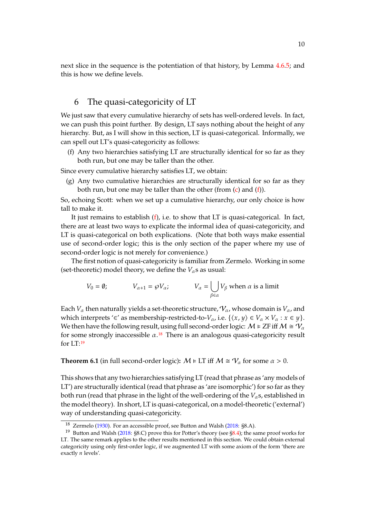next slice in the sequence is the potentiation of that history, by Lemma [4.6](#page-7-6)[.5;](#page-7-5) and this is how we define levels.

# <span id="page-9-0"></span>6 The quasi-categoricity of LT

We just saw that every cumulative hierarchy of sets has well-ordered levels. In fact, we can push this point further. By design, LT says nothing about the height of any hierarchy. But, as I will show in this section, LT is quasi-categorical. Informally, we can spell out LT's quasi-categoricity as follows:

<span id="page-9-1"></span>(f) Any two hierarchies satisfying LT are structurally identical for so far as they both run, but one may be taller than the other.

Since every cumulative hierarchy satisfies LT, we obtain:

(g) Any two cumulative hierarchies are structurally identical for so far as they both run, but one may be taller than the other (from  $(c)$  and  $(f)$ ).

So, echoing Scott: when we set up a cumulative hierarchy, our only choice is how tall to make it.

It just remains to establish [\(f\)](#page-9-1), i.e. to show that LT is quasi-categorical. In fact, there are at least two ways to explicate the informal idea of quasi-categoricity, and LT is quasi-categorical on both explications. (Note that both ways make essential use of second-order logic; this is the only section of the paper where my use of second-order logic is not merely for convenience.)

The first notion of quasi-categoricity is familiar from Zermelo. Working in some (set-theoretic) model theory, we define the  $V_\alpha$ s as usual:

$$
V_0 = \emptyset; \t V_{\alpha+1} = \wp V_{\alpha}; \t V_{\alpha} = \bigcup_{\beta \in \alpha} V_{\beta} \text{ when } \alpha \text{ is a limit}
$$

Each  $V_\alpha$  then naturally yields a set-theoretic structure,  $V_\alpha$ , whose domain is  $V_\alpha$ , and which interprets '∈' as membership-restricted-to- $V_\alpha$ , i.e.  $\{\langle x, y \rangle \in V_\alpha \times V_\alpha : x \in y\}$ . We then have the following result, using full second-order logic:  $M \models ZF$  iff  $M \cong \mathcal{V}_{\alpha}$ for some strongly inaccessible  $\alpha$ .<sup>[18](#page-9-2)</sup> There is an analogous quasi-categoricity result for LT:[19](#page-9-3)

<span id="page-9-4"></span>**Theorem 6.1** (in full second-order logic):  $M \models LT$  iff  $M \cong \mathcal{V}_{\alpha}$  for some  $\alpha > 0$ .

This shows that any two hierarchies satisfying LT (read that phrase as 'any models of LT') are structurally identical (read that phrase as 'are isomorphic') for so far as they both run (read that phrase in the light of the well-ordering of the  $V_{\alpha}$ s, established in the model theory). In short, LT is quasi-categorical, on a model-theoretic ('external') way of understanding quasi-categoricity.

<sup>&</sup>lt;sup>18</sup> Zermelo [\(1930](#page-74-0)). For an accessible proof, see Button and Walsh [\(2018](#page-72-3): §8.A).

<span id="page-9-3"></span><span id="page-9-2"></span><sup>&</sup>lt;sup>19</sup> Button and Walsh [\(2018](#page-72-3): §8.C) prove this for Potter's theory (see [§8.4\)](#page-16-0); the same proof works for LT. The same remark applies to the other results mentioned in this section. We could obtain external categoricity using only first-order logic, if we augmented LT with some axiom of the form 'there are exactly  $n$  levels'.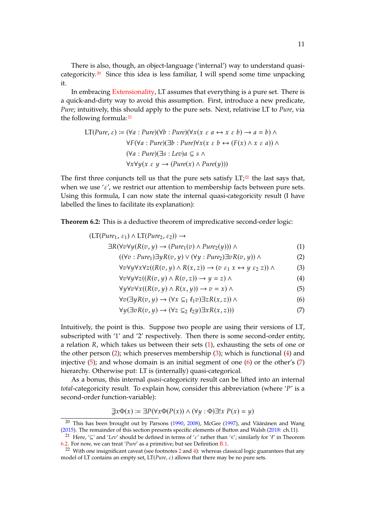There is also, though, an object-language ('internal') way to understand quasicategoricity.[20](#page-10-0) Since this idea is less familiar, I will spend some time unpacking it.

In embracing [Extensionality,](#page-1-0) LT assumes that everything is a pure set. There is a quick-and-dirty way to avoid this assumption. First, introduce a new predicate, *Pure*; intuitively, this should apply to the pure sets. Next, relativise LT to *Pure*, via the following formula:<sup>[21](#page-10-1)</sup>

$$
LT(Pure, \varepsilon) := (\forall a : Pure)(\forall b : Pure)(\forall x (x \varepsilon a \leftrightarrow x \varepsilon b) \to a = b) \land
$$
  

$$
\forall F (\forall a : Pure)(\exists b : Pure)\forall x (x \varepsilon b \leftrightarrow (F(x) \land x \varepsilon a)) \land
$$
  

$$
(\forall a : Pure)(\exists s : Lev)a \subseteq s \land
$$
  

$$
\forall x \forall y (x \varepsilon y \to (Pure(x) \land Pure(y)))
$$

The first three conjuncts tell us that the pure sets satisfy  $LT<sub>1</sub><sup>22</sup>$  $LT<sub>1</sub><sup>22</sup>$  $LT<sub>1</sub><sup>22</sup>$  the last says that, when we use ' $\varepsilon'$ , we restrict our attention to membership facts between pure sets. Using this formula, I can now state the internal quasi-categoricity result (I have labelled the lines to facilitate its explanation):

<span id="page-10-10"></span>**Theorem 6.2:** This is a deductive theorem of impredicative second-order logic:

$$
(LT(Pure_1, \varepsilon_1) \wedge LT(Pure_2, \varepsilon_2)) \rightarrow
$$
  
\n
$$
\exists R(\forall x \forall u (R(x, u) \rightarrow (Pure_2(x) \wedge Pure_2(u))) \wedge
$$
 (1)

$$
(\forall \tau_1 \cdot \mathbf{P}_{11} \mathbf{P}_{01}) \exists \mu \mathbf{P}(\tau_1 \cdot \mu) \vee (\forall \mu_1 \cdot \mathbf{P}_{11} \mathbf{P}_{02}) \exists \tau_2 \mathbf{P}(\tau_1 \cdot \mu)) \wedge (2)
$$

$$
((\forall v \cdot True_1) \exists y K(v, y) \lor (\forall y \cdot True_2) \exists v K(v, y)) \land
$$
\n
$$
(\forall v \forall x A \land \forall x \forall z ((R(x, y) \land R(x, z)) \rightarrow (z \land x \leftrightarrow 1 \land s \land x)) \land
$$
\n
$$
(3)
$$

<span id="page-10-8"></span><span id="page-10-7"></span><span id="page-10-6"></span><span id="page-10-5"></span><span id="page-10-4"></span><span id="page-10-3"></span>
$$
(\partial \forall y \forall x \forall z ((K(\partial, y) \land K(x, z)) \rightarrow (\partial \mathcal{E}_1 x \leftrightarrow y \mathcal{E}_2 z)) \land \tag{3}
$$

$$
\forall v \forall y \forall z ((R(v, y) \land R(v, z)) \rightarrow y = z) \land
$$
  

$$
\forall u \forall v \forall x ((R(v, u) \land R(x, u)) \rightarrow v = x) \land
$$
  
(5)

$$
\forall v (\exists y R(v, y) \rightarrow (\forall x \subseteq_1 \ell_1 v) \exists z R(x, z)) \land
$$
 (6)

<span id="page-10-9"></span>
$$
\forall y (\exists v R(v, y) \rightarrow (\forall z \subseteq_2 \ell_2 y) \exists x R(x, z)))
$$
\n(7)

Intuitively, the point is this. Suppose two people are using their versions of LT, subscripted with '1' and '2' respectively. Then there is some second-order entity, a relation *, which takes us between their sets*  $(1)$ *, exhausting the sets of one or* the other person [\(2\)](#page-10-4); which preserves membership [\(3\)](#page-10-5); which is functional [\(4\)](#page-10-6) and injective  $(5)$ ; and whose domain is an initial segment of one  $(6)$  or the other's  $(7)$ hierarchy. Otherwise put: LT is (internally) quasi-categorical.

As a bonus, this internal *quasi*-categoricity result can be lifted into an internal *total*-categoricity result. To explain how, consider this abbreviation (where 'P' is a second-order function-variable):

$$
\exists x \Phi(x) := \exists P(\forall x \Phi(P(x)) \land (\forall y : \Phi) \exists! x \ P(x) = y)
$$

<span id="page-10-0"></span><sup>&</sup>lt;sup>20</sup> This has been brought out by Parsons [\(1990](#page-73-5), [2008](#page-73-6)), McGee [\(1997](#page-73-7)), and Väänänen and Wang [\(2015\)](#page-74-1). The remainder of this section presents specific elements of Button and Walsh [\(2018](#page-72-3): ch.11).

<span id="page-10-1"></span><sup>&</sup>lt;sup>21</sup> Here, '⊆' and '*Lev*' should be defined in terms of ' $\varepsilon$ ' rather than '∈'; similarly for 'ℓ' in Theorem [6.2.](#page-10-10) For now, we can treat '*Pure*' as a primitive; but see Definition [B.1.](#page-19-0)

<span id="page-10-2"></span><sup>&</sup>lt;sup>[2](#page-2-0)2</sup> With one insignificant caveat (see footnotes  $2$  and  $4$ ): whereas classical logic guarantees that any model of LT contains an empty set,  $LT(Pure, \varepsilon)$  allows that there may be no pure sets.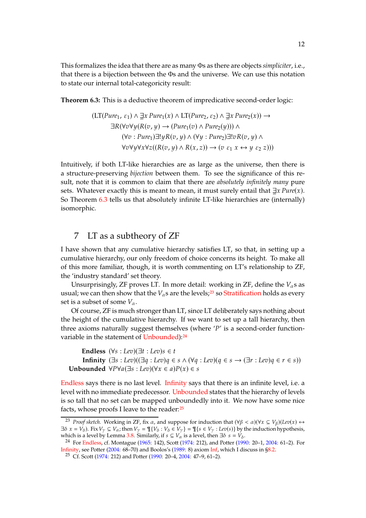This formalizes the idea that there are as many Φs as there are objects *simpliciter*, i.e., that there is a bijection between the Φs and the universe. We can use this notation to state our internal total-categoricity result:

<span id="page-11-1"></span>**Theorem 6.3:** This is a deductive theorem of impredicative second-order logic:

$$
\begin{aligned} \left(\text{LT}(Pure_1, \varepsilon_1) \land \exists x \, Pure_1(x) \land \text{LT}(Pure_2, \varepsilon_2) \land \exists x \, Pure_2(x) \right) \rightarrow \\ \exists R(\forall v \forall y (R(v, y)) \rightarrow (Pure_1(v) \land Pure_2(y))) \land \\ (\forall v : Pure_1) \exists! y R(v, y) \land (\forall y : Pure_2) \exists! v R(v, y) \land \\ \forall v \forall y \forall x \forall z ((R(v, y) \land R(x, z)) \rightarrow (v \varepsilon_1 x \leftrightarrow y \varepsilon_2 z))) \end{aligned}
$$

Intuitively, if both LT-like hierarchies are as large as the universe, then there is a structure-preserving *bijection* between them. To see the significance of this result, note that it is common to claim that there are *absolutely infinitely many* pure sets. Whatever exactly this is meant to mean, it must surely entail that  $\exists x \text{ } Pure(x)$ . So Theorem [6.3](#page-11-1) tells us that absolutely infinite LT-like hierarchies are (internally) isomorphic.

### <span id="page-11-0"></span>7 LT as a subtheory of ZF

I have shown that any cumulative hierarchy satisfies LT, so that, in setting up a cumulative hierarchy, our only freedom of choice concerns its height. To make all of this more familiar, though, it is worth commenting on LT's relationship to ZF, the 'industry standard' set theory.

Unsurprisingly, ZF proves LT. In more detail: working in ZF, define the  $V_\alpha$ s as usual; we can then show that the  $V_\alpha$ s are the levels;<sup>[23](#page-11-2)</sup> so [Stratification](#page-3-6) holds as every set is a subset of some  $V_\alpha$ .

Of course, ZF is much stronger than LT, since LT deliberately says nothing about the height of the cumulative hierarchy. If we want to set up a tall hierarchy, then three axioms naturally suggest themselves (where  $\gamma'$  is a second-order function-variable in the statement of [Unbounded\)](#page-11-0):<sup>[24](#page-11-3)</sup>

**Endless**  $(\forall s : Lev)(\exists t : Lev)s \in t$ **Infinity**  $(\exists s : \text{Lev})((\exists q : \text{Lev})q \in s \land (\forall q : \text{Lev})(q \in s \rightarrow (\exists r : \text{Lev})q \in r \in s))$ **Unbounded**  $\forall P \forall a (\exists s : Lev)(\forall x \in a) P(x) \in s$ 

[Endless](#page-11-0) says there is no last level. [Infinity](#page-11-0) says that there is an infinite level, i.e. a level with no immediate predecessor. [Unbounded](#page-11-0) states that the hierarchy of levels is so tall that no set can be mapped unboundedly into it. We now have some nice facts, whose proofs I leave to the reader:<sup>[25](#page-11-4)</sup>

<span id="page-11-2"></span><sup>&</sup>lt;sup>23</sup> *Proof sketch.* Working in ZF, fix  $\alpha$ , and suppose for induction that  $(\forall \beta < \alpha)(\forall x \subseteq V_{\beta})(Lev(x) \leftrightarrow$  $\exists \delta \ x = V_{\delta}$ ). Fix  $V_{\gamma} \subseteq V_{\alpha}$ ; then  $V_{\gamma} = \mathbb{I}\{V_{\delta} : V_{\delta} \in V_{\gamma}\} = \mathbb{I}\{s \in V_{\gamma} : Lev(s)\}$  by the induction hypothesis, which is a level by Lemma [3.8.](#page-4-5) Similarly, if  $s \subseteq V_\alpha$  is a level, then  $\exists \delta \ s = V_\delta$ .

<sup>24</sup> For [Endless,](#page-11-0) cf. Montague [\(1965](#page-73-8): 142), Scott [\(1974](#page-73-0): 212), and Potter [\(1990](#page-73-4): 20–1, [2004](#page-73-3): 61–2). For [Infinity,](#page-11-0) see Potter [\(2004:](#page-73-3) 68–70) and Boolos's [\(1989](#page-72-2): 8) axiom [Inf,](#page-13-0) which I discuss in [§8.2.](#page-13-0)

<span id="page-11-4"></span><span id="page-11-3"></span><sup>25</sup> Cf. Scott [\(1974:](#page-73-0) 212) and Potter [\(1990:](#page-73-4) 20–4, [2004:](#page-73-3) 47–9, 61–2).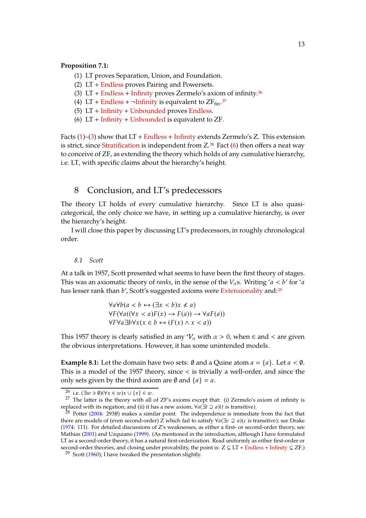#### <span id="page-12-4"></span>**Proposition 7.1:**

- (1) LT proves Separation, Union, and Foundation.
- <span id="page-12-5"></span>(2) LT + [Endless](#page-11-0) proves Pairing and Powersets.
- (3)  $LT + Endless + Infinity$  $LT + Endless + Infinity$  $LT + Endless + Infinity$  $LT + Endless + Infinity$  proves Zermelo's axiom of infinity.<sup>[26](#page-12-2)</sup>
- (4) LT + [Endless](#page-11-0) +  $\neg$ [Infinity](#page-11-0) is equivalent to ZF<sub>fin</sub>.<sup>[27](#page-12-3)</sup>
- <span id="page-12-7"></span>(5) LT + [Infinity](#page-11-0) + [Unbounded](#page-11-0) proves [Endless.](#page-11-0)
- (6)  $LT +$  [Infinity](#page-11-0) + [Unbounded](#page-11-0) is equivalent to  $ZF$ .

Facts  $(1)$ – $(3)$  show that LT + [Endless](#page-11-0) + [Infinity](#page-11-0) extends Zermelo's Z. This extension is strict, since [Stratification](#page-3-6) is independent from  $Z^{28}$  $Z^{28}$  $Z^{28}$  Fact [\(6\)](#page-12-7) then offers a neat way to conceive of ZF, as extending the theory which holds of any cumulative hierarchy, i.e. LT, with specific claims about the hierarchy's height.

### <span id="page-12-0"></span>8 Conclusion, and LT's predecessors

The theory LT holds of every cumulative hierarchy. Since LT is also quasicategorical, the only choice we have, in setting up a cumulative hierarchy, is over the hierarchy's height.

I will close this paper by discussing LT's predecessors, in roughly chronological order.

#### <span id="page-12-1"></span>*8.1 Scott*

At a talk in 1957, Scott presented what seems to have been the first theory of stages. This was an axiomatic theory of *ranks*, in the sense of the  $V_a$ s. Writing ' $a < b$ ' for 'a has lesser rank than b', Scott's suggested axioms were [Extensionality](#page-1-0) and:<sup>[29](#page-12-8)</sup>

$$
\forall a \forall b (a < b \leftrightarrow (\exists x < b) x \nless a)
$$
\n
$$
\forall F (\forall a ((\forall x < a) F(x) \rightarrow F(a)) \rightarrow \forall a F(a))
$$
\n
$$
\forall F \forall a \exists b \forall x (x \in b \leftrightarrow (F(x) \land x < a))
$$

This 1957 theory is clearly satisfied in any  $V_\alpha$  with  $\alpha > 0$ , when  $\epsilon$  and  $\epsilon$  are given the obvious interpretations. However, it has some unintended models.

**Example 8.1:** Let the domain have two sets: Ø and a Quine atom  $a = \{a\}$ . Let  $a < \emptyset$ . This is a model of the 1957 theory, since < is trivially a well-order, and since the only sets given by the third axiom are  $\emptyset$  and  $\{a\} = a$ .

<span id="page-12-2"></span><sup>26</sup> i.e.  $(\exists w \ni \emptyset)(\forall x \in w)x \cup \{x\} \in w$ .

<span id="page-12-3"></span> $27$  The latter is the theory with all of ZF's axioms except that: (i) Zermelo's axiom of infinity is replaced with its negation; and (ii) it has a new axiom,  $\forall a(\exists t \supseteq a)(t$  is transitive).

<span id="page-12-6"></span> $28$  Potter [\(2004:](#page-73-3) 293ff) makes a similar point. The independence is immediate from the fact that there are models of (even second-order) Z which fail to satisfy  $\forall a(\exists c \supseteq a)(c$  is transitive); see Drake [\(1974:](#page-72-8) 111). For detailed discussions of Z's weaknesses, as either a first- or second-order theory, see Mathias [\(2001](#page-72-5)) and Uzquiano [\(1999\)](#page-74-2). (As mentioned in the introduction, although I have formulated LT as a second-order theory, it has a natural first-orderization. Read uniformly as either first-order or second-order theories, and closing under provability, the point is:  $Z \subsetneq LT + Endless + Infinity \subsetneq ZF$  $Z \subsetneq LT + Endless + Infinity \subsetneq ZF$  $Z \subsetneq LT + Endless + Infinity \subsetneq ZF$  $Z \subsetneq LT + Endless + Infinity \subsetneq ZF$  $Z \subsetneq LT + Endless + Infinity \subsetneq ZF$ .)

<span id="page-12-8"></span><sup>&</sup>lt;sup>29</sup> Scott [\(1960](#page-73-9)); I have tweaked the presentation slightly.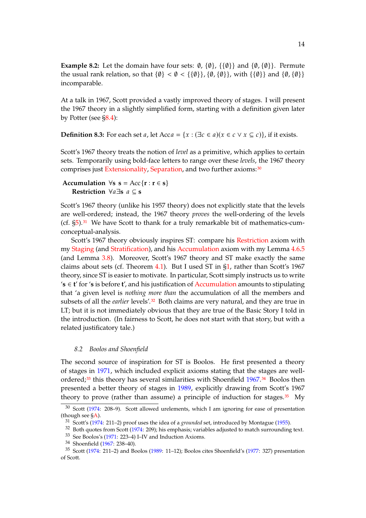**Example 8.2:** Let the domain have four sets:  $\emptyset$ ,  $\{\emptyset\}$ ,  $\{\{\emptyset\}\}\$  and  $\{\emptyset, \{\emptyset\}\}\$ . Permute the usual rank relation, so that  $\{\emptyset\} < \emptyset < \{\{\emptyset\}\}\$ ,  $\{\emptyset, \{\emptyset\}\}\$ , with  $\{\{\emptyset\}\}\$  and  $\{\emptyset, \{\emptyset\}\}\$ incomparable.

At a talk in 1967, Scott provided a vastly improved theory of stages. I will present the 1967 theory in a slightly simplified form, starting with a definition given later by Potter (see [§8.4\)](#page-16-0):

<span id="page-13-3"></span>**Definition 8.3:** For each set *a*, let Acc $a = \{x : (\exists c \in a)(x \in c \lor x \subseteq c)\}\)$ , if it exists.

Scott's 1967 theory treats the notion of *level* as a primitive, which applies to certain sets. Temporarily using bold-face letters to range over these *levels*, the 1967 theory comprises just [Extensionality,](#page-1-0) [Separation,](#page-3-6) and two further axioms:<sup>[30](#page-13-1)</sup>

#### **Accumulation**  $\forall s \; s = Acc{r : r \in s}$ **Restriction** ∀a∃**s**  $a \subseteq$  **s**

Scott's 1967 theory (unlike his 1957 theory) does not explicitly state that the levels are well-ordered; instead, the 1967 theory *proves* the well-ordering of the levels  $(cf. §5).<sup>31</sup>$  $(cf. §5).<sup>31</sup>$  $(cf. §5).<sup>31</sup>$  $(cf. §5).<sup>31</sup>$  $(cf. §5).<sup>31</sup>$  We have Scott to thank for a truly remarkable bit of mathematics-cumconceptual-analysis.

Scott's 1967 theory obviously inspires ST: compare his [Restriction](#page-13-3) axiom with my [Staging](#page-1-0) (and [Stratification\)](#page-3-6), and his [Accumulation](#page-13-3) axiom with my Lemma [4.6](#page-7-6)[.5](#page-7-5) (and Lemma [3.8\)](#page-4-5). Moreover, Scott's 1967 theory and ST make exactly the same claims about sets (cf. Theorem [4.1\)](#page-6-2). But I used ST in  $\S1$ , rather than Scott's 1967 theory, since ST is easier to motivate. In particular, Scott simply instructs us to write '**s** ∈ **t**' for '**s** is before **t**', and his justification of [Accumulation](#page-13-3) amounts to stipulating that 'a given level is *nothing more than* the accumulation of all the members and subsets of all the *earlier* levels'.[32](#page-13-4) Both claims are very natural, and they are true in LT; but it is not immediately obvious that they are true of the Basic Story I told in the introduction. (In fairness to Scott, he does not start with that story, but with a related justificatory tale.)

#### <span id="page-13-0"></span>*8.2 Boolos and Shoenfield*

The second source of inspiration for ST is Boolos. He first presented a theory of stages in [1971](#page-72-9), which included explicit axioms stating that the stages are wellordered; $33$  this theory has several similarities with Shoenfield  $1967$ . $34$  Boolos then presented a better theory of stages in [1989](#page-72-2), explicitly drawing from Scott's 1967 theory to prove (rather than assume) a principle of induction for stages. $35$  My

<sup>30</sup> Scott [\(1974](#page-73-0): 208–9). Scott allowed urelements, which I am ignoring for ease of presentation (though see [§A\)](#page-17-0).

<span id="page-13-1"></span><sup>31</sup> Scott's [\(1974](#page-73-0): 211–2) proof uses the idea of a *grounded* set, introduced by Montague [\(1955](#page-73-11)).

<span id="page-13-2"></span> $32$  Both quotes from Scott [\(1974:](#page-73-0) 209); his emphasis; variables adjusted to match surrounding text.

<span id="page-13-4"></span><sup>33</sup> See Boolos's [\(1971:](#page-72-9) 223–4) I–IV and Induction Axioms.

<span id="page-13-6"></span><span id="page-13-5"></span><sup>34</sup> Shoenfield [\(1967:](#page-73-10) 238–40).

<span id="page-13-7"></span><sup>35</sup> Scott [\(1974](#page-73-0): 211–2) and Boolos [\(1989](#page-72-2): 11–12); Boolos cites Shoenfield's [\(1977](#page-73-1): 327) presentation of Scott.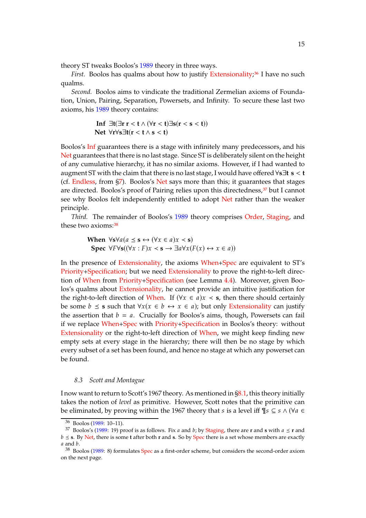theory ST tweaks Boolos's [1989](#page-72-2) theory in three ways.

*First.* Boolos has qualms about how to justify [Extensionality;](#page-1-0)<sup>[36](#page-14-1)</sup> I have no such qualms.

*Second.* Boolos aims to vindicate the traditional Zermelian axioms of Foundation, Union, Pairing, Separation, Powersets, and Infinity. To secure these last two axioms, his [1989](#page-72-2) theory contains:

$$
\text{Inf } \exists t (\exists r \ r < t \land (\forall r < t) \exists s (r < s < t))
$$
\n
$$
\text{Net } \forall r \forall s \exists t (r < t \land s < t)
$$

Boolos's [Inf](#page-13-0) guarantees there is a stage with infinitely many predecessors, and his [Net](#page-13-0) guarantees that there is no last stage. Since ST is deliberately silent on the height of any cumulative hierarchy, it has no similar axioms. However, if I had wanted to augment ST with the claim that there is no last stage, I would have offered∀**s**∃**t s** < **t** (cf. [Endless,](#page-11-0) from [§7\)](#page-11-0). Boolos's [Net](#page-13-0) says more than this; it guarantees that stages are directed. Boolos's proof of Pairing relies upon this directedness,<sup>[37](#page-14-2)</sup> but I cannot see why Boolos felt independently entitled to adopt [Net](#page-13-0) rather than the weaker principle.

*Third.* The remainder of Boolos's [1989](#page-72-2) theory comprises [Order,](#page-1-0) [Staging,](#page-1-0) and these two axioms: [38](#page-14-3)

> **When**  $\forall$ **s** $\forall$ *a*( $a \leq$ **s** $\leftrightarrow$  ( $\forall$ *x*  $\in$  *a*)*x*  $\prec$  **s**) **Spec**  $\forall F \forall s ((\forall x : F) x \prec s \rightarrow \exists a \forall x (F(x) \leftrightarrow x \in a))$

In the presence of [Extensionality,](#page-1-0) the axioms [When+Spec](#page-13-0) are equivalent to ST's [Priority+Specification;](#page-1-0) but we need [Extensionality](#page-1-0) to prove the right-to-left direction of [When](#page-13-0) from [Priority+Specification](#page-1-0) (see Lemma [4.4\)](#page-7-2). Moreover, given Boolos's qualms about [Extensionality,](#page-1-0) he cannot provide an intuitive justification for the right-to-left direction of [When.](#page-13-0) If  $(\forall x \in a) x \prec s$ , then there should certainly be some  $b \leq s$  such that  $\forall x (x \in b \leftrightarrow x \in a)$ ; but only [Extensionality](#page-1-0) can justify the assertion that  $b = a$ . Crucially for Boolos's aims, though, Powersets can fail if we replace [When+Spec](#page-13-0) with [Priority+Specification](#page-1-0) in Boolos's theory: without [Extensionality](#page-1-0) or the right-to-left direction of [When,](#page-13-0) we might keep finding new empty sets at every stage in the hierarchy; there will then be no stage by which every subset of a set has been found, and hence no stage at which any powerset can be found.

#### <span id="page-14-0"></span>*8.3 Scott and Montague*

I now want to return to Scott's 1967 theory. As mentioned in [§8.1,](#page-12-1) this theory initially takes the notion of *level* as primitive. However, Scott notes that the primitive can be eliminated, by proving within the 1967 theory that s is a level iff  $\P_s \subseteq s \land (\forall a \in \mathbb{R})$ 

<span id="page-14-1"></span><sup>36</sup> Boolos [\(1989](#page-72-2): 10–11).

<span id="page-14-2"></span><sup>&</sup>lt;sup>37</sup> Boolos's [\(1989](#page-72-2): 19) proof is as follows. Fix *a* and *b*; by [Staging,](#page-1-0) there are **r** and **s** with  $a \le r$  and  $b \leq$  **s**. By [Net,](#page-13-0) there is some **t** after both **r** and **s**. So by [Spec](#page-13-0) there is a set whose members are exactly  $a$  and  $b$ .

<span id="page-14-3"></span><sup>38</sup> Boolos [\(1989](#page-72-2): 8) formulates [Spec](#page-13-0) as a first-order scheme, but considers the second-order axiom on the next page.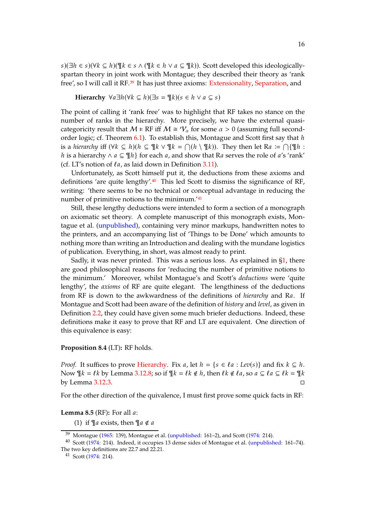$s$ )( $\exists h \in s$ )( $\forall k \subseteq h$ )( $\P k \in s \wedge (\Psi k \in h \vee a \subseteq \Psi k)$ ). Scott developed this ideologicallyspartan theory in joint work with Montague; they described their theory as 'rank free', so I will call it RF.<sup>[39](#page-15-0)</sup> It has just three axioms: [Extensionality,](#page-1-0) [Separation,](#page-3-6) and

**Hierarchy**  $\forall a \exists h (\forall k \subseteq h)(\exists s = \mathcal{R}(s) \in h \lor a \subseteq s)$ 

The point of calling it 'rank free' was to highlight that RF takes no stance on the number of ranks in the hierarchy. More precisely, we have the external quasicategoricity result that  $M \models RF$  iff  $M \cong \mathcal{V}_\alpha$  for some  $\alpha > 0$  (assuming full second-order logic; cf. Theorem [6.1\)](#page-9-4). To establish this, Montague and Scott first say that h is a *hierarchy* iff  $(\forall k \subseteq h) (h \subseteq \mathbb{I} k \lor \mathbb{I} k = \bigcap (h \setminus \mathbb{I} k))$ . They then let Ra :=  $\bigcap {\mathbb{I} n : A \to A}$ *h* is a hierarchy ∧  $a \subseteq \mathcal{I}$  for each  $a$ , and show that Ra serves the role of  $a$ 's 'rank' (cf. LT's notion of  $l_a$ , as laid down in Definition [3.11\)](#page-5-12).

Unfortunately, as Scott himself put it, the deductions from these axioms and definitions 'are quite lengthy'. $40$  This led Scott to dismiss the significance of RF, writing: 'there seems to be no technical or conceptual advantage in reducing the number of primitive notions to the minimum.'[41](#page-15-2)

Still, these lengthy deductions were intended to form a section of a monograph on axiomatic set theory. A complete manuscript of this monograph exists, Montague et al. [\(unpublished](#page-73-2)), containing very minor markups, handwritten notes to the printers, and an accompanying list of 'Things to be Done' which amounts to nothing more than writing an Introduction and dealing with the mundane logistics of publication. Everything, in short, was almost ready to print.

Sadly, it was never printed. This was a serious loss. As explained in [§1,](#page-1-0) there are good philosophical reasons for 'reducing the number of primitive notions to the minimum.' Moreover, whilst Montague's and Scott's *deductions* were 'quite lengthy', the *axioms* of RF are quite elegant. The lengthiness of the deductions from RF is down to the awkwardness of the definitions of *hierarchy* and Ra. If Montague and Scott had been aware of the definition of *history* and *level*, as given in Definition [2.2,](#page-3-6) they could have given some much briefer deductions. Indeed, these definitions make it easy to prove that RF and LT are equivalent. One direction of this equivalence is easy:

#### **Proposition 8.4** (LT)**:** RF holds.

*Proof.* It suffices to prove [Hierarchy.](#page-14-0) Fix a, let  $h = \{s \in \ell a : Lev(s)\}\$  and fix  $k \subseteq h$ . Now  $\P k = \ell k$  by Lemma [3.12.](#page-5-0)[8;](#page-5-11) so if  $\P k = \ell k \notin h$ , then  $\ell k \notin \ell a$ , so  $a \subseteq \ell a \subseteq \ell k = \mathcal{R}$ by Lemma [3.12.](#page-5-0)[3.](#page-5-6)

For the other direction of the quivalence, I must first prove some quick facts in RF:

#### <span id="page-15-4"></span><span id="page-15-3"></span>**Lemma 8.5** (RF): For all *a*:

(1) if  $\P a$  exists, then  $\P a \notin a$ 

<span id="page-15-0"></span> $39$  Montague [\(1965](#page-73-8): 139), Montague et al. [\(unpublished:](#page-73-2) 161–2), and Scott [\(1974](#page-73-0): 214).

<sup>40</sup> Scott [\(1974](#page-73-0): 214). Indeed, it occupies 13 dense sides of Montague et al. [\(unpublished](#page-73-2): 161–74). The two key definitions are 22.7 and 22.21.

<span id="page-15-2"></span><span id="page-15-1"></span><sup>41</sup> Scott [\(1974](#page-73-0): 214).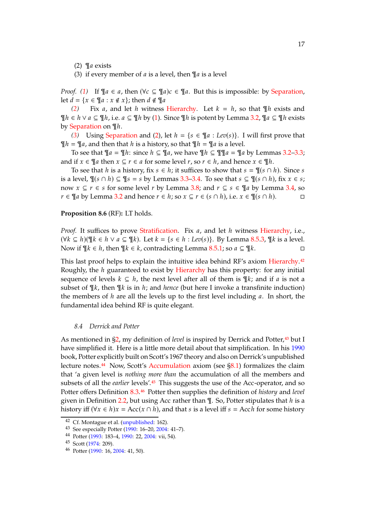<span id="page-16-2"></span><span id="page-16-1"></span>(2)  $\P$ a exists

(3) if every member of  $a$  is a level, then  $\P a$  is a level

*Proof.* [\(1\)](#page-15-3) If  $\P a \in a$ , then  $(\forall c \subseteq \P a)c \in \P a$ . But this is impossible: by [Separation,](#page-3-6) let  $d = \{x \in \mathbb{Y} : x \notin x\}$ ; then  $d \notin \mathbb{Y}$ 

*[\(2\)](#page-16-1)* Fix *a*, and let *h* witness [Hierarchy.](#page-14-0) Let  $k = h$ , so that  $\mathbb{I}$ *h* exists and  $\P h \in h \vee a \subseteq \Psi h$ , i.e.  $a \subseteq \Psi h$  by [\(1\)](#page-15-3). Since  $\P h$  is potent by Lemma [3.2,](#page-3-4)  $\P a \subseteq \Psi h$  exists by [Separation](#page-3-6) on ¶*h*.

[\(3\)](#page-16-2) Using [Separation](#page-3-6) and [\(2\)](#page-16-1), let  $h = \{s \in \mathbb{T} | a : Lev(s)\}\$ . I will first prove that  $\P h = \P a$ , and then that h is a history, so that  $\P h = \P a$  is a level.

To see that  $\P a = \P h$ : since  $h \subseteq \P a$ , we have  $\P h \subseteq \P \P a = \P a$  by Lemmas [3.2–](#page-3-4)[3.3;](#page-3-5) and if  $x \in \mathcal{A}$  then  $x \subseteq r \in a$  for some level  $r$ , so  $r \in h$ , and hence  $x \in \mathcal{A}$ h.

To see that h is a history, fix  $s \in h$ ; it suffices to show that  $s = \mathcal{P}(s \cap h)$ . Since s is a level,  $\P(s \cap h) \subseteq \P s = s$  by Lemmas [3.3](#page-3-5)[–3.4.](#page-4-2) To see that  $s \subseteq \P(s \cap h)$ , fix  $x \in s$ ; now  $x \subseteq r \in s$  for some level r by Lemma [3.8;](#page-4-5) and  $r \subseteq s \in \mathcal{F}$  a by Lemma [3.4,](#page-4-2) so  $r \in \mathcal{F}$  a by Lemma [3.2](#page-3-4) and hence  $r \in h$ ; so  $x \subseteq r \in (s \cap h)$ , i.e.  $x \in \mathcal{F}$   $(s \cap h)$ .

#### **Proposition 8.6** (RF)**:** LT holds.

*Proof.* It suffices to prove [Stratification.](#page-3-6) Fix a, and let h witness [Hierarchy,](#page-14-0) i.e.,  $(\forall k \subseteq h)(\forall k \in h \lor a \subseteq \forall k)$ . Let  $k = \{s \in h : Lev(s)\}$ . By Lemma [8.5](#page-15-4)[.3,](#page-16-2)  $\P k$  is a level. Now if  $\P k \in h$ , then  $\P k \in k$ , contradicting Lemma [8.5](#page-15-4)[.1;](#page-15-3) so  $a \subseteq \P k$ .

This last proof helps to explain the intuitive idea behind RF's axiom [Hierarchy.](#page-14-0)<sup>[42](#page-16-3)</sup> Roughly, the  $h$  guaranteed to exist by [Hierarchy](#page-14-0) has this property: for any initial sequence of levels  $k \subseteq h$ , the next level after all of them is  $\mathcal{N}_k$ ; and if  $a$  is not a subset of  $\mathbb{I}k$ , then  $\mathbb{I}k$  is in *h*; and *hence* (but here I invoke a transfinite induction) the members of  $h$  are all the levels up to the first level including  $a$ . In short, the fundamental idea behind RF is quite elegant.

#### <span id="page-16-0"></span>*8.4 Derrick and Potter*

As mentioned in [§2,](#page-2-6) my definition of *level* is inspired by Derrick and Potter,<sup>[43](#page-16-4)</sup> but I have simplified it. Here is a little more detail about that simplification. In his [1990](#page-73-4) book, Potter explicitly built on Scott's 1967 theory and also on Derrick's unpublished lecture notes.[44](#page-16-5) Now, Scott's [Accumulation](#page-13-3) axiom (see [§8.1\)](#page-12-1) formalizes the claim that 'a given level is *nothing more than* the accumulation of all the members and subsets of all the *earlier* levels'.[45](#page-16-6) This suggests the use of the Acc-operator, and so Potter offers Definition [8.3.](#page-13-3)[46](#page-16-7) Potter then supplies the definition of *history* and *level* given in Definition [2.2,](#page-3-6) but using Acc rather than  $\P$ . So, Potter stipulates that  $h$  is a history iff  $(\forall x \in h)x = Acc(x \cap h)$ , and that s is a level iff  $s = Acch$  for some history

<sup>42</sup> Cf. Montague et al. [\(unpublished:](#page-73-2) 162).

<span id="page-16-3"></span><sup>43</sup> See especially Potter [\(1990:](#page-73-4) 16–20, [2004](#page-73-3): 41–7).

<span id="page-16-4"></span><sup>44</sup> Potter [\(1993](#page-73-12): 183–4, [1990](#page-73-4): 22, [2004](#page-73-3): vii, 54).

<span id="page-16-5"></span><sup>45</sup> Scott [\(1974](#page-73-0): 209).

<span id="page-16-7"></span><span id="page-16-6"></span><sup>46</sup> Potter [\(1990](#page-73-4): 16, [2004:](#page-73-3) 41, 50).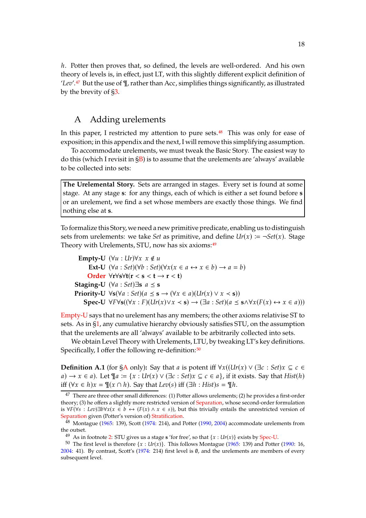h. Potter then proves that, so defined, the levels are well-ordered. And his own theory of levels is, in effect, just LT, with this slightly different explicit definition of '*Lev*'.[47](#page-17-1) But the use of ¶, rather than Acc, simplifies things significantly, as illustrated by the brevity of [§3.](#page-3-7)

## <span id="page-17-0"></span>A Adding urelements

In this paper, I restricted my attention to pure sets.<sup>[48](#page-17-2)</sup> This was only for ease of exposition; in this appendix and the next, I will remove this simplifying assumption.

To accommodate urelements, we must tweak the Basic Story. The easiest way to do this (which I revisit in  $\S$ B) is to assume that the urelements are 'always' available to be collected into sets:

**The Urelemental Story.** Sets are arranged in stages. Every set is found at some stage. At any stage **s**: for any things, each of which is either a set found before **s** or an urelement, we find a set whose members are exactly those things. We find nothing else at **s**.

To formalize this Story, we need a new primitive predicate, enabling us to distinguish sets from urelements: we take *Set* as primitive, and define  $Ur(x) := \neg Set(x)$ . Stage Theory with Urelements, STU, now has six axioms:  $49$ 

| Empty-U    | $(\forall u : Ur) \forall x \ x \notin u$                                                                                                        |
|------------|--------------------------------------------------------------------------------------------------------------------------------------------------|
| Ext-U      | $(\forall a : Set)(\forall b : Set)(\forall x(x \in a \leftrightarrow x \in b) \rightarrow a = b)$                                               |
| Order      | $\forall r \forall s \forall t (r < s < t \rightarrow r < t)$                                                                                    |
| Staging-U  | $(\forall a : Set) \exists s \ a \leq s$                                                                                                         |
| Priority-U | $\forall s (\forall a : Set)(a \leq s \rightarrow (\forall x \in a)(Ur(x) \lor x < s))$                                                          |
| Spec-U     | $\forall F \forall s ((\forall x : F)(Ur(x) \lor x < s) \rightarrow (\exists a : Set)(a \leq s \land \forall x (F(x) \leftrightarrow x \in a)))$ |

[Empty-U](#page-17-0) says that no urelement has any members; the other axioms relativise ST to sets. As in [§1,](#page-1-0) any cumulative hierarchy obviously satisfies STU, on the assumption that the urelements are all 'always' available to be arbitrarily collected into sets.

We obtain Level Theory with Urelements, LTU, by tweaking LT's key definitions. Specifically, I offer the following re-definition:<sup>[50](#page-17-4)</sup>

<span id="page-17-5"></span>**Definition A.1** (for [§A](#page-17-0) only): Say that a is potent iff  $\forall x((Ur(x) \lor (\exists c : Set)x \subseteq c \in \mathbb{R})$  $a) \rightarrow x \in a$ ). Let  $\P_a := \{x : Ur(x) \vee (\exists c : Set)x \subseteq c \in a\}$ , if it exists. Say that *Hist*(*h*) iff  $(\forall x \in h)x = \mathcal{F}(x \cap h)$ . Say that  $Lev(s)$  iff  $(\exists h : Hist)s = \mathcal{F}h$ .

<span id="page-17-1"></span><sup>&</sup>lt;sup>47</sup> There are three other small differences: (1) Potter allows urelements; (2) he provides a first-order theory; (3) he offers a slightly more restricted version of [Separation,](#page-3-6) whose second-order formulation is  $\forall F(\forall s : Lev) \exists b \forall x (x \in b \leftrightarrow (F(x) \land x \in s))$ , but this trivially entails the unrestricted version of [Separation](#page-3-6) given (Potter's version of) [Stratification.](#page-3-6)

 $48$  Montague [\(1965](#page-73-8): 139), Scott [\(1974](#page-73-0): 214), and Potter [\(1990](#page-73-4), [2004](#page-73-3)) accommodate urelements from the outset.

<span id="page-17-3"></span><span id="page-17-2"></span><sup>&</sup>lt;sup>49</sup> As in footnote [2:](#page-2-0) STU gives us a stage **s** 'for free', so that  $\{x : Ur(x)\}$  exists by [Spec-U.](#page-17-0)

<span id="page-17-4"></span><sup>&</sup>lt;sup>50</sup> The first level is therefore  $\{x : Ur(x)\}$ . This follows Montague [\(1965](#page-73-8): 139) and Potter [\(1990](#page-73-4): 16, [2004:](#page-73-3) 41). By contrast, Scott's [\(1974](#page-73-0): 214) first level is ∅, and the urelements are members of every subsequent level.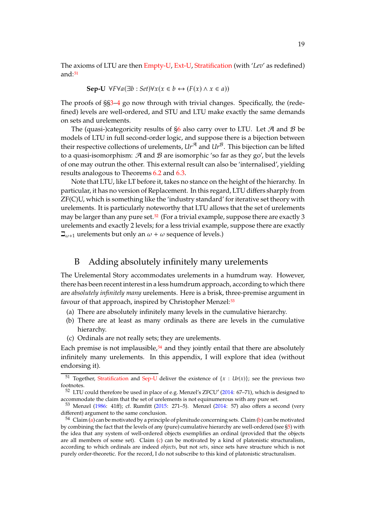The axioms of LTU are then [Empty-U,](#page-17-0) [Ext-U,](#page-17-0) [Stratification](#page-3-6) (with '*Lev*' as redefined) and: $51$ 

**Sep-U** 
$$
\forall F \forall a (\exists b : Set) \forall x (x \in b \leftrightarrow (F(x) \land x \in a))
$$

The proofs of §[§3–](#page-3-7)[4](#page-6-0) go now through with trivial changes. Specifically, the (redefined) levels are well-ordered, and STU and LTU make exactly the same demands on sets and urelements.

The (quasi-)categoricity results of  $\S6$  also carry over to LTU. Let  $A$  and  $B$  be models of LTU in full second-order logic, and suppose there is a bijection between their respective collections of urelements*,*  $Ur^{\mathcal{A}}$  and  $Ur^{\mathcal{B}}$ . This bijection can be lifted to a quasi-isomorphism:  $A$  and  $B$  are isomorphic 'so far as they go', but the levels of one may outrun the other. This external result can also be 'internalised', yielding results analogous to Theorems [6.2](#page-10-10) and [6.3.](#page-11-1)

Note that LTU, like LT before it, takes no stance on the height of the hierarchy. In particular, it has no version of Replacement. In this regard, LTU differs sharply from ZF(C)U, which is something like the 'industry standard' for iterative set theory with urelements. It is particularly noteworthy that LTU allows that the set of urelements may be larger than any pure set.<sup>[52](#page-18-2)</sup> (For a trivial example, suppose there are exactly 3 urelements and exactly 2 levels; for a less trivial example, suppose there are exactly  $\beth_{\omega+1}$  urelements but only an  $\omega + \omega$  sequence of levels.)

# <span id="page-18-0"></span>B Adding absolutely infinitely many urelements

The Urelemental Story accommodates urelements in a humdrum way. However, there has been recent interest in a less humdrum approach, according to which there are *absolutely infinitely many* urelements. Here is a brisk, three-premise argument in favour of that approach, inspired by Christopher Menzel:<sup>[53](#page-18-3)</sup>

- <span id="page-18-6"></span><span id="page-18-5"></span>(a) There are absolutely infinitely many levels in the cumulative hierarchy.
- (b) There are at least as many ordinals as there are levels in the cumulative hierarchy.
- <span id="page-18-7"></span>(c) Ordinals are not really sets; they are urelements.

Each premise is not implausible, $54$  and they jointly entail that there are absolutely infinitely many urelements. In this appendix, I will explore that idea (without endorsing it).

<sup>&</sup>lt;sup>51</sup> Together, [Stratification](#page-3-6) and [Sep-U](#page-17-5) deliver the existence of  $\{x : Ur(x)\}\$ ; see the previous two footnotes.

<span id="page-18-2"></span><span id="page-18-1"></span> $52$  LTU could therefore be used in place of e.g. Menzel's ZFCU' [\(2014](#page-73-13): 67–71), which is designed to accommodate the claim that the set of urelements is not equinumerous with any pure set.

<span id="page-18-3"></span> $53$  Menzel [\(1986](#page-73-14): 41ff); cf. Rumfitt [\(2015](#page-73-15): 271–5). Menzel [\(2014](#page-73-13): 57) also offers a second (very different) argument to the same conclusion.

<span id="page-18-4"></span> $54$  Claim [\(a\)](#page-18-5) can be motivated by a principle of plenitude concerning sets. Claim [\(b\)](#page-18-6) can be motivated by combining the fact that the levels of any (pure) cumulative hierarchy are well-ordered (see [§5\)](#page-8-0) with the idea that any system of well-ordered objects exemplifies an ordinal (provided that the objects are all members of some set). Claim [\(c\)](#page-18-7) can be motivated by a kind of platonistic structuralism, according to which ordinals are indeed *objects*, but not *sets*, since sets have structure which is not purely order-theoretic. For the record, I do not subscribe to this kind of platonistic structuralism.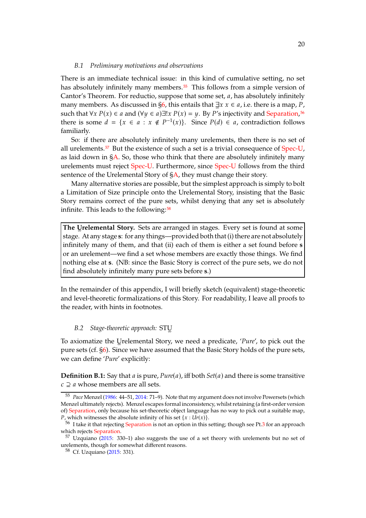#### *B.1 Preliminary motivations and observations*

There is an immediate technical issue: in this kind of cumulative setting, no set has absolutely infinitely many members.<sup>[55](#page-19-1)</sup> This follows from a simple version of Cantor's Theorem. For reductio, suppose that some set,  $a$ , has absolutely infinitely many members. As discussed in [§6,](#page-9-0) this entails that  $\exists x \ x \in a$ , i.e. there is a map, P, such that  $\forall x P(x) \in a$  and  $(\forall y \in a) \exists! x P(x) = y$ . By P's injectivity and [Separation,](#page-3-6)<sup>[56](#page-19-2)</sup> there is some  $d = \{x \in a : x \notin P^{-1}(x)\}\$ . Since  $P(d) \in a$ , contradiction follows familiarly.

So: if there are absolutely infinitely many urelements, then there is no set of all urelements.[57](#page-19-3) But the existence of such a set is a trivial consequence of [Spec-U,](#page-17-0) as laid down in  $\frac{SA}{A}$ . So, those who think that there are absolutely infinitely many urelements must reject [Spec-U.](#page-17-0) Furthermore, since [Spec-U](#page-17-0) follows from the third sentence of the Urelemental Story of  $SA$ , they must change their story.

Many alternative stories are possible, but the simplest approach is simply to bolt a Limitation of Size principle onto the Urelemental Story, insisting that the Basic Story remains correct of the pure sets, whilst denying that any set is absolutely infinite. This leads to the following:<sup>[58](#page-19-4)</sup>

**The Urelemental Story.** Sets are arranged in stages. Every set is found at some stage. At any stage **s**: for any things—provided both that (i) there are not absolutely infinitely many of them, and that (ii) each of them is either a set found before **s** or an urelement—we find a set whose members are exactly those things. We find nothing else at **s**. (NB: since the Basic Story is correct of the pure sets, we do not find absolutely infinitely many pure sets before **s**.)

In the remainder of this appendix, I will briefly sketch (equivalent) stage-theoretic and level-theoretic formalizations of this Story. For readability, I leave all proofs to the reader, with hints in footnotes.

#### *B.2 Stage-theoretic approach:* STU<sup>∞</sup>

To axiomatize the Uֱrelemental Story, we need a predicate, '*Pure'*, to pick out the pure sets (cf. [§6\)](#page-9-0). Since we have assumed that the Basic Story holds of the pure sets, we can define '*Pure*' explicitly:

<span id="page-19-0"></span>**Definition B.1:** Say that  $a$  is pure,  $Pure(a)$ , iff both  $Set(a)$  and there is some transitive  $c \supset a$  whose members are all sets.

<span id="page-19-1"></span><sup>55</sup> *Pace* Menzel [\(1986](#page-73-14): 44–51, [2014:](#page-73-13) 71–9). Note that my argument does not involve Powersets (which Menzel ultimately rejects). Menzel escapes formal inconsistency, whilst retaining (a first-order version of) [Separation,](#page-3-6) only because his set-theoretic object language has no way to pick out a suitable map, *P*, which witnesses the absolute infinity of his set  $\{x : Ur(x)\}.$ 

<span id="page-19-2"></span><sup>&</sup>lt;sup>56</sup> I take it that rejecting [Separation](#page-3-6) is not an option in this setting; though see Pt[.3](#page-46-0) for an approach which rejects [Separation.](#page-3-6)

 $57$  Uzquiano [\(2015](#page-74-3): 330-1) also suggests the use of a set theory with urelements but no set of urelements, though for somewhat different reasons.

<span id="page-19-4"></span><span id="page-19-3"></span><sup>58</sup> Cf. Uzquiano [\(2015](#page-74-3): 331).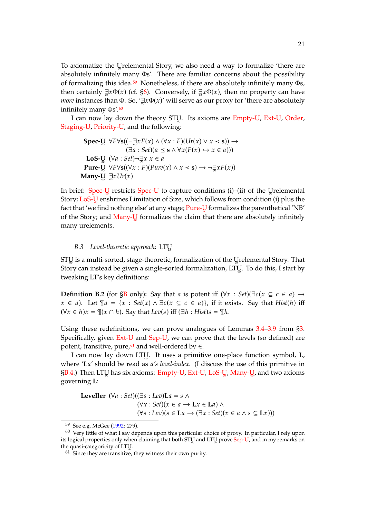To axiomatize the Uֱrelemental Story, we also need a way to formalize 'there are absolutely infinitely many Φs'. There are familiar concerns about the possibility of formalizing this idea.[59](#page-20-0) Nonetheless, if there are absolutely infinitely many Φs, then certainly  $\exists x \Phi(x)$  (cf. [§6\)](#page-9-0). Conversely, if  $\exists x \Phi(x)$ , then no property can have *more* instances than Φ. So, ' $\exists$ *x*Φ(*x*)' will serve as our proxy for 'there are absolutely infinitely many Φs'.<sup>[60](#page-20-1)</sup>

I can now lay down the theory STUॢ. Its axioms are [Empty-U,](#page-17-0) [Ext-U,](#page-17-0) [Order,](#page-1-0) [Staging-U,](#page-17-0) [Priority-U,](#page-17-0) and the following:

**Spec-U** 
$$
\forall F \forall s ((\neg \exists x F(x) \land (\forall x : F)(Ur(x) \lor x < s)) \rightarrow
$$
  
\n $(\exists a : Set)(a \le s \land \forall x (F(x) \leftrightarrow x \in a)))$   
\n**LoS-U**  $(\forall a : Set) \neg \exists x \ x \in a$   
\n**Pure-U**  $\forall F \forall s ((\forall x : F)(Pure(x) \land x < s) \rightarrow \neg \exists x F(x))$   
\n**Many-U**  $\exists x Ur(x)$ 

In brief: [Spec-U](#page-17-0)ৣ restricts Spec-U to capture conditions (i)–(ii) of the Uৣrelemental Story; <mark>[LoS-U](#page-19-0)</mark>ূ enshrines Limitation of Size, which follows from condition (i) plus the fact that 'we find nothing else' at any stage; <mark>[Pure-U](#page-19-0)</mark>ূ formalizes the parenthetical 'NB' of the Story; and [Many-U](#page-19-0)ॢ formalizes the claim that there are absolutely infinitely many urelements.

#### *B.3 Level-theoretic approach:* LTU<sup>∞</sup>

 $\mathop{\rm STU}\nolimits$  is a multi-sorted, stage-theoretic, formalization of the Uৣrelemental Story. That Story can instead be given a single-sorted formalization, LTU. To do this, I start by tweaking LT's key definitions:

<span id="page-20-3"></span>**Definition B.2** (for [§B](#page-18-0) only): Say that *a* is potent iff  $(\forall x : Set)(\exists c(x \subseteq c \in a) \rightarrow a)$  $x \in a$ ). Let  $\P a = \{x : Set(x) \wedge \exists c(x \subseteq c \in a) \}$ , if it exists. Say that *Hist*(h) iff  $(\forall x \in h)x = \mathcal{F}(x \cap h)$ . Say that  $Lev(s)$  iff  $(\exists h : Hist)s = \mathcal{F}h$ .

Using these redefinitions, we can prove analogues of Lemmas [3.4](#page-4-2)[–3.9](#page-5-2) from [§3.](#page-3-7) Specifically, given [Ext-U](#page-17-0) and [Sep-U,](#page-17-5) we can prove that the levels (so defined) are potent, transitive, pure, $61$  and well-ordered by  $\in$ .

I can now lay down LTU<sup>∞</sup> . It uses a primitive one-place function symbol, **L**, where 'La' should be read as a's level-index. (I discuss the use of this primitive in [§B.4.](#page-22-0)) Then LTUॢ has six axioms: [Empty-U,](#page-17-0) [Ext-U,](#page-17-0) [LoS-U](#page-19-0)ॢ, [Many-U](#page-19-0)ॢ, and two axioms governing **L**:

**Leveller**  $(\forall a : Set)((\exists s : Lev)\mathbf{L}a = s \land s)$  $(\forall x : Set)(x \in a \rightarrow \mathbf{L}x \in \mathbf{L}a) \land$  $(\forall s : \text{Lev})(s \in \text{La} \rightarrow (\exists x : \text{Set})(x \in a \land s \subseteq \text{L}x)))$ 

<span id="page-20-0"></span><sup>59</sup> See e.g. McGee [\(1992](#page-72-10): 279).

<span id="page-20-1"></span> $60$  Very little of what I say depends upon this particular choice of proxy. In particular, I rely upon its logical properties only when claiming that both STUॢ and LTUॢ prove [Sep-U,](#page-17-5) and in my remarks on the quasi-categoricity of LTU.

<span id="page-20-2"></span> $61$  Since they are transitive, they witness their own purity.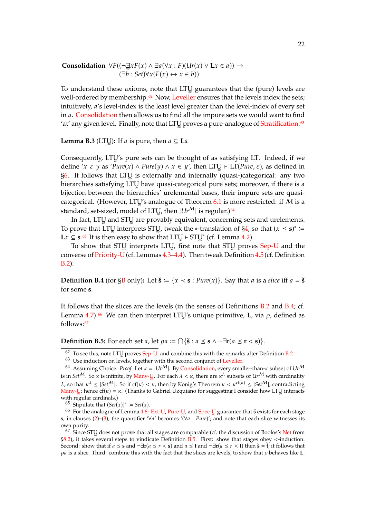**Consolidation**  $\forall F((\neg \exists x F(x) \land \exists a(\forall x : F)(Ur(x) \lor Lx \in a)) \rightarrow$  $(\exists b : Set) \forall x (F(x) \leftrightarrow x \in b))$ 

To understand these axioms, note that LTUॢ guarantees that the (pure) levels are well-ordered by membership.<sup>[62](#page-21-0)</sup> Now, [Leveller](#page-20-3) ensures that the levels index the sets; intuitively, *a's* level-index is the least level greater than the level-index of every set in *a*. [Consolidation](#page-20-3) then allows us to find all the impure sets we would want to find 'at' any given level. Finally, note that LTU proves a pure-analogue of [Stratification:](#page-3-6)<sup>[63](#page-21-1)</sup>

**Lemma B.3** (LTU<sub>2</sub>): If  $a$  is pure, then  $a \subseteq La$ 

Consequently, LTU's pure sets can be thought of as satisfying LT. Indeed, if we define '*x*  $\varepsilon$  *y* as '*Pure*(*x*) ∧ *Pure*(*y*) ∧ *x* ∈ *y'*, then LTUৣ ⊢ LT(*Pure*,  $\varepsilon$ ), as defined in  $\S6$ . It follows that LTU is externally and internally (quasi-)categorical: any two hierarchies satisfying LTUॢ have quasi-categorical pure sets; moreover, if there is a bijection between the hierarchies' urelemental bases, their impure sets are quasi-categorical. (However, LTU's analogue of Theorem [6.1](#page-9-4) is more restricted: if  $M$  is a standard*,* set-sized*,* model of LTUॢ, then  $|Ur^{\mathcal{M}}|$  is regular.)<sup>[64](#page-21-2)</sup>

In fact, LTUॢ and STUॢ are provably equivalent, concerning sets and urelements. To prove that LTU interprets STU, tweak the <sup>\*</sup>-translation of  $\S4$ , so that  $(x \le s)^*$  := **L** $x$  **⊆ <b>s**.<sup>[65](#page-21-3)</sup> It is then easy to show that LTUॢ  $\vdash$  STUॢ<sup>\*</sup> (cf. Lemma [4.2\)](#page-6-5).

To show that STUౖ interprets LTUূ, first note that STUౖ proves [Sep-U](#page-17-5) and the converse of [Priority-U](#page-17-0)(cf. Lemmas [4.3](#page-6-4)[–4.4\)](#page-7-2). Then tweak Definition [4.5](#page-7-8) (cf. Definition [B.2\)](#page-20-3):

<span id="page-21-4"></span>**Definition B.4** (for  $\S$ B only): Let  $\check{\mathbf{s}} := \{x \leq \mathbf{s} : Pure(x)\}\)$ . Say that *a* is a *slice* iff  $a = \check{\mathbf{s}}$ for some **s**.

It follows that the slices are the levels (in the senses of Definitions [B.2](#page-20-3) and [B.4;](#page-21-4) cf. Lemma [4.7\)](#page-7-7).<sup>[66](#page-21-5)</sup> We can then interpret LTU's unique primitive, **L**, via  $\rho$ , defined as follows:<sup>[67](#page-21-6)</sup>

<span id="page-21-7"></span>**Definition B.5:** For each set *a*, let  $\rho a := \bigcap \{ \check{s} : a \leq s \land \neg \exists r (a \leq r < s) \}.$ 

<span id="page-21-3"></span>65 Stipulate that  $(Set(x))^* \coloneqq Set(x)$ .

<span id="page-21-5"></span><sup>66</sup> For the analogue of Lemma [4.6:](#page-7-6) [Ext-U,](#page-17-0) [Pure-U](#page-19-0)ূ, and [Spec-U](#page-19-0)ূ guarantee that  $\check{s}$  exists for each stage **s**; in clauses [\(2\)](#page-7-1)–[\(3\)](#page-7-3), the quantifier '∀a' becomes '(∀a : *Pure*)'; and note that each slice witnesses its own purity.

<span id="page-21-6"></span><sup>67</sup> Since STU does not prove that all stages are comparable (cf. the discussion of Boolos's [Net](#page-13-0) from [§8.2\)](#page-13-0), it takes several steps to vindicate Definition [B.5.](#page-21-7) First: show that stages obey <-induction. Second: show that if  $a \leq s$  and  $\neg \exists r (a \leq r < s)$  and  $a \leq t$  and  $\neg \exists r (a \leq r < t)$  then  $\check{s} = \check{t}$ ; it follows that  $\rho a$  is a slice. Third: combine this with the fact that the slices are levels, to show that  $\rho$  behaves like **L**.

 $^{62}$  To see this, note LTU proves [Sep-U,](#page-17-5) and combine this with the remarks after Definition [B.2.](#page-20-3)

<span id="page-21-1"></span><span id="page-21-0"></span> $63$  Use induction on levels, together with the second conjunct of [Leveller.](#page-20-3)

<span id="page-21-2"></span><sup>64</sup> Assuming Choice. *Proof.* Let  $\kappa = |Ur^M|$ . By [Consolidation,](#page-20-3) every smaller-than- $\kappa$  subset of  $Ur^M$ is in  $Set^{\cal M}$ . So  $\kappa$  is infinite, by <u>[Many-U](#page-19-0)</u>. For each  $\lambda<\kappa$ , there are  $\kappa^{\lambda}$  subsets of  $Ur^{\cal M}$  with cardinality  $\lambda$ , so that  $\kappa^{\lambda} \leq |Set^{\mathcal{M}}|$ . So if cf( $\kappa$ ) <  $\kappa$ , then by König's Theorem  $\kappa < \kappa^{cf(\kappa)} \leq |Set^{\mathcal{M}}|$ , contradicting [Many-U](#page-19-0)<sub>s</sub>; hence cf( $\kappa$ ) =  $\kappa$ . (Thanks to Gabriel Uzquiano for suggesting I consider how LTU interacts with regular cardinals.)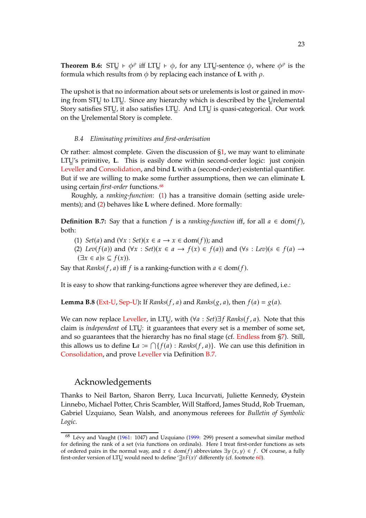**Theorem B.6:** STU  $\vdash \phi^{\rho}$  iff LTU  $\vdash \phi$ , for any LTU-sentence  $\phi$ , where  $\phi^{\rho}$  is the formula which results from  $\phi$  by replacing each instance of **L** with  $\rho$ .

The upshot is that no information about sets or urelements is lost or gained in moving from STUౖ to LTUॢ. Since any hierarchy which is described by the Uৣrelemental Story satisfies STUॢ, it also satisfies LTUॢ. And LTUॢ is quasi-categorical. Our work on the Uֱrelemental Story is complete.

#### <span id="page-22-0"></span>*B.4 Eliminating primitives and first-orderisation*

Or rather: almost complete. Given the discussion of [§1,](#page-1-0) we may want to eliminate LTUॢ's primitive, **L**. This is easily done within second-order logic: just conjoin [Leveller](#page-20-3) and [Consolidation,](#page-20-3) and bind **L** with a (second-order) existential quantifier. But if we are willing to make some further assumptions, then we can eliminate **L** using certain *first-order* functions.<sup>[68](#page-22-1)</sup>

Roughly, a *ranking-function*: [\(1\)](#page-22-2) has a transitive domain (setting aside urelements); and [\(2\)](#page-22-3) behaves like **L** where defined. More formally:

<span id="page-22-4"></span><span id="page-22-2"></span>**Definition B.7:** Say that a function f is a *ranking-function* iff, for all  $a \in \text{dom}(f)$ , both:

<span id="page-22-3"></span>(1) *Set*(*a*) and  $(\forall x : Set)(x \in a \rightarrow x \in \text{dom}(f))$ ; and

(2) *Lev*( $f(a)$ ) and ( $\forall x : Set$ )( $x \in a \rightarrow f(x) \in f(a)$ ) and ( $\forall s : Lev$ )( $s \in f(a) \rightarrow$  $(\exists x \in a) s \subseteq f(x)$ ).

Say that *Ranks*( $f$ ,  $a$ ) iff  $f$  is a ranking-function with  $a \in \text{dom}(f)$ .

It is easy to show that ranking-functions agree wherever they are defined, i.e.:

**Lemma B.8** [\(Ext-U,](#page-17-0) [Sep-U\)](#page-17-5): If *Ranks*( $f$ ,  $a$ ) and *Ranks*( $g$ ,  $a$ ), then  $f(a) = g(a)$ .

We can now replace [Leveller,](#page-20-3) in LTU<sub>∞</sub>, with  $(\forall a : Set) \exists f$  *Ranks*( $f$ ,  $a$ ). Note that this claim is *independent* of LTU<sup>∞</sup> : it guarantees that every set is a member of some set, and so guarantees that the hierarchy has no final stage (cf. [Endless](#page-11-0) from [§7\)](#page-11-0). Still, this allows us to define **L**a  $:= \bigcap \{ f(a) : \text{Ranks}(f, a) \}$ . We can use this definition in [Consolidation,](#page-20-3) and prove [Leveller](#page-20-3) via Definition [B.7.](#page-22-4)

### Acknowledgements

Thanks to Neil Barton, Sharon Berry, Luca Incurvati, Juliette Kennedy, Øystein Linnebo, Michael Potter, Chris Scambler, Will Stafford, James Studd, Rob Trueman, Gabriel Uzquiano, Sean Walsh, and anonymous referees for *Bulletin of Symbolic Logic*.

<span id="page-22-1"></span><sup>68</sup> Lévy and Vaught [\(1961](#page-72-7): 1047) and Uzquiano [\(1999:](#page-74-2) 299) present a somewhat similar method for defining the rank of a set (via functions on ordinals). Here I treat first-order functions as sets of ordered pairs in the normal way, and  $x \in \text{dom}(f)$  abbreviates  $\exists y \langle x, y \rangle \in f$ . Of course, a fully first-order version of LTUֱ would need to define ' $\exists x F(x)'$  differently (cf. footnote [60\)](#page-20-1).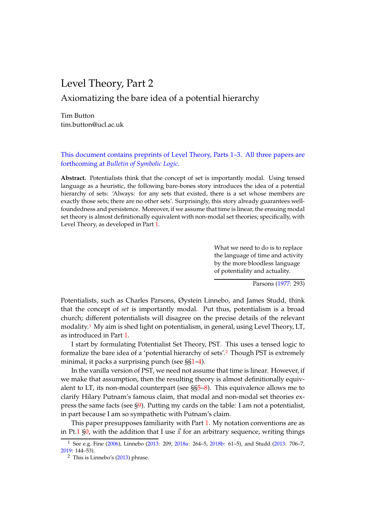# <span id="page-23-0"></span>Level Theory, Part 2

# Axiomatizing the bare idea of a potential hierarchy

Tim Button tim.button@ucl.ac.uk

This document contains preprints of Level Theory, Parts 1–3. All three papers are forthcoming at *Bulletin of Symbolic Logic*.

**Abstract.** Potentialists think that the concept of set is importantly modal. Using tensed language as a heuristic, the following bare-bones story introduces the idea of a potential hierarchy of sets: 'Always: for any sets that existed, there is a set whose members are exactly those sets; there are no other sets'. Surprisingly, this story already guarantees wellfoundedness and persistence. Moreover, if we assume that time is linear, the ensuing modal set theory is almost definitionally equivalent with non-modal set theories; specifically, with Level Theory, as developed in Part [1.](#page-0-1)

> What we need to do is to replace the language of time and activity by the more bloodless language of potentiality and actuality.

> > Parsons [\(1977](#page-73-16): 293)

Potentialists, such as Charles Parsons, Øystein Linnebo, and James Studd, think that the concept of *set* is importantly modal. Put thus, potentialism is a broad church; different potentialists will disagree on the precise details of the relevant modality.[1](#page-23-1) My aim is shed light on potentialism, in general, using Level Theory, LT, as introduced in Part [1.](#page-0-1)

I start by formulating Potentialist Set Theory, PST. This uses a tensed logic to formalize the bare idea of a 'potential hierarchy of sets'.[2](#page-23-2) Though PST is extremely minimal, it packs a surprising punch (see  $\S_{1-4}$ ).

In the vanilla version of PST, we need not assume that time is linear. However, if we make that assumption, then the resulting theory is almost definitionally equivalent to LT, its non-modal counterpart (see §[§5](#page-27-0)[–8\)](#page-31-0). This equivalence allows me to clarify Hilary Putnam's famous claim, that modal and non-modal set theories express the same facts (see [§9\)](#page-33-0). Putting my cards on the table: I am not a potentialist, in part because I am so sympathetic with Putnam's claim.

This paper presupposes familiarity with Part [1.](#page-0-1) My notation conventions are as in Pt[.1](#page-0-1) [§0,](#page-1-1) with the addition that I use  $\vec{x}$  for an arbitrary sequence, writing things

<sup>1</sup> See e.g. Fine [\(2006](#page-72-11)), Linnebo [\(2013:](#page-72-12) 209, [2018a](#page-72-13): 264–5, [2018b](#page-72-14): 61–5), and Studd [\(2013](#page-73-17): 706–7, [2019:](#page-74-4) 144–53).

<span id="page-23-2"></span><span id="page-23-1"></span><sup>2</sup> This is Linnebo's [\(2013](#page-72-12)) phrase.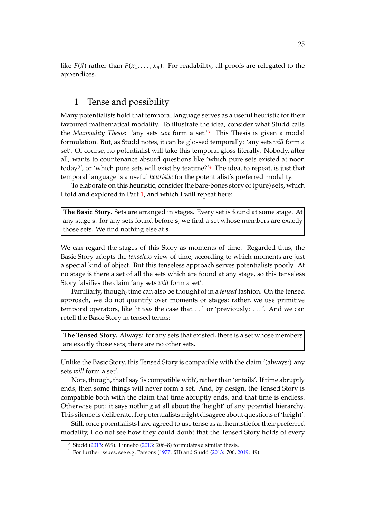like  $F(\vec{x})$  rather than  $F(x_1, \ldots, x_n)$ . For readability, all proofs are relegated to the appendices.

# <span id="page-24-0"></span>1 Tense and possibility

Many potentialists hold that temporal language serves as a useful heuristic for their favoured mathematical modality. To illustrate the idea, consider what Studd calls the *Maximality Thesis*: 'any sets *can* form a set.'[3](#page-24-1) This Thesis is given a modal formulation. But, as Studd notes, it can be glossed temporally: 'any sets *will* form a set'. Of course, no potentialist will take this temporal gloss literally. Nobody, after all, wants to countenance absurd questions like 'which pure sets existed at noon today?', or 'which pure sets will exist by teatime?'[4](#page-24-2) The idea, to repeat, is just that temporal language is a useful *heuristic* for the potentialist's preferred modality.

To elaborate on this heuristic, consider the bare-bones story of (pure) sets, which I told and explored in Part [1,](#page-0-1) and which I will repeat here:

**The Basic Story.** Sets are arranged in stages. Every set is found at some stage. At any stage **s**: for any sets found before **s**, we find a set whose members are exactly those sets. We find nothing else at **s**.

We can regard the stages of this Story as moments of time. Regarded thus, the Basic Story adopts the *tenseless* view of time, according to which moments are just a special kind of object. But this tenseless approach serves potentialists poorly. At no stage is there a set of all the sets which are found at any stage, so this tenseless Story falsifies the claim 'any sets *will* form a set'.

Familiarly, though, time can also be thought of in a *tensed* fashion. On the tensed approach, we do not quantify over moments or stages; rather, we use primitive temporal operators, like 'it *was* the case that. . . ' or 'previously: . . . '. And we can retell the Basic Story in tensed terms:

**The Tensed Story.** Always: for any sets that existed, there is a set whose members are exactly those sets; there are no other sets.

Unlike the Basic Story, this Tensed Story is compatible with the claim '(always:) any sets *will* form a set'.

Note, though, that I say 'is compatible with', rather than 'entails'. If time abruptly ends, then some things will never form a set. And, by design, the Tensed Story is compatible both with the claim that time abruptly ends, and that time is endless. Otherwise put: it says nothing at all about the 'height' of any potential hierarchy. This silence is deliberate, for potentialists might disagree about questions of 'height'.

Still, once potentialists have agreed to use tense as an heuristic for their preferred modality, I do not see how they could doubt that the Tensed Story holds of every

 $3$  Studd [\(2013](#page-73-17): 699). Linnebo [\(2013:](#page-72-12) 206–8) formulates a similar thesis.

<span id="page-24-2"></span><span id="page-24-1"></span><sup>4</sup> For further issues, see e.g. Parsons [\(1977](#page-73-16): §II) and Studd [\(2013:](#page-73-17) 706, [2019](#page-74-4): 49).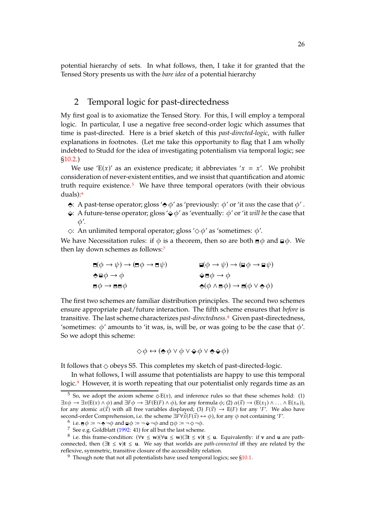potential hierarchy of sets. In what follows, then, I take it for granted that the Tensed Story presents us with the *bare idea* of a potential hierarchy

## <span id="page-25-5"></span>2 Temporal logic for past-directedness

My first goal is to axiomatize the Tensed Story. For this, I will employ a temporal logic. In particular, I use a negative free second-order logic which assumes that time is past-directed. Here is a brief sketch of this *past-directed-logic*, with fuller explanations in footnotes. (Let me take this opportunity to flag that I am wholly indebted to Studd for the idea of investigating potentialism via temporal logic; see [§10.2.](#page-37-0))

We use 'E(x)' as an existence predicate; it abbreviates ' $x = x'$ . We prohibit consideration of never-existent entities, and we insist that quantification and atomic truth require existence.[5](#page-25-0) We have three temporal operators (with their obvious duals):[6](#page-25-1)

- $\leftrightarrow$ : A past-tense operator; gloss  $\leftrightarrow \phi'$  as 'previously:  $\phi'$  or 'it *was* the case that  $\phi'$ .
- $\leftrightarrow$ : A future-tense operator; gloss  $'\diamond \phi'$  as 'eventually:  $\phi'$  or 'it *will be* the case that  $\phi'$ .
- $\Diamond$ : An unlimited temporal operator; gloss  $\Diamond \phi'$  as 'sometimes:  $\phi'$ .

We have Necessitation rules: if  $\phi$  is a theorem, then so are both  $\equiv \phi$  and  $\equiv \phi$ . We then lay down schemes as follows:[7](#page-25-2)

$$
\begin{array}{ll}\n\Box(\phi \to \psi) \to (\Box \phi \to \Box \psi) & \Box(\phi \to \psi) \to (\Box \phi \to \Box \psi) \\
\Leftrightarrow \Box \phi \to \phi & \Leftrightarrow \Box \phi \to \phi \\
\Box \phi \to \Box \Box \phi & \Leftrightarrow (\phi \land \Box \phi) \to \Box (\phi \lor \Leftrightarrow \phi)\n\end{array}
$$

The first two schemes are familiar distribution principles. The second two schemes ensure appropriate past/future interaction. The fifth scheme ensures that *before* is transitive. The last scheme characterizes *past-directedness*.[8](#page-25-3) Given past-directedness, 'sometimes:  $\phi'$  amounts to 'it was, is, will be, or was going to be the case that  $\phi'$ . So we adopt this scheme:

$$
\Diamond \phi \leftrightarrow (\Diamond \phi \lor \phi \lor \Diamond \phi \lor \Diamond \Diamond \phi)
$$

It follows that  $\diamond$  obeys S5. This completes my sketch of past-directed-logic.

In what follows, I will assume that potentialists are happy to use this temporal logic.<sup>[9](#page-25-4)</sup> However, it is worth repeating that our potentialist only regards time as an

<span id="page-25-0"></span><sup>&</sup>lt;sup>5</sup> So, we adopt the axiom scheme  $\Diamond E(x)$ , and inference rules so that these schemes hold: (1)  $\exists x \phi \rightarrow \exists x (E(x) \land \phi)$  and  $\exists F \phi \rightarrow \exists F (E(F) \land \phi)$ , for any formula  $\phi$ ; (2)  $\alpha(\vec{x}) \rightarrow (E(x_1) \land \ldots \land E(x_n))$ , for any atomic  $\alpha(\vec{x})$  with all free variables displayed; (3)  $F(\vec{x}) \rightarrow E(F)$  for any '*F*'. We also have second-order Comprehension, i.e. the scheme  $\exists F \forall \vec{x} (F(\vec{x}) \leftrightarrow \phi)$ , for any  $\phi$  not containing '*F'*.

 $^6\,$  i.e.  $\equiv \phi \coloneqq \neg \Leftrightarrow \neg \phi$  and  $\sqsubseteq \phi \coloneqq \neg \Leftrightarrow \neg \phi$  and  $\sqcup \phi \coloneqq \neg \Leftrightarrow \neg \phi$ .

<span id="page-25-2"></span><span id="page-25-1"></span> $^7\,$  See e.g. Goldblatt [\(1992:](#page-72-15) 41) for all but the last scheme.

<span id="page-25-3"></span><sup>8</sup> i.e. this frame-condition: (∀**v** ≤ **w**)(∀**u** ≤ **w**)(∃**t** ≤ **v**)**t** ≤ **u**. Equivalently: if **v** and **u** are pathconnected, then (∃**t** ≤ **v**)**t** ≤ **u**. We say that worlds are *path-connected* iff they are related by the reflexive, symmetric, transitive closure of the accessibility relation.

<span id="page-25-4"></span> $9\text{}$  Though note that not all potentialists have used temporal logics; see [§10.1.](#page-37-1)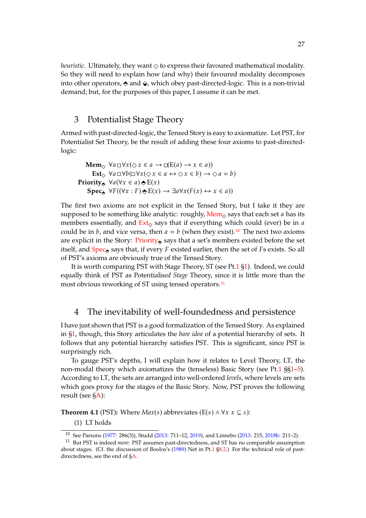*heuristic*. Ultimately, they want  $\Diamond$  to express their favoured mathematical modality. So they will need to explain how (and why) their favoured modality decomposes into other operators,  $\triangle$  and  $\triangle$ , which obey past-directed-logic. This is a non-trivial demand; but, for the purposes of this paper, I assume it can be met.

### <span id="page-26-1"></span>3 Potentialist Stage Theory

Armed with past-directed-logic, the Tensed Story is easy to axiomatize. Let PST, for Potentialist Set Theory, be the result of adding these four axioms to past-directedlogic:

```
Mem \Diamond \forall a \Box \forall x (\Diamond x \in a \rightarrow \Box (E(a) \rightarrow x \in a))Ext, \forall a \Box \forall b (\Box \forall x (\Diamond x \in a \leftrightarrow \Diamond x \in b) \rightarrow \Diamond a = b)Priority \forall a (\forall x \in a) \Leftrightarrow E(x)Spec \forall F((\forall x : F) \triangle E(x) \rightarrow \exists a \forall x (F(x) \leftrightarrow x \in a))
```
The first two axioms are not explicit in the Tensed Story, but I take it they are supposed to be something like analytic: roughly,  $\text{Mem}_{\diamond}$  $\text{Mem}_{\diamond}$  $\text{Mem}_{\diamond}$  says that each set *a* has its members essentially, and  $Ext_{\diamond}$  $Ext_{\diamond}$  says that if everything which could (ever) be in *a* could be in  $b$ , and vice versa, then  $a = b$  (when they exist).<sup>[10](#page-26-2)</sup> The next two axioms are explicit in the Story:  $Priority_{\odot}$  $Priority_{\odot}$  says that a set's members existed before the set itself, and  $Spec_{\mathbf{S}}$  $Spec_{\mathbf{S}}$  says that, if every  $F$  existed earlier, then the set of  $Fs$  exists. So all of PST's axioms are obviously true of the Tensed Story.

It is worth comparing PST with Stage Theory, ST (see Pt[.1](#page-0-1) [§1\)](#page-1-0). Indeed, we could equally think of PST as Potentialis*ed Stage* Theory, since it is little more than the most obvious reworking of ST using tensed operators.<sup>[11](#page-26-3)</sup>

# <span id="page-26-0"></span>4 The inevitability of well-foundedness and persistence

I have just shown that PST is a good formalization of the Tensed Story. As explained in [§1,](#page-24-0) though, this Story articulates the *bare idea* of a potential hierarchy of sets. It follows that any potential hierarchy satisfies PST. This is significant, since PST is surprisingly rich.

To gauge PST's depths, I will explain how it relates to Level Theory, LT, the non-modal theory which axiomatizes the (tenseless) Basic Story (see Pt[.1](#page-0-1) §[§1–](#page-1-0)[5\)](#page-8-0). According to LT, the sets are arranged into well-ordered *levels*, where levels are sets which goes proxy for the stages of the Basic Story. Now, PST proves the following result (see [§A\)](#page-38-0):

<span id="page-26-5"></span><span id="page-26-4"></span>**Theorem 4.1** (PST): Where  $Max(s)$  abbreviates (E(s)  $\land$   $\forall x \ x \subseteq s$ ):

(1) LT holds

<span id="page-26-2"></span><sup>10</sup> See Parsons [\(1977](#page-73-16): 286(3)), Studd [\(2013:](#page-73-17) 711–12, [2019\)](#page-74-4), and Linnebo [\(2013](#page-72-12): 215, [2018b](#page-72-14): 211–2).

<span id="page-26-3"></span><sup>11</sup> But PST is indeed *more*: PST assumes past-directedness, and ST has no comparable assumption about stages. (Cf. the discussion of Boolos's [\(1989](#page-72-2)) Net in Pt[.1](#page-0-1) [§8.2.](#page-13-0)) For the technical role of pastdirectedness, see the end of [§A.](#page-38-0)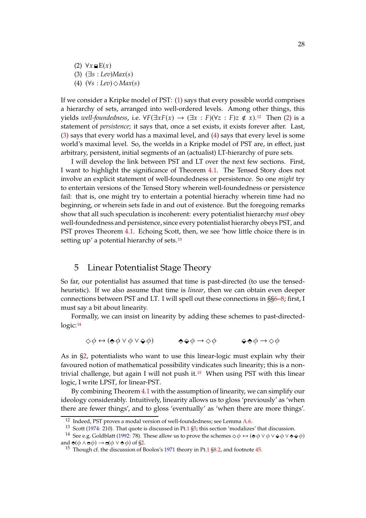<span id="page-27-4"></span><span id="page-27-3"></span><span id="page-27-2"></span>(2)  $\forall x \sqsubseteq E(x)$ (3) (∃𝑠 : *Lev*)*Max*(𝑠) (4)  $(\forall s : \text{Lev}) \Diamond \text{Max}(s)$ 

If we consider a Kripke model of PST: [\(1\)](#page-26-4) says that every possible world comprises a hierarchy of sets, arranged into well-ordered levels. Among other things, this yields *well-foundedness*, i.e.  $\forall F(\exists x F(x) \rightarrow (\exists x : F)(\forall z : F)z \notin x)$ .<sup>[12](#page-27-1)</sup> Then [\(2\)](#page-27-2) is a statement of *persistence*; it says that, once a set exists, it exists forever after. Last, [\(3\)](#page-27-3) says that every world has a maximal level, and [\(4\)](#page-27-4) says that every level is some world's maximal level. So, the worlds in a Kripke model of PST are, in effect, just arbitrary, persistent, initial segments of an (actualist) LT-hierarchy of pure sets.

I will develop the link between PST and LT over the next few sections. First, I want to highlight the significance of Theorem [4.1.](#page-26-5) The Tensed Story does not involve an explicit statement of well-foundedness or persistence. So one *might* try to entertain versions of the Tensed Story wherein well-foundedness or persistence fail: that is, one might try to entertain a potential hierachy wherein time had no beginning, or wherein sets fade in and out of existence. But the foregoing remarks show that all such speculation is incoherent: every potentialist hierarchy *must* obey well-foundedness and persistence, since every potentialist hierarchy obeys PST, and PST proves Theorem [4.1.](#page-26-5) Echoing Scott, then, we see 'how little choice there is in setting up' a potential hierarchy of sets.<sup>[13](#page-27-5)</sup>

### <span id="page-27-0"></span>5 Linear Potentialist Stage Theory

So far, our potentialist has assumed that time is past-directed (to use the tensedheuristic). If we also assume that time is *linear*, then we can obtain even deeper connections between PST and LT. I will spell out these connections in §[§6](#page-28-0)[–8;](#page-31-0) first, I must say a bit about linearity.

Formally, we can insist on linearity by adding these schemes to past-directedlogic:[14](#page-27-6)

$$
\diamondsuit \phi \leftrightarrow (\diamondsuit \phi \lor \phi \lor \diamondsuit \phi) \qquad \diamondsuit \diamond \phi \rightarrow \diamondsuit \phi \qquad \diamondsuit \diamond \phi \rightarrow \diamondsuit \phi
$$

As in [§2,](#page-25-5) potentialists who want to use this linear-logic must explain why their favoured notion of mathematical possibility vindicates such linearity; this is a nontrivial challenge, but again I will not push it. $15$  When using PST with this linear logic, I write LPST, for linear-PST.

By combining Theorem [4.1](#page-26-5) with the assumption of linearity, we can simplify our ideology considerably. Intuitively, linearity allows us to gloss 'previously' as 'when there are fewer things', and to gloss 'eventually' as 'when there are more things'.

<sup>12</sup> Indeed, PST proves a modal version of well-foundedness; see Lemma [A.6.](#page-39-0)

<span id="page-27-5"></span><span id="page-27-1"></span><sup>&</sup>lt;sup>13</sup> Scott [\(1974](#page-73-0): 210). That quote is discussed in Pt[.1](#page-0-1) [§5;](#page-8-0) this section 'modalizes' that discussion.

<sup>&</sup>lt;sup>14</sup> See e.g. Goldblatt [\(1992](#page-72-15): 78). These allow us to prove the schemes  $\diamond \phi \leftrightarrow (\diamond \phi \vee \phi \vee \diamond \phi \vee \diamond \diamond \phi)$ and  $\triangleq (\phi \land \Box \phi) \rightarrow \Box(\phi \lor \triangle \phi)$  of [§2.](#page-25-5)

<span id="page-27-7"></span><span id="page-27-6"></span><sup>&</sup>lt;sup>15</sup> Though cf. the discussion of Boolos's [1971](#page-72-9) theory in Pt[.1](#page-0-1)  $\S$ 8.2, and footnote [45.](#page-38-1)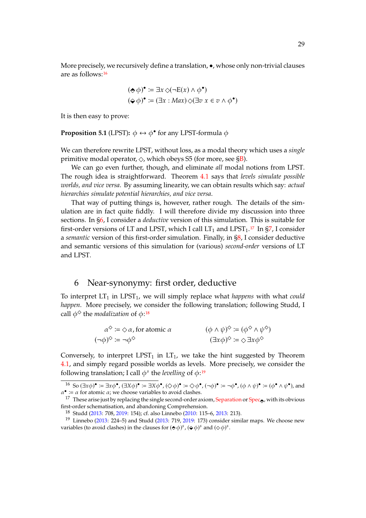More precisely, we recursively define a translation, •, whose only non-trivial clauses are as follows:[16](#page-28-1)

$$
(\Leftrightarrow \phi)^{\bullet} := \exists x \diamond (\neg E(x) \land \phi^{\bullet})
$$
  

$$
(\Leftrightarrow \phi)^{\bullet} := (\exists x : Max) \diamond (\exists v \ x \in v \land \phi^{\bullet})
$$

It is then easy to prove:

**Proposition 5.1** (LPST):  $\phi \leftrightarrow \phi^{\bullet}$  for any LPST-formula  $\phi$ 

We can therefore rewrite LPST, without loss, as a modal theory which uses a *single* primitive modal operator,  $\Diamond$ , which obeys S5 (for more, see SB).

We can go even further, though, and eliminate *all* modal notions from LPST. The rough idea is straightforward. Theorem [4.1](#page-26-5) says that *levels simulate possible worlds, and vice versa*. By assuming linearity, we can obtain results which say: *actual hierarchies simulate potential hierarchies, and vice versa*.

That way of putting things is, however, rather rough. The details of the simulation are in fact quite fiddly. I will therefore divide my discussion into three sections. In [§6,](#page-28-0) I consider a *deductive* version of this simulation. This is suitable for first-order versions of LT and LPST, which I call  $LT_1$  and LPST<sub>1</sub>.<sup>[17](#page-28-2)</sup> In [§7,](#page-30-0) I consider a *semantic* version of this first-order simulation. Finally, in [§8,](#page-31-0) I consider deductive and semantic versions of this simulation for (various) *second-order* versions of LT and LPST.

# <span id="page-28-0"></span>6 Near-synonymy: first order, deductive

To interpret  $LT_1$  in  $LPST_1$ , we will simply replace what *happens* with what *could happen*. More precisely, we consider the following translation; following Studd, I call  $\phi^{\Diamond}$  the *modalization* of  $\phi$ :<sup>[18](#page-28-3)</sup>

$$
\alpha^{\diamond} := \diamond \alpha, \text{ for atomic } \alpha \qquad (\phi \land \psi)^{\diamond} := (\phi^{\diamond} \land \psi^{\diamond})
$$
  

$$
(\neg \phi)^{\diamond} := \neg \phi^{\diamond} \qquad (\exists x \phi)^{\diamond} := \diamond \exists x \phi^{\diamond}
$$

Conversely, to interpret LPST<sub>1</sub> in LT<sub>1</sub>, we take the hint suggested by Theorem [4.1,](#page-26-5) and simply regard possible worlds as levels. More precisely, we consider the following translation; I call  $\phi^s$  the *levelling* of  $\phi$ :<sup>[19](#page-28-4)</sup>

<span id="page-28-1"></span> $^{16}$  So  $(\exists x \phi)^{\bullet} \coloneqq \exists x \phi^{\bullet}, (\bigcirc \phi)^{\bullet} \coloneqq \bigcirc \phi^{\bullet}, (\neg \phi)^{\bullet} \coloneqq \neg \phi^{\bullet}, (\phi \wedge \psi)^{\bullet} \coloneqq (\phi^{\bullet} \wedge \psi^{\bullet})$ , and  $\alpha^{\bullet}$  :=  $\alpha$  for atomic  $\alpha$ ; we choose variables to avoid clashes.

<sup>&</sup>lt;sup>17</sup> These arise just by replacing the single second-order axiom, [Separation](#page-3-6) or  $Spec_{\diamond}$  $Spec_{\diamond}$ , with its obvious first-order schematisation, and abandoning Comprehension.

<span id="page-28-3"></span><span id="page-28-2"></span><sup>18</sup> Studd [\(2013](#page-73-17): 708, [2019:](#page-74-4) 154); cf. also Linnebo [\(2010](#page-72-16): 115–6, [2013:](#page-72-12) 213).

<span id="page-28-4"></span><sup>&</sup>lt;sup>19</sup> Linnebo [\(2013](#page-73-17): 224–5) and Studd (2013: 719, [2019](#page-74-4): 173) consider similar maps. We choose new variables (to avoid clashes) in the clauses for  $(\diamond \phi)^s$ ,  $(\diamond \phi)^s$  and  $(\diamond \phi)^s$ .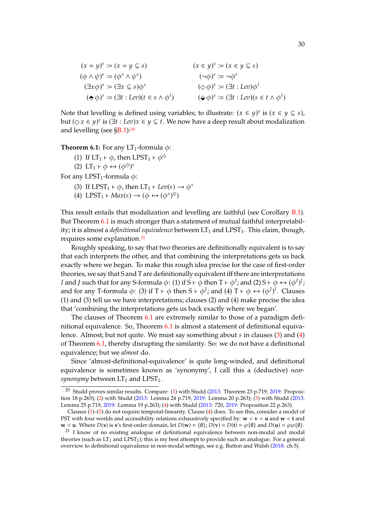$$
(x = y)^s := (x = y \subseteq s)
$$
  
\n
$$
(\phi \land \psi)^s := (\phi^s \land \psi^s)
$$
  
\n
$$
(\exists x \phi)^s := (\exists x \subseteq s) \phi^s
$$
  
\n
$$
(\phi \phi)^s := (\exists x \subseteq s) \phi^s
$$
  
\n
$$
(\phi \phi)^s := (\exists t : Lev)(t \in s \land \phi^t)
$$
  
\n
$$
(\phi \phi)^s := (\exists t : Lev)(s \in t \land \phi^t)
$$

Note that levelling is defined using variables; to illustrate:  $(x \in y)^s$  is  $(x \in y \subseteq s)$ , but  $(\Diamond x \in y)^s$  is  $(\exists t : Lev)x \in y \subseteq t$ . We now have a deep result about modalization and levelling (see [§B.1\)](#page-41-1):[20](#page-29-0)

<span id="page-29-6"></span><span id="page-29-5"></span><span id="page-29-1"></span>**Theorem 6.1:** For any  $LT_1$ -formula  $\phi$ :

- (1) If  $LT_1 \vdash \phi$ , then LPST<sub>1</sub>  $\vdash \phi^{\diamondsuit}$
- (2) LT<sub>1</sub>  $\vdash \phi \leftrightarrow (\phi^{\diamond})^s$

<span id="page-29-4"></span><span id="page-29-3"></span>For any LPST<sub>1</sub>-formula  $\phi$ :

- (3) If LPST<sub>1</sub>  $\vdash \phi$ , then LT<sub>1</sub>  $\vdash$  *Lev*(*s*)  $\rightarrow \phi^s$
- (4) LPST<sub>1</sub>  $\vdash Max(s) \rightarrow (\phi \leftrightarrow (\phi^s)^{\diamond})$

This result entails that modalization and levelling are faithful (see Corollary [B.1\)](#page-42-0). But Theorem [6.1](#page-29-1) is much stronger than a statement of mutual faithful interpretability; it is almost a *definitional equivalence* between  $LT_1$  and  $LPST_1$ . This claim, though, requires some explanation.[21](#page-29-2)

Roughly speaking, to say that two theories are definitionally equivalent is to say that each interprets the other, and that combining the interpretations gets us back exactly where we began. To make this rough idea precise for the case of first-order theories, we say that S and T are definitionally equivalent iff there are interpretations I and J such that for any S-formula  $\phi$ : (1) if S ⊦  $\phi$  then T ⊦  $\phi^I$ ; and (2) S ⊦  $\phi \leftrightarrow (\phi^I)^J$ ; and for any T-formula  $\phi$ : (3) if T  $\vdash \phi$  then S  $\vdash \phi^J$ ; and (4) T  $\vdash \phi \leftrightarrow (\phi^J)^I$ . Clauses (1) and (3) tell us we have interpretations; clauses (2) and (4) make precise the idea that 'combining the interpretations gets us back exactly where we began'.

The clauses of Theorem [6.1](#page-29-1) are extremely similar to those of a paradigm definitional equivalence. So, Theorem [6.1](#page-29-1) is almost a statement of definitional equivalence. Almost; but not quite. We must say something about  $s$  in clauses [\(3\)](#page-29-3) and [\(4\)](#page-29-4) of Theorem [6.1,](#page-29-1) thereby disrupting the similarity. So: we do not have a definitional equivalence; but we *almost* do.

Since 'almost-definitional-equivalence' is quite long-winded, and definitional equivalence is sometimes known as 'synonymy', I call this a (deductive) *near* $synonymy$  between  $LT_1$  and  $LPST_1$ .

<span id="page-29-0"></span><sup>&</sup>lt;sup>20</sup> Studd proves similar results. Compare: [\(1\)](#page-29-5) with Studd [\(2013:](#page-73-17) Theorem 23 p.719, [2019](#page-74-4): Proposition 18 p.263); [\(2\)](#page-29-6) with Studd [\(2013:](#page-73-17) Lemma 24 p.719, [2019:](#page-74-4) Lemma 20 p.263); [\(3\)](#page-29-3) with Studd [\(2013](#page-73-17): Lemma 25 p.719, [2019:](#page-74-4) Lemma 19 p.263); [\(4\)](#page-29-4) with Studd [\(2013:](#page-73-17) 720, [2019](#page-74-4): Proposition 22 p.263).

Clauses [\(1\)](#page-29-5)–[\(3\)](#page-29-3) do not require temporal-linearity. Clause [\(4\)](#page-29-4) does. To see this, consider a model of PST with four worlds and accessibility relations exhaustively specified by: **w** < **v** < **u** and **w** < **t** and  $\mathbf{w} < \mathbf{u}$ . Where  $D(\mathbf{x})$  is  $\mathbf{x}'$ s first-order domain, let  $D(\mathbf{w}) = \{0\}$ ;  $D(\mathbf{v}) = D(\mathbf{t}) = \wp(\{0\})$  and  $D(\mathbf{u}) = \wp(\wp(\emptyset)$ .

<span id="page-29-2"></span><sup>&</sup>lt;sup>21</sup> I know of no existing analogue of definitional equivalence between non-modal and modal theories (such as  $LT_1$  and  $LPST_1$ ); this is my best attempt to provide such an analogue. For a general overview to definitional equivalence in non-modal settings, see e.g. Button and Walsh [\(2018:](#page-72-3) ch.5).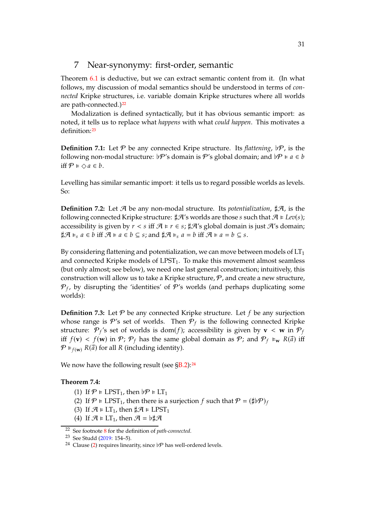# <span id="page-30-0"></span>7 Near-synonymy: first-order, semantic

Theorem [6.1](#page-29-1) is deductive, but we can extract semantic content from it. (In what follows, my discussion of modal semantics should be understood in terms of *connected* Kripke structures, i.e. variable domain Kripke structures where all worlds are path-connected.)<sup>[22](#page-30-1)</sup>

Modalization is defined syntactically, but it has obvious semantic import: as noted, it tells us to replace what *happens* with what *could happen*. This motivates a definition:[23](#page-30-2)

**Definition 7.1:** Let  $\mathcal{P}$  be any connected Kripe structure. Its *flattening*,  $\not\vdash \mathcal{P}$ , is the following non-modal structure:  $\not\! P$ 's domain is  $P$ 's global domain; and  $\not\! P \models a \in b$ iff  $P \models \Diamond a \in b$ .

Levelling has similar semantic import: it tells us to regard possible worlds as levels. So:

**Definition 7.2:** Let  $\mathcal{A}$  be any non-modal structure. Its *potentialization*,  $\sharp \mathcal{A}$ , is the following connected Kripke structure:  $\sharp \mathcal{A}'$ 's worlds are those s such that  $\mathcal{A} \models Lev(s);$ accessibility is given by  $r < s$  iff  $\mathcal{A} \models r \in s$ ;  $\sharp \mathcal{A}'s$  global domain is just  $\mathcal{A}'s$  domain;  $\sharp \mathcal{A} \models_s a \in b$  iff  $\mathcal{A} \models a \in b \subseteq s$ ; and  $\sharp \mathcal{A} \models_s a = b$  iff  $\mathcal{A} \models a = b \subseteq s$ .

By considering flattening and potentialization, we can move between models of  $LT<sub>1</sub>$ and connected Kripke models of  $LPST<sub>1</sub>$ . To make this movement almost seamless (but only almost; see below), we need one last general construction; intuitively, this construction will allow us to take a Kripke structure,  $P$ , and create a new structure,  $\mathcal{P}_f$ , by disrupting the 'identities' of  $\mathcal{P}'$ s worlds (and perhaps duplicating some worlds):

**Definition 7.3:** Let  $P$  be any connected Kripke structure. Let  $f$  be any surjection whose range is  $\mathcal{P}'$ s set of worlds. Then  $\mathcal{P}_f$  is the following connected Kripke structure:  $\mathcal{P}_f$ 's set of worlds is dom $(f)$ ; accessibility is given by  $\mathbf{v} < \mathbf{w}$  in  $\mathcal{P}_f$ iff  $f(\mathbf{v}) < f(\mathbf{w})$  in  $\mathcal{P}; \mathcal{P}_f$  has the same global domain as  $\mathcal{P};$  and  $\mathcal{P}_f \models_{\mathbf{w}} R(\vec{a})$  iff  $\mathcal{P} \models_{f(\mathbf{w})} R(\vec{a})$  for all R (including identity).

We now have the following result (see  $\S B.2$ ):<sup>[24](#page-30-3)</sup>

#### <span id="page-30-5"></span><span id="page-30-4"></span>Theorem 7.4:

- (1) If  $\mathcal{P} \models \text{LPST}_1$ , then  $\flat \mathcal{P} \models \text{LT}_1$
- (2) If  $\mathcal{P} \models \text{LPST}_1$ , then there is a surjection f such that  $\mathcal{P} = (\sharp \flat \mathcal{P})_f$
- (3) If  $\mathcal{A} \models LT_1$ , then  $\sharp \mathcal{A} \models LPST_1$
- (4) If  $\mathcal{A} \models LT_1$ , then  $\mathcal{A} = \flat \sharp \mathcal{A}$

<sup>22</sup> See footnote [8](#page-25-3) for the definition of *path-connected*.

<span id="page-30-1"></span><sup>23</sup> See Studd [\(2019](#page-74-4): 154–5).

<span id="page-30-3"></span><span id="page-30-2"></span><sup>&</sup>lt;sup>24</sup> Clause [\(2\)](#page-30-4) requires linearity, since  $\nu$  has well-ordered levels.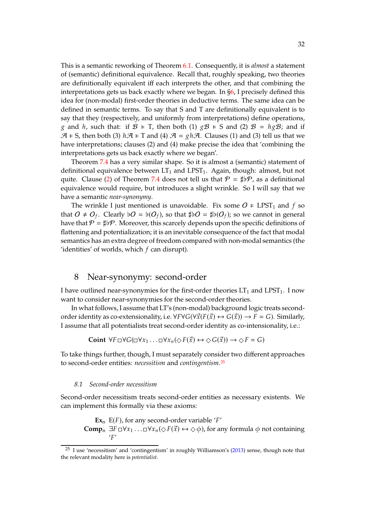This is a semantic reworking of Theorem [6.1.](#page-29-1) Consequently, it is *almost* a statement of (semantic) definitional equivalence. Recall that, roughly speaking, two theories are definitionally equivalent iff each interprets the other, and that combining the interpretations gets us back exactly where we began. In [§6,](#page-28-0) I precisely defined this idea for (non-modal) first-order theories in deductive terms. The same idea can be defined in semantic terms. To say that S and T are definitionally equivalent is to say that they (respectively, and uniformly from interpretations) define operations, g and h, such that: if  $\mathcal{B} \models T$ , then both (1)  $g\mathcal{B} \models S$  and (2)  $\mathcal{B} = h g\mathcal{B}$ ; and if  $\mathcal{A} \models S$ , then both (3)  $h\mathcal{A} \models T$  and (4)  $\mathcal{A} = gh\mathcal{A}$ . Clauses (1) and (3) tell us that we have interpretations; clauses (2) and (4) make precise the idea that 'combining the interpretations gets us back exactly where we began'.

Theorem [7.4](#page-30-5) has a very similar shape. So it is almost a (semantic) statement of definitional equivalence between  $LT_1$  and  $LPST_1$ . Again, though: almost, but not quite. Clause [\(2\)](#page-30-4) of Theorem [7.4](#page-30-5) does not tell us that  $\mathcal{P} = \sharp \flat \mathcal{P}$ , as a definitional equivalence would require, but introduces a slight wrinkle. So I will say that we have a semantic *near-synonymy*.

The wrinkle I just mentioned is unavoidable. Fix some  $O \in \text{LPST}_1$  and f so that  $O \neq O_f$ . Clearly  $\flat O = \flat(O_f)$ , so that  $\sharp \flat O = \sharp \flat(O_f)$ ; so we cannot in general have that  $\mathcal{P} = \sharp \flat \mathcal{P}$ . Moreover, this scarcely depends upon the specific definitions of flattening and potentialization; it is an inevitable consequence of the fact that modal semantics has an extra degree of freedom compared with non-modal semantics (the 'identities' of worlds, which  $f$  can disrupt).

# <span id="page-31-0"></span>8 Near-synonymy: second-order

I have outlined near-synonymies for the first-order theories  $LT_1$  and  $LPST_1$ . I now want to consider near-synonymies for the second-order theories.

In what follows, I assume that LT's (non-modal) background logic treats secondorder identity as co-extensionality, i.e.  $\forall F \forall G (\forall \vec{x}(F(\vec{x}) \leftrightarrow G(\vec{x})) \rightarrow F = G)$ . Similarly, I assume that all potentialists treat second-order identity as co-intensionality, i.e.:

**Coint**  $\forall F \Box \forall G (\Box \forall x_1 \dots \Box \forall x_n (\Diamond F(\vec{x})) \leftrightarrow \Diamond G(\vec{x})) \rightarrow \Diamond F = G$ 

To take things further, though, I must separately consider two different approaches to second-order entities: *necessitism* and *contingentism*.[25](#page-31-1)

#### <span id="page-31-2"></span>*8.1 Second-order necessitism*

Second-order necessitism treats second-order entities as necessary existents. We can implement this formally via these axioms:

 $\mathbf{Ex}_n$  E(*F*), for any second-order variable '*F'* **Comp**<sub>n</sub>  $\exists F \Box \forall x_1 \dots \Box \forall x_n (\Diamond F(\vec{x}) \leftrightarrow \Diamond \phi)$ , for any formula  $\phi$  not containing  $'F'$ 

<span id="page-31-1"></span><sup>25</sup> I use 'necessitism' and 'contingentism' in roughly Williamson's [\(2013\)](#page-74-5) sense, though note that the relevant modality here is *potentialist*.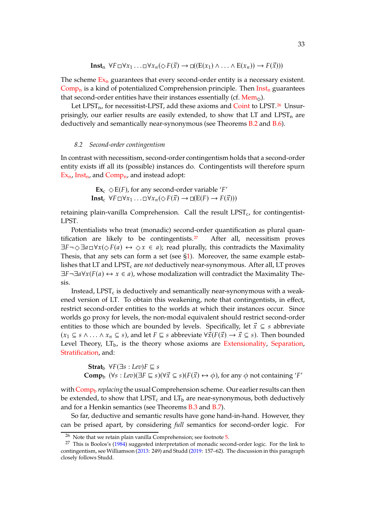$$
\mathbf{Inst}_n \ \forall F \Box \forall x_1 \ldots \Box \forall x_n (\Diamond F(\vec{x}) \rightarrow \Box ((E(x_1) \land \ldots \land E(x_n)) \rightarrow F(\vec{x})))
$$

The scheme  $Ex_n$  $Ex_n$  guarantees that every second-order entity is a necessary existent.  $Comp_n$  $Comp_n$  is a kind of potentialized Comprehension principle. Then  $Instr_n$  $Instr_n$  guarantees that second-order entities have their instances essentially (cf.  $Mem_{\diamond}$  $Mem_{\diamond}$ ).

Let  $LPST_n$ , for necessitist-LPST, add these axioms and [Coint](#page-31-0) to LPST.<sup>[26](#page-32-0)</sup> Unsurprisingly, our earlier results are easily extended, to show that LT and LPST<sub>n</sub> are deductively and semantically near-synonymous (see Theorems [B.2](#page-42-2) and [B.6\)](#page-43-0).

#### <span id="page-32-2"></span>*8.2 Second-order contingentism*

In contrast with necessitism, second-order contingentism holds that a second-order entity exists iff all its (possible) instances do. Contingentists will therefore spurn  $Ex_n$  $Ex_n$ , [Inst](#page-31-2)<sub>n</sub>, and [Comp](#page-31-2)<sub>n</sub>, and instead adopt:

> $\mathbf{Ex}_{c} \diamond E(F)$ , for any second-order variable '*F'* **Inst**<sub>c</sub>  $\forall F \Box \forall x_1 \ldots \Box \forall x_n (\Diamond F(\vec{x})) \rightarrow \Box (E(F) \rightarrow F(\vec{x})))$

retaining plain-vanilla Comprehension. Call the result  $LPST<sub>c</sub>$ , for contingentist-LPST.

Potentialists who treat (monadic) second-order quantification as plural quan-tification are likely to be contingentists.<sup>[27](#page-32-1)</sup> After all, necessitism proves  $\exists F \neg \Diamond \exists a \Box \forall x (\Diamond F(a) \leftrightarrow \Diamond x \in a)$ ; read plurally, this contradicts the Maximality Thesis, that any sets can form a set (see  $\S1$ ). Moreover, the same example establishes that LT and LPST<sub>c</sub> are *not* deductively near-synonymous. After all, LT proves  $\exists F \neg \exists a \forall x (F(a) \leftrightarrow x \in a)$ , whose modalization will contradict the Maximality Thesis.

Instead, LPST $<sub>c</sub>$  is deductively and semantically near-synonymous with a weak-</sub> ened version of LT. To obtain this weakening, note that contingentists, in effect, restrict second-order entities to the worlds at which their instances occur. Since worlds go proxy for levels, the non-modal equivalent should restrict second-order entities to those which are bounded by levels. Specifically, let  $\vec{x} \subseteq s$  abbreviate  $(x_1 \subseteq s \land \ldots \land x_n \subseteq s)$ , and let  $F \sqsubseteq s$  abbreviate  $\forall \vec{x} (F(\vec{x}) \rightarrow \vec{x} \subseteq s)$ . Then bounded Level Theory,  $LT<sub>b</sub>$ , is the theory whose axioms are [Extensionality,](#page-1-0) [Separation,](#page-3-6) [Stratification,](#page-3-6) and:

**Strat**<sub>b</sub>  $\forall F(\exists s : Lev) F \sqsubseteq s$ **Comp**<sub>b</sub>  $(\forall s : Lev)(\exists F \sqsubseteq s)(\forall \vec{x} \subseteq s)(F(\vec{x}) \leftrightarrow \phi)$ , for any  $\phi$  not containing '*F'* 

with [Comp](#page-32-2)<sub>b</sub> *replacing* the usual Comprehension scheme. Our earlier results can then be extended, to show that  $LPST_c$  and  $LT_b$  are near-synonymous, both deductively and for a Henkin semantics (see Theorems [B.3](#page-42-3) and [B.7\)](#page-43-1).

So far, deductive and semantic results have gone hand-in-hand. However, they can be prised apart, by considering *full* semantics for second-order logic. For

<span id="page-32-0"></span> $26$  Note that we retain plain vanilla Comprehension; see footnote  $5$ .

<span id="page-32-1"></span><sup>&</sup>lt;sup>27</sup> This is Boolos's [\(1984\)](#page-72-17) suggested interpretation of monadic second-order logic. For the link to contingentism, see Williamson [\(2013](#page-74-5): 249) and Studd [\(2019:](#page-74-4) 157–62). The discussion in this paragraph closely follows Studd.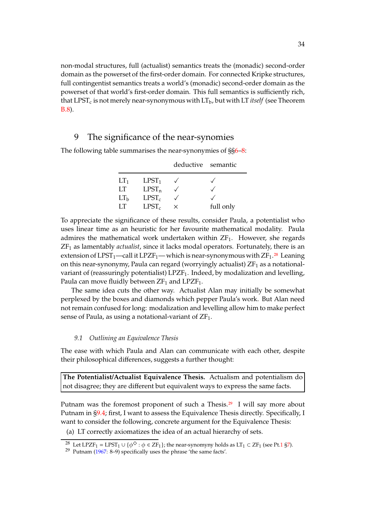non-modal structures, full (actualist) semantics treats the (monadic) second-order domain as the powerset of the first-order domain. For connected Kripke structures, full contingentist semantics treats a world's (monadic) second-order domain as the powerset of that world's first-order domain. This full semantics is sufficiently rich, that  $LPST_c$  is not merely near-synonymous with  $LT_b$ , but with  $LT$  *itself* (see Theorem [B.8\)](#page-44-0).

### <span id="page-33-0"></span>9 The significance of the near-synomies

|                 |                   | deductive semantic |           |
|-----------------|-------------------|--------------------|-----------|
| LT <sub>1</sub> | LPST <sub>1</sub> |                    |           |
| LT              | $LPST_n$          |                    |           |
| LT <sub>b</sub> | $LPST_c$          |                    |           |
| ŦТ              | $LPST_c$          | ×                  | full only |

The following table summarises the near-synonymies of §[§6](#page-28-0)[–8:](#page-31-0)

To appreciate the significance of these results, consider Paula, a potentialist who uses linear time as an heuristic for her favourite mathematical modality. Paula admires the mathematical work undertaken within  $ZF_1$ . However, she regards ZF<sup>1</sup> as lamentably *actualist*, since it lacks modal operators. Fortunately, there is an extension of  $LPST_1$ —call it  $LPZF_1$ — which is near-synonymous with  $ZF_1$ <sup>[28](#page-33-1)</sup> Leaning on this near-synonymy, Paula can regard (worryingly actualist)  $ZF_1$  as a notationalvariant of (reassuringly potentialist) LPZF1. Indeed, by modalization and levelling, Paula can move fluidly between  $ZF_1$  and  $LPZF_1$ .

The same idea cuts the other way. Actualist Alan may initially be somewhat perplexed by the boxes and diamonds which pepper Paula's work. But Alan need not remain confused for long: modalization and levelling allow him to make perfect sense of Paula, as using a notational-variant of  $ZF_1$ .

#### <span id="page-33-4"></span>*9.1 Outlining an Equivalence Thesis*

The ease with which Paula and Alan can communicate with each other, despite their philosophical differences, suggests a further thought:

**The Potentialist/Actualist Equivalence Thesis.** Actualism and potentialism do not disagree; they are different but equivalent ways to express the same facts.

Putnam was the foremost proponent of such a Thesis.<sup>[29](#page-33-2)</sup> I will say more about Putnam in [§9.4;](#page-36-0) first, I want to assess the Equivalence Thesis directly. Specifically, I want to consider the following, concrete argument for the Equivalence Thesis:

<span id="page-33-3"></span>(a) LT correctly axiomatizes the idea of an actual hierarchy of sets.

<sup>&</sup>lt;sup>28</sup> Let LPZF<sub>1</sub> = LPST<sub>1</sub> ∪ { $\phi^{\diamond}$  :  $\phi \in ZF_1$ }; the near-synomyny holds as LT<sub>1</sub> ⊂ ZF<sub>1</sub> (see Pt[.1](#page-0-1) [§7\)](#page-11-0).

<span id="page-33-2"></span><span id="page-33-1"></span><sup>29</sup> Putnam [\(1967](#page-73-18): 8–9) specifically uses the phrase 'the same facts'.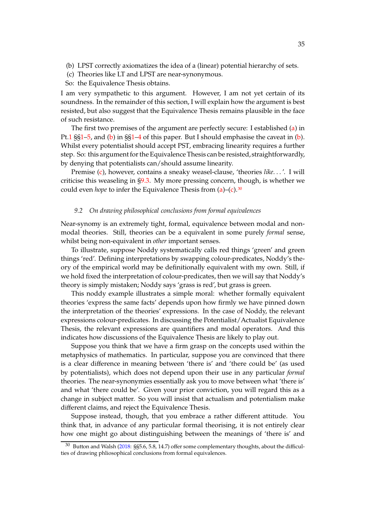- <span id="page-34-1"></span><span id="page-34-0"></span>(b) LPST correctly axiomatizes the idea of a (linear) potential hierarchy of sets.
- (c) Theories like LT and LPST are near-synonymous.
- So: the Equivalence Thesis obtains.

I am very sympathetic to this argument. However, I am not yet certain of its soundness. In the remainder of this section, I will explain how the argument is best resisted, but also suggest that the Equivalence Thesis remains plausible in the face of such resistance.

The first two premises of the argument are perfectly secure: I established [\(a\)](#page-33-3) in Pt[.1](#page-0-1) §[§1](#page-1-0)[–5,](#page-8-0) and [\(b\)](#page-34-0) in §[§1–](#page-24-0)[4](#page-26-0) of this paper. But I should emphasise the caveat in [\(b\)](#page-34-0). Whilst every potentialist should accept PST, embracing linearity requires a further step. So: this argument for the Equivalence Thesis can be resisted, straightforwardly, by denying that potentialists can/should assume linearity.

Premise [\(c\)](#page-34-1), however, contains a sneaky weasel-clause, 'theories *like*. . . '. I will criticise this weaseling in [§9.3.](#page-35-0) My more pressing concern, though, is whether we could even *hope* to infer the Equivalence Thesis from [\(a\)](#page-33-3)–[\(c\)](#page-34-1).<sup>[30](#page-34-2)</sup>

#### <span id="page-34-3"></span>*9.2 On drawing philosophical conclusions from formal equivalences*

Near-synomy is an extremely tight, formal, equivalence between modal and nonmodal theories. Still, theories can be a equivalent in some purely *formal* sense, whilst being non-equivalent in *other* important senses.

To illustrate, suppose Noddy systematically calls red things 'green' and green things 'red'. Defining interpretations by swapping colour-predicates, Noddy's theory of the empirical world may be definitionally equivalent with my own. Still, if we hold fixed the interpretation of colour-predicates, then we will say that Noddy's theory is simply mistaken; Noddy says 'grass is red', but grass is green.

This noddy example illustrates a simple moral: whether formally equivalent theories 'express the same facts' depends upon how firmly we have pinned down the interpretation of the theories' expressions. In the case of Noddy, the relevant expressions colour-predicates. In discussing the Potentialist/Actualist Equivalence Thesis, the relevant expressions are quantifiers and modal operators. And this indicates how discussions of the Equivalence Thesis are likely to play out.

Suppose you think that we have a firm grasp on the concepts used within the metaphysics of mathematics. In particular, suppose you are convinced that there is a clear difference in meaning between 'there is' and 'there could be' (as used by potentialists), which does not depend upon their use in any particular *formal* theories. The near-synonymies essentially ask you to move between what 'there is' and what 'there could be'. Given your prior conviction, you will regard this as a change in subject matter. So you will insist that actualism and potentialism make different claims, and reject the Equivalence Thesis.

Suppose instead, though, that you embrace a rather different attitude. You think that, in advance of any particular formal theorising, it is not entirely clear how one might go about distinguishing between the meanings of 'there is' and

<span id="page-34-2"></span><sup>30</sup> Button and Walsh [\(2018:](#page-72-3) §§5.6, 5.8, 14.7) offer some complementary thoughts, about the difficulties of drawing phliosophical conclusions from formal equivalences.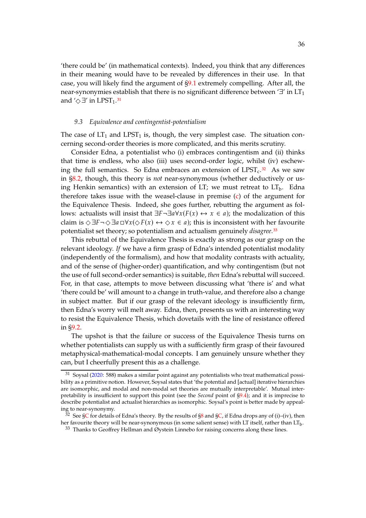'there could be' (in mathematical contexts). Indeed, you think that any differences in their meaning would have to be revealed by differences in their use. In that case, you will likely find the argument of [§9.1](#page-33-4) extremely compelling. After all, the near-synonymies establish that there is no significant difference between '∃' in  $LT_1$ and  $\Diamond \exists$ ' in LPST<sub>1</sub>.<sup>[31](#page-35-1)</sup>

#### <span id="page-35-0"></span>*9.3 Equivalence and contingentist-potentialism*

The case of  $LT_1$  and  $LPST_1$  is, though, the very simplest case. The situation concerning second-order theories is more complicated, and this merits scrutiny.

Consider Edna, a potentialist who (i) embraces contingentism and (ii) thinks that time is endless, who also (iii) uses second-order logic, whilst (iv) eschewing the full semantics. So Edna embraces an extension of  $LPST_c$ <sup>[32](#page-35-2)</sup> As we saw in [§8.2,](#page-32-2) though, this theory is *not* near-synonymous (whether deductively or using Henkin semantics) with an extension of LT; we must retreat to  $LT<sub>b</sub>$ . Edna therefore takes issue with the weasel-clause in premise [\(c\)](#page-34-1) of the argument for the Equivalence Thesis. Indeed, she goes further, rebutting the argument as follows: actualists will insist that  $\exists F \neg \exists a \forall x (F(x) \leftrightarrow x \in a)$ ; the modalization of this claim is  $\Diamond \exists F \neg \Diamond \exists a \Box \forall x (\Diamond F(x) \leftrightarrow \Diamond x \in a)$ ; this is inconsistent with her favourite potentialist set theory; so potentialism and actualism genuinely *disagree*.[33](#page-35-3)

This rebuttal of the Equivalence Thesis is exactly as strong as our grasp on the relevant ideology. *If* we have a firm grasp of Edna's intended potentialist modality (independently of the formalism), and how that modality contrasts with actuality, and of the sense of (higher-order) quantification, and why contingentism (but not the use of full second-order semantics) is suitable, *then* Edna's rebuttal will succeed. For, in that case, attempts to move between discussing what 'there is' and what 'there could be' will amount to a change in truth-value, and therefore also a change in subject matter. But if our grasp of the relevant ideology is insufficiently firm, then Edna's worry will melt away. Edna, then, presents us with an interesting way to resist the Equivalence Thesis, which dovetails with the line of resistance offered in [§9.2.](#page-34-3)

The upshot is that the failure or success of the Equivalence Thesis turns on whether potentialists can supply us with a sufficiently firm grasp of their favoured metaphysical-mathematical-modal concepts. I am genuinely unsure whether they can, but I cheerfully present this as a challenge.

<span id="page-35-1"></span> $31$  Soysal [\(2020:](#page-73-19) 588) makes a similar point against any potentialists who treat mathematical possibility as a primitive notion. However, Soysal states that 'the potential and [actual] iterative hierarchies are isomorphic, and modal and non-modal set theories are mutually interpretable'. Mutual interpretability is insufficient to support this point (see the *Second* point of [§9.4\)](#page-36-0); and it is imprecise to describe potentialist and actualist hierarchies as isomorphic. Soysal's point is better made by appealing to near-synonymy.

<sup>&</sup>lt;sup>32</sup> See [§C](#page-44-1) for details of Edna's theory. By the results of [§8](#page-31-0) and [§C,](#page-44-1) if Edna drops any of (i)–(iv), then her favourite theory will be near-synonymous (in some salient sense) with LT itself, rather than  $LT_b$ .

<span id="page-35-3"></span><span id="page-35-2"></span> $33$  Thanks to Geoffrey Hellman and Øystein Linnebo for raising concerns along these lines.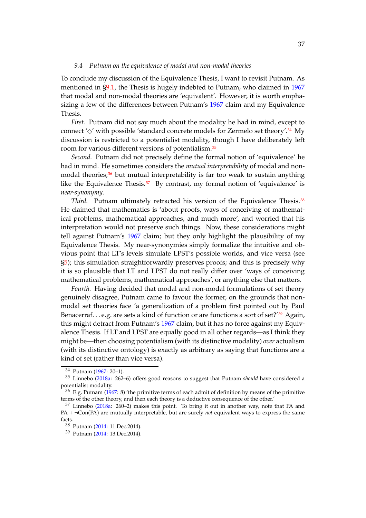#### *9.4 Putnam on the equivalence of modal and non-modal theories*

To conclude my discussion of the Equivalence Thesis, I want to revisit Putnam. As mentioned in [§9.1,](#page-33-0) the Thesis is hugely indebted to Putnam, who claimed in [1967](#page-73-0) that modal and non-modal theories are 'equivalent'. However, it is worth emphasizing a few of the differences between Putnam's [1967](#page-73-0) claim and my Equivalence Thesis.

*First.* Putnam did not say much about the modality he had in mind, except to connect ' $\Diamond'$  with possible 'standard concrete models for Zermelo set theory'.<sup>[34](#page-36-0)</sup> My discussion is restricted to a potentialist modality, though I have deliberately left room for various different versions of potentialism.[35](#page-36-1)

*Second.* Putnam did not precisely define the formal notion of 'equivalence' he had in mind. He sometimes considers the *mutual interpretability* of modal and non-modal theories;<sup>[36](#page-36-2)</sup> but mutual interpretability is far too weak to sustain anything like the Equivalence Thesis. $37$  By contrast, my formal notion of 'equivalence' is *near-synonymy*.

*Third.* Putnam ultimately retracted his version of the Equivalence Thesis.<sup>[38](#page-36-4)</sup> He claimed that mathematics is 'about proofs, ways of conceiving of mathematical problems, mathematical approaches, and much more', and worried that his interpretation would not preserve such things. Now, these considerations might tell against Putnam's [1967](#page-73-0) claim; but they only highlight the plausibility of my Equivalence Thesis. My near-synonymies simply formalize the intuitive and obvious point that LT's levels simulate LPST's possible worlds, and vice versa (see [§5\)](#page-27-0); this simulation straightforwardly preserves proofs; and this is precisely why it is so plausible that LT and LPST do not really differ over 'ways of conceiving mathematical problems, mathematical approaches', or anything else that matters.

*Fourth.* Having decided that modal and non-modal formulations of set theory genuinely disagree, Putnam came to favour the former, on the grounds that nonmodal set theories face 'a generalization of a problem first pointed out by Paul Benacerraf...e.g. are sets a kind of function or are functions a sort of set?'<sup>[39](#page-36-5)</sup> Again, this might detract from Putnam's [1967](#page-73-0) claim, but it has no force against my Equivalence Thesis. If LT and LPST are equally good in all other regards—as I think they might be—then choosing potentialism (with its distinctive modality) *over* actualism (with its distinctive ontology) is exactly as arbitrary as saying that functions are a kind of set (rather than vice versa).

<span id="page-36-0"></span><sup>34</sup> Putnam [\(1967](#page-73-0): 20–1).

<span id="page-36-1"></span><sup>35</sup> Linnebo [\(2018a:](#page-72-0) 262–6) offers good reasons to suggest that Putnam *should* have considered a potentialist modality.

<span id="page-36-2"></span> $36$  E.g. Putnam [\(1967](#page-73-0): 8) 'the primitive terms of each admit of definition by means of the primitive terms of the other theory, and then each theory is a deductive consequence of the other.'

<span id="page-36-3"></span> $37$  Linnebo [\(2018a](#page-72-0): 260-2) makes this point. To bring it out in another way, note that PA and PA + ¬Con(PA) are mutually interpretable, but are surely *not* equivalent ways to express the same facts.

<sup>38</sup> Putnam [\(2014](#page-73-1): 11.Dec.2014).

<span id="page-36-5"></span><span id="page-36-4"></span><sup>39</sup> Putnam [\(2014](#page-73-1): 13.Dec.2014).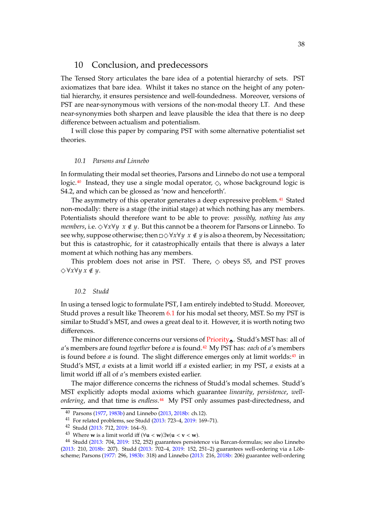## 10 Conclusion, and predecessors

The Tensed Story articulates the bare idea of a potential hierarchy of sets. PST axiomatizes that bare idea. Whilst it takes no stance on the height of any potential hierarchy, it ensures persistence and well-foundedness. Moreover, versions of PST are near-synonymous with versions of the non-modal theory LT. And these near-synonymies both sharpen and leave plausible the idea that there is no deep difference between actualism and potentialism.

I will close this paper by comparing PST with some alternative potentialist set theories.

### *10.1 Parsons and Linnebo*

In formulating their modal set theories, Parsons and Linnebo do not use a temporal logic.<sup>[40](#page-37-0)</sup> Instead, they use a single modal operator,  $\Diamond$ , whose background logic is S4.2, and which can be glossed as 'now and henceforth'.

The asymmetry of this operator generates a deep expressive problem.<sup>[41](#page-37-1)</sup> Stated non-modally: there is a stage (the initial stage) at which nothing has any members. Potentialists should therefore want to be able to prove: *possibly, nothing has any members,* i.e.  $\Diamond \forall x \forall y \ x \notin y$ . But this cannot be a theorem for Parsons or Linnebo. To see why, suppose otherwise; then  $\Box \Diamond \forall x \forall y \ x \notin y$  is also a theorem, by Necessitation; but this is catastrophic, for it catastrophically entails that there is always a later moment at which nothing has any members.

This problem does not arise in PST. There,  $\diamond$  obeys S5, and PST proves  $\Diamond \forall x \forall y \ x \notin y$ .

#### *10.2 Studd*

In using a tensed logic to formulate PST, I am entirely indebted to Studd. Moreover, Studd proves a result like Theorem [6.1](#page-29-0) for his modal set theory, MST. So my PST is similar to Studd's MST, and owes a great deal to it. However, it is worth noting two differences.

The minor difference concerns our versions of [Priority](#page-26-0). Studd's MST has: all of a's members are found *together* before a is found.<sup>[42](#page-37-2)</sup> My PST has: *each* of a's members is found before  $a$  is found. The slight difference emerges only at limit worlds: $43$  in Studd's MST, a exists at a limit world iff a existed earlier; in my PST, a exists at a limit world iff all of a's members existed earlier.

The major difference concerns the richness of Studd's modal schemes. Studd's MST explicitly adopts modal axioms which guarantee *linearity*, *persistence*, *wellordering*, and that time is *endless*.[44](#page-37-4) My PST only assumes past-directedness, and

<sup>40</sup> Parsons [\(1977](#page-73-2), [1983b\)](#page-73-3) and Linnebo [\(2013](#page-72-1), [2018b:](#page-72-2) ch.12).

<span id="page-37-0"></span><sup>41</sup> For related problems, see Studd [\(2013](#page-73-4): 723–4, [2019:](#page-74-0) 169–71).

<span id="page-37-1"></span><sup>42</sup> Studd [\(2013](#page-73-4): 712, [2019:](#page-74-0) 164–5).

<span id="page-37-3"></span><span id="page-37-2"></span><sup>43</sup> Where **w** is a limit world iff  $(\forall u < w) \exists v(u < v < w)$ .

<span id="page-37-4"></span><sup>44</sup> Studd [\(2013:](#page-73-4) 704, [2019](#page-74-0): 152, 252) guarantees persistence via Barcan-formulas; see also Linnebo [\(2013:](#page-72-1) 210, [2018b](#page-72-2): 207). Studd [\(2013](#page-73-4): 702–4, [2019](#page-74-0): 152, 251–2) guarantees well-ordering via a Löbscheme; Parsons [\(1977](#page-73-2): 296, [1983b:](#page-73-3) 318) and Linnebo [\(2013:](#page-72-1) 216, [2018b:](#page-72-2) 206) guarantee well-ordering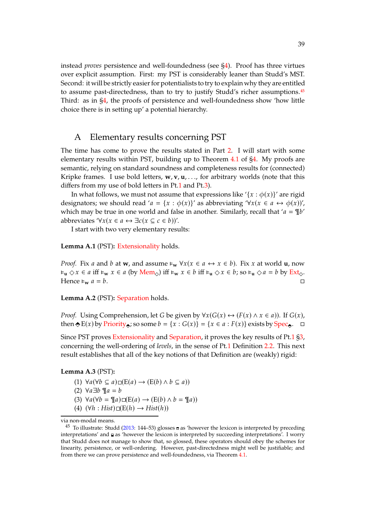instead *proves* persistence and well-foundedness (see [§4\)](#page-26-1). Proof has three virtues over explicit assumption. First: my PST is considerably leaner than Studd's MST. Second: it will be strictly easier for potentialists to try to explain why they are entitled to assume past-directedness, than to try to justify Studd's richer assumptions.<sup>[45](#page-38-0)</sup> Third: as in [§4,](#page-26-1) the proofs of persistence and well-foundedness show 'how little choice there is in setting up' a potential hierarchy.

## <span id="page-38-6"></span>A Elementary results concerning PST

The time has come to prove the results stated in Part [2.](#page-23-0) I will start with some elementary results within PST, building up to Theorem [4.1](#page-26-2) of [§4.](#page-26-1) My proofs are semantic, relying on standard soundness and completeness results for (connected) Kripke frames. I use bold letters, **w**, **v**, **u**, . . ., for arbitrary worlds (note that this differs from my use of bold letters in Pt[.1](#page-0-0) and Pt[.3\)](#page-46-0).

In what follows, we must not assume that expressions like '{ $x : \phi(x)$ }' are rigid designators; we should read ' $a = \{x : \phi(x)\}$ ' as abbreviating ' $\forall x (x \in a \leftrightarrow \phi(x))'$ , which may be true in one world and false in another. Similarly, recall that ' $a = \frac{1}{l}b'$ ' abbreviates ' $\forall x (x \in a \leftrightarrow \exists c (x \subseteq c \in b))'.$ 

I start with two very elementary results:

<span id="page-38-7"></span>**Lemma A.1** (PST)**:** [Extensionality](#page-1-0) holds.

*Proof.* Fix *a* and *b* at **w**, and assume  $\forall x (x \in a \leftrightarrow x \in b)$ . Fix *x* at world **u**, now  $\mathbf{F}_{\mathbf{u}} \diamond x \in a$  iff  $\mathbf{F}_{\mathbf{w}} x \in a$  (by [Mem](#page-26-0)<sub> $\diamond$ </sub>) iff  $\mathbf{F}_{\mathbf{w}} x \in b$  iff  $\mathbf{F}_{\mathbf{u}} \diamond x \in b$ ; so  $\mathbf{F}_{\mathbf{u}} \diamond a = b$  by [Ext](#page-26-0)<sub> $\diamond$ </sub>. Hence  $\epsilon_w a = b$ .

**Lemma A.2** (PST)**:** [Separation](#page-3-0) holds.

*Proof.* Using Comprehension, let G be given by  $\forall x (G(x) \leftrightarrow (F(x) \land x \in a))$ . If  $G(x)$ , then  $\triangle E(x)$  by [Priority](#page-26-0), so some  $b = \{x : G(x)\} = \{x \in a : F(x)\}$  exists by [Spec](#page-26-0).  $\Box$ 

Since PST proves [Extensionality](#page-1-0) and [Separation,](#page-3-0) it proves the key results of Pt[.1](#page-0-0) [§3,](#page-3-1) concerning the well-ordering of *levels*, in the sense of Pt[.1](#page-0-0) Definition [2.2.](#page-3-0) This next result establishes that all of the key notions of that Definition are (weakly) rigid:

#### <span id="page-38-5"></span><span id="page-38-2"></span><span id="page-38-1"></span>**Lemma A.3** (PST)**:** .

- (1)  $\forall a (\forall b \subseteq a) \sqcup (E(a) \rightarrow (E(b) \land b \subseteq a))$
- <span id="page-38-3"></span>(2)  $\forall a \exists b \mathbb{I} \parallel a = b$
- <span id="page-38-4"></span>(3)  $\forall a (\forall b = \mathcal{I}[a) \square (\mathcal{E}(a) \rightarrow (\mathcal{E}(b) \land b = \mathcal{I}[a]))$
- $(4)$   $(\forall h : Hist) \square (E(h) \rightarrow Hist(h))$

via non-modal means.

<span id="page-38-0"></span><sup>&</sup>lt;sup>45</sup> To illustrate: Studd [\(2013](#page-73-4): 144–53) glosses  $\equiv$  as 'however the lexicon is interpreted by preceding interpretations' and as 'however the lexicon is interpreted by succeeding interpretations'. I worry that Studd does not manage to show that, so glossed, these operators should obey the schemes for linearity, persistence, or well-ordering. However, past-directedness might well be justifiable; and from there we can prove persistence and well-foundedness, via Theorem [4.1.](#page-26-2)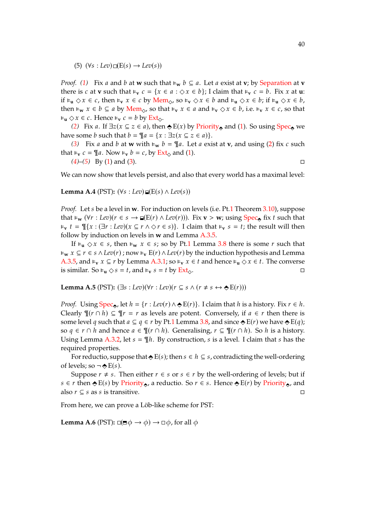<span id="page-39-0"></span> $(5)$   $(\forall s : Lev) \square (E(s) \rightarrow Lev(s))$ 

*Proof.* [\(1\)](#page-38-1) Fix *a* and *b* at **w** such that  $\epsilon_w$  *b*  $\subseteq$  *a*. Let *a* exist at **v**; by [Separation](#page-3-0) at **v** there is c at **v** such that  $\varepsilon_v$   $c = \{x \in a : \Diamond x \in b\}$ ; I claim that  $\varepsilon_v$   $c = b$ . Fix x at **u**: if  $\vdash_{\mathbf{u}} \Diamond x \in c$ , then  $\vdash_{\mathbf{v}} x \in c$  by [Mem](#page-26-0)<sub> $\diamondsuit$ </sub>, so  $\vdash_{\mathbf{v}} \Diamond x \in b$  and  $\vdash_{\mathbf{u}} \Diamond x \in b$ ; if  $\vdash_{\mathbf{u}} \Diamond x \in b$ , then **⊧**<sub>w</sub>  $x \in b \subseteq a$  by [Mem](#page-26-0)<sub> $\diamondsuit$ </sub>, so that **⊧**<sub>v</sub>  $x \in a$  and **⊧**<sub>v</sub>  $\diamondsuit x \in b$ , i.e. **⊧**<sub>v</sub>  $x \in c$ , so that  $\mathbf{F}_{\mathbf{u}} \diamond x \in c$ . Hence  $\mathbf{F}_{\mathbf{v}} c = b$  by [Ext](#page-26-0)<sub> $\diamond$ </sub>.

*[\(2\)](#page-38-2)* Fix *a*. If  $\exists z (x \subseteq z \in a)$ , then  $\Leftrightarrow E(x)$  by [Priority](#page-26-0), and [\(1\)](#page-38-1). So using [Spec](#page-26-0), we have some *b* such that  $b = \mathcal{Z}a = \{x : \exists z (x \subseteq z \in a)\}.$ 

*[\(3\)](#page-38-3)* Fix *a* and *b* at **w** with  $\epsilon_w$  *b* =  $\mathcal{I}$ *a*. Let *a* exist at **v**, and using [\(2\)](#page-38-2) fix *c* such that  $\epsilon_v$   $c = \mathcal{I}a$ . Now  $\epsilon_v$   $b = c$ , by [Ext](#page-26-0)<sub> $\Diamond$ </sub> and [\(1\)](#page-38-1).

*[\(4\)](#page-38-4)*–*[\(5\)](#page-39-0)* By [\(1\)](#page-38-1) and [\(3\)](#page-38-3).

We can now show that levels persist, and also that every world has a maximal level:

<span id="page-39-1"></span>**Lemma A.4** (PST):  $(\forall s : Lev) \sqcup (E(s) \land Lev(s))$ 

*Proof.* Let *s* be a level in **w**. For induction on levels (i.e. Pt[.1](#page-0-0) Theorem [3.10\)](#page-5-0), suppose that **⊧**<sub>w</sub> ( $\forall r : Lev$ )( $r \in s \rightarrow \mathbb{I}(E(r) \land Lev(r))$ ). Fix **v** > **w**; using [Spec](#page-26-0)<sub>e</sub> fix t such that  $\varepsilon_v$   $t = \frac{m}{x}$ :  $(\exists r : Lev)(x \subseteq r \land \Diamond r \in s)$ . I claim that  $\varepsilon_v$   $s = t$ ; the result will then follow by induction on levels in **w** and Lemma [A.3.](#page-38-5)[5.](#page-39-0)

If  $\epsilon$ <sub>**u**  $\Diamond x \in s$ , then  $\epsilon$ <sub>**w**</sub>  $x \in s$ ; so by Pt[.1](#page-0-0) Lemma [3.8](#page-4-0) there is some *r* such that</sub>  $\forall$   $\forall$   $x \subseteq r \in s \land \text{Lev}(r)$ ; now  $\forall$ <sub>v</sub>  $E(r) \land \text{Lev}(r)$  by the induction hypothesis and Lemma [A.3](#page-38-5)[.5,](#page-39-0) and  $\models_v x \subseteq r$  by Lemma A.3[.1;](#page-38-1) so  $\models_v x \in t$  and hence  $\models_u \Diamond x \in t$ . The converse is similar. So  $\epsilon_{\mathbf{u}} \diamond s = t$ , and  $\epsilon_{\mathbf{v}} s = t$  by [Ext](#page-26-0).

<span id="page-39-2"></span>**Lemma A.5** (PST):  $(\exists s : \text{Lev})(\forall r : \text{Lev})(r \subseteq s \land (r \neq s \leftrightarrow \bigstar)(r))$ 

*Proof.* Using  $Spec_{\bullet}$  $Spec_{\bullet}$ , let  $h = \{r : Lev(r) \land \bigstar E(r)\}\$ . I claim that h is a history. Fix  $r \in h$ . Clearly  $\P(r \cap h) \subseteq \Psi r = r$  as levels are potent. Conversely, if  $a \in r$  then there is some level q such that  $a \subseteq q \in r$  by Pt[.1](#page-0-0) Lemma [3.8,](#page-4-0) and since  $\triangle E(r)$  we have  $\triangle E(q)$ ; so  $q \in r \cap h$  and hence  $a \in \mathcal{I}(r \cap h)$ . Generalising,  $r \subseteq \mathcal{I}(r \cap h)$ . So h is a history. Using Lemma [A.3.](#page-38-5)[2,](#page-38-2) let  $s = \mathcal{N}h$ . By construction, s is a level. I claim that s has the required properties.

For reductio, suppose that  $\bigoplus E(s)$ ; then  $s \in h \subseteq s$ , contradicting the well-ordering of levels; so  $\neg \bigstar E(s)$ .

Suppose  $r \neq s$ . Then either  $r \in s$  or  $s \in r$  by the well-ordering of levels; but if  $s \in r$  then  $\triangle E(s)$  by [Priority](#page-26-0), a reductio. So  $r \in s$ . Hence  $\triangle E(r)$  by Priority, and also  $r \subseteq s$  as s is transitive.

From here, we can prove a Löb-like scheme for PST:

<span id="page-39-3"></span>**Lemma A.6** (PST):  $\Box(\Box \phi \rightarrow \phi) \rightarrow \Box \phi$ , for all  $\phi$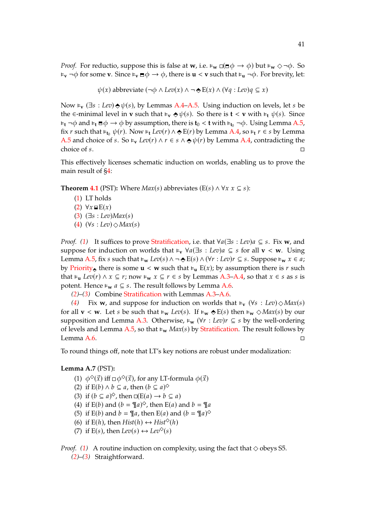*Proof.* For reductio, suppose this is false at **w**, i.e.  $\epsilon_{\mathbf{w}} \Box (\mathbf{w} \phi \rightarrow \phi)$  but  $\epsilon_{\mathbf{w}} \Diamond \neg \phi$ . So  $\mathbf{F}_{\mathbf{v}} \neg \phi$  for some **v**. Since  $\mathbf{F}_{\mathbf{v}} \mathbf{v} \neq \phi \rightarrow \phi$ , there is  $\mathbf{u} < \mathbf{v}$  such that  $\mathbf{F}_{\mathbf{u}} \neg \phi$ . For brevity, let:

$$
\psi(x)
$$
 abbreviate  $(\neg \phi \land Lev(x) \land \neg \Leftrightarrow E(x) \land (\forall q : Lev)q \subseteq x)$ 

Now  $\epsilon_{\bf v}$  ( $\exists s : Lev$ )  $\triangle \psi(s)$ , by Lemmas [A.4–](#page-39-1)[A.5.](#page-39-2) Using induction on levels, let s be the ∈-minimal level in **v** such that  $\epsilon$ <sub>**v**</sub>  $\Diamond \psi(s)$ . So there is **t** < **v** with  $\epsilon$ <sub>**t**</sub>  $\psi(s)$ . Since  $\epsilon_t$   $\neg \phi$  and  $\epsilon_t \equiv \phi \rightarrow \phi$  by assumption, there is  $t_0 < t$  with  $\epsilon_{t_0} \rightarrow \phi$ . Using Lemma [A.5,](#page-39-2) fix r such that  $\varepsilon_{t_0} \psi(r)$ . Now  $\varepsilon_t$  *Lev*(r)  $\wedge \bigstar E(r)$  by Lemma [A.4,](#page-39-1) so  $\varepsilon_t$  r  $\in$  s by Lemma [A.5](#page-39-2) and choice of s. So  $\models_v Lev(r) \land r \in s \land ∅ \psi(r)$  by Lemma [A.4,](#page-39-1) contradicting the choice of  $s$ .

This effectively licenses schematic induction on worlds, enabling us to prove the main result of [§4:](#page-26-1)

**Theorem [4.1](#page-26-2)** (PST): Where  $Max(s)$  abbreviates (E(s)  $\land \forall x \ x \subseteq s$ ):

- [\(1\)](#page-26-3) LT holds
- $(2) \forall x \in E(x)$  $(2) \forall x \in E(x)$
- $(3)$   $(\exists s : \text{Lev})$ *Max(s)*
- [\(4\)](#page-27-3)  $(\forall s : \text{Lev}) \Diamond \text{Max}(s)$

*Proof.* [\(1\)](#page-26-3) It suffices to prove [Stratification,](#page-3-0) i.e. that  $\forall a(\exists s : Lev)a \subseteq s$ . Fix **w**, and suppose for induction on worlds that  $\epsilon_v \ \forall a(\exists s : Lev)a \subseteq s$  for all  $v < w$ . Using Lemma [A.5,](#page-39-2) fix s such that  $\models_w Lev(s) \land \neg \Leftrightarrow E(s) \land (\forall r : Lev)r \subseteq s$ . Suppose  $\models_w x \in a;$ by [Priority](#page-26-0), there is some  $\mathbf{u} < \mathbf{w}$  such that  $\mathbf{v}_{\mathbf{u}} \mathbf{E}(x)$ ; by assumption there is r such that  $\epsilon_u$  *Lev(r)* ∧  $x \subseteq r$ ; now  $\epsilon_w$   $x \subseteq r \in s$  by Lemmas [A.3](#page-38-5)[–A.4,](#page-39-1) so that  $x \in s$  as s is potent. Hence  $\epsilon_w$  *a*  $\subseteq$  *s*. The result follows by Lemma [A.6.](#page-39-3)

*[\(2\)](#page-27-1)*–*[\(3\)](#page-27-2)* Combine [Stratification](#page-3-0) with Lemmas [A.3](#page-38-5)[–A.6.](#page-39-3)

*[\(4\)](#page-27-3)* Fix **w**, and suppose for induction on worlds that  $\epsilon_v$  ( $\forall s : Lev \geq \text{Max}(s)$ ) for all  $\mathbf{v} < \mathbf{w}$ . Let s be such that  $\models_{\mathbf{w}} \text{ } Lev(s)$ . If  $\models_{\mathbf{w}} \diamond E(s)$  then  $\models_{\mathbf{w}} \diamond Max(s)$  by our supposition and Lemma [A.3.](#page-38-5) Otherwise,  $\epsilon_w$  ( $\forall r : Lev$ ) $r \subseteq s$  by the well-ordering of levels and Lemma [A.5,](#page-39-2) so that  $\epsilon_w$  *Max(s)* by [Stratification.](#page-3-0) The result follows by Lemma [A.6.](#page-39-3)  $\Box$ 

To round things off, note that LT's key notions are robust under modalization:

<span id="page-40-7"></span><span id="page-40-1"></span><span id="page-40-0"></span>**Lemma A.7** (PST)**:** .

- (1)  $\phi^{\diamond}(\vec{x})$  iff  $\Box \phi^{\diamond}(\vec{x})$ , for any LT-formula  $\phi(\vec{x})$
- <span id="page-40-2"></span>(2) if  $E(b) \wedge b \subseteq a$ , then  $(b \subseteq a)^\diamondsuit$
- <span id="page-40-3"></span>(3) if  $(b \subseteq a)^\diamondsuit$ , then  $\Box(E(a) \rightarrow b \subseteq a)$
- <span id="page-40-4"></span>(4) if  $E(b)$  and  $(b = \mathcal{T}a)^{\diamond}$ , then  $E(a)$  and  $b = \mathcal{T}a$
- <span id="page-40-5"></span>(5) if E(*b*) and  $b = \mathcal{T}a$ , then E(*a*) and ( $b = \mathcal{T}a$ )<sup> $\diamond$ </sup>
- <span id="page-40-6"></span>(6) if  $E(h)$ , then  $Hist(h) \leftrightarrow Hist^{\diamond}(h)$
- (7) if  $E(s)$ , then  $Lev(s) \leftrightarrow Lev^{\diamond}(s)$

*Proof.* [\(1\)](#page-40-0) A routine induction on complexity, using the fact that  $\diamond$  obeys S5. *[\(2\)](#page-40-1)*–*[\(3\)](#page-40-2)* Straightforward.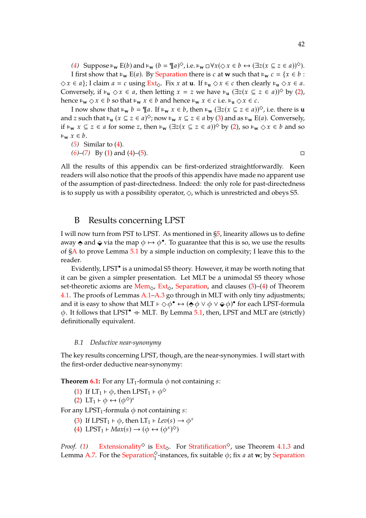[\(4\)](#page-40-3) Suppose  $\models_w$   $E(b)$  and  $\models_w$  ( $b = \mathcal{T}_a \land \phi$ , i.e.  $\models_w \Box \forall x (\Diamond x \in b \leftrightarrow (\exists z (x \subseteq z \in a))^\Diamond$ ).

I first show that **⊧**<sub>**w**</sub> E(*a*). By [Separation](#page-3-0) there is *c* at **w** such that **⊧**<sub>**w**</sub> *c* = {*x* ∈ *b* :  $\Diamond x \in a$  ; I claim  $a = c$  using  $Ext_{\Diamond}$  $Ext_{\Diamond}$ . Fix x at **u**. If  $\models_u \Diamond x \in c$  then clearly  $\models_u \Diamond x \in a$ . Conversely, if  $\epsilon_{\mathbf{u}} \diamond x \in a$ , then letting  $x = z$  we have  $\epsilon_{\mathbf{u}} (\exists z (x \subseteq z \in a))$ <sup>o</sup> by [\(2\)](#page-40-1), hence  $\forall w \leq x \in b$  so that  $\forall w \leq x \in b$  and hence  $\forall w \leq c$  i.e.  $\forall w \leq c$ .

I now show that  $\models_w b = \P a$ . If  $\models_w x \in b$ , then  $\models_w (\exists z(x \subseteq z \in a))$ <sup>◇</sup>, i.e. there is **u** and z such that  $\vdash_{\mathbf{u}} (x \subseteq z \in a)^\diamond$ ; now  $\vdash_{\mathbf{w}} x \subseteq z \in a$  by [\(3\)](#page-40-2) and as  $\vdash_{\mathbf{w}} E(a)$ . Conversely, if  $\models_w$   $x \subseteq z \in a$  for some  $z$ , then  $\models_w (\exists z(x \subseteq z \in a))$ <sup> $\diamond$ </sup> by [\(2\)](#page-40-1), so  $\models_w \diamond x \in b$  and so  $\varepsilon_{\mathbf{w}}$   $x \in b$ .

*[\(5\)](#page-40-4)* Similar to [\(4\)](#page-40-3).

*[\(6\)](#page-40-5)*–*[\(7\)](#page-40-6)* By [\(1\)](#page-40-0) and [\(4\)](#page-40-3)–[\(5\)](#page-40-4).

All the results of this appendix can be first-orderized straightforwardly. Keen readers will also notice that the proofs of this appendix have made no apparent use of the assumption of past-directedness. Indeed: the only role for past-directedness is to supply us with a possibility operator,  $\Diamond$ , which is unrestricted and obeys S5.

## B Results concerning LPST

I will now turn from PST to LPST. As mentioned in [§5,](#page-27-0) linearity allows us to define away  $\triangle$  and  $\triangle$  via the map  $\phi \mapsto \phi^{\bullet}$ . To guarantee that this is so, we use the results of [§A](#page-38-6) to prove Lemma [5.1](#page-28-0) by a simple induction on complexity; I leave this to the reader.

Evidently, LPST<sup>•</sup> is a unimodal S5 theory. However, it may be worth noting that it can be given a simpler presentation. Let MLT be a unimodal S5 theory whose set-theoretic axioms are [Mem](#page-26-0)<sub> $\odot$ </sub>, [Ext](#page-26-0)<sub> $\odot$ </sub>, [Separation,](#page-3-0) and clauses [\(3\)](#page-27-2)–[\(4\)](#page-27-3) of Theorem [4.1.](#page-26-2) The proofs of Lemmas [A.1](#page-38-7)[–A.3](#page-38-5) go through in MLT with only tiny adjustments; and it is easy to show that MLT  $\vdash \Diamond \phi^{\bullet} \leftrightarrow (\bigcirc \phi \lor \phi \lor \Diamond \phi)^{\bullet}$  for each LPST-formula  $\phi$ . It follows that LPST<sup>•</sup> + MLT. By Lemma [5.1,](#page-28-0) then, LPST and MLT are (strictly) definitionally equivalent.

### *B.1 Deductive near-synonymy*

The key results concerning LPST, though, are the near-synonymies. I will start with the first-order deductive near-synonymy:

**Theorem [6.1:](#page-29-0)** For any  $LT_1$ -formula  $\phi$  not containing *s*:

- [\(1\)](#page-29-1) If  $LT_1 \vdash \phi$ , then LPST<sub>1</sub>  $\vdash \phi^{\diamondsuit}$
- [\(2\)](#page-29-2) LT<sub>1</sub>  $\vdash \phi \leftrightarrow (\phi^{\diamond})^s$

For any LPST<sub>1</sub>-formula  $\phi$  not containing s:

- [\(3\)](#page-29-3) If LPST<sub>1</sub>  $\vdash \phi$ , then LT<sub>1</sub>  $\vdash$  *Lev*(*s*)  $\rightarrow \phi^s$
- [\(4\)](#page-29-4) LPST<sub>1</sub>  $\vdash Max(s) \rightarrow (\phi \leftrightarrow (\phi^s)^{\diamond})$

*Proof.* [\(1\)](#page-29-1) [Extensionality](#page-1-0)<sup> $\diamond$ </sup> is [Ext](#page-26-0)<sub> $\diamond$ </sub>. For [Stratification](#page-3-0)<sup> $\diamond$ </sup>, use Theorem [4.1](#page-26-2)[.3](#page-27-2) and Lemma [A.7.](#page-40-7) For the [Separation](#page-3-0)<sup> $\gamma$ </sup>-instances, fix suitable  $\phi$ ; fix *a* at **w**; by Separation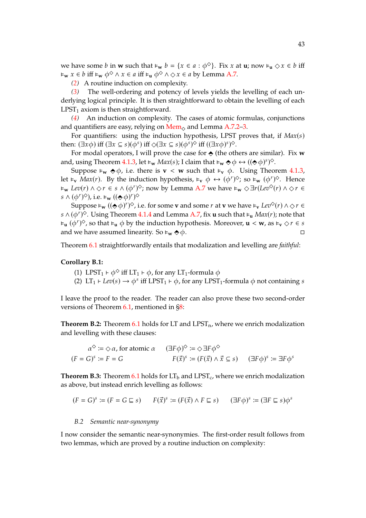we have some *b* in **w** such that  $\epsilon_w$  *b* = { $x \in a : \phi^{\diamond}$ }. Fix  $x$  at **u**; now  $\epsilon_u \diamond x \in b$  iff  $\forall x \in b$  **iff**  $\forall x \in a$  **iff**  $\forall x \in a$  **iff**  $\forall x \in a$  **by Lemma [A.7.](#page-40-7)** 

*[\(2\)](#page-29-2)* A routine induction on complexity.

*[\(3\)](#page-29-3)* The well-ordering and potency of levels yields the levelling of each underlying logical principle. It is then straightforward to obtain the levelling of each  $LPST<sub>1</sub>$  axiom is then straightforward.

*[\(4\)](#page-29-4)* An induction on complexity. The cases of atomic formulas, conjunctions and quantifiers are easy, relying on  $M_{\text{em}}$  and Lemma [A.7](#page-40-7)[.2](#page-40-1)[–3.](#page-40-2)

For quantifiers: using the induction hypothesis, LPST proves that, if  $Max(s)$ then:  $(\exists x \phi)$  iff  $(\exists x \subseteq s)(\phi^s)$  iff  $\Diamond(\exists x \subseteq s)(\phi^s)$  $\Diamond$  iff  $((\exists x \phi)^s)$  $\Diamond$ .

For modal operators, I will prove the case for  $\triangle$  (the others are similar). Fix **w** and, using Theorem [4.1.](#page-26-2)[3,](#page-27-2) let  $\vdash_w Max(s)$ ; I claim that  $\vdash_w \Leftrightarrow \phi \leftrightarrow ((\Leftrightarrow \phi)^s)^{\diamond}$ .

Suppose  $\epsilon_w \Leftrightarrow \phi$ , i.e. there is **v** < **w** such that  $\epsilon_v \phi$ . Using Theorem [4.1.](#page-26-2)[3,](#page-27-2) let  $\vdash_{\mathbf{v}} Max(r)$ . By the induction hypothesis,  $\vdash_{\mathbf{v}} \phi \leftrightarrow (\phi^r)^{\diamond}$ ; so  $\vdash_{\mathbf{w}} (\phi^r)^{\diamond}$ . Hence **⊧**<sub>w</sub>  $Lev(r) \wedge \Diamond r \in s \wedge (\phi^r)^\diamond$ ; now by Lemma [A.7](#page-40-7) we have  $\models_w \Diamond \exists r (Lev^\diamond(r) \wedge \Diamond r \in \phi^r)$  $s \wedge (\phi^r)^\diamondsuit$ ), i.e.  $\models_w ((\diamond \phi)^r)$ 

Suppose  $\models_w ((\diamondsuit \phi)^r)^\diamond$ , i.e. for some **v** and some r at **v** we have  $\models_v Lev^\diamond(r) \land \diamondsuit r \in$  $(\phi^r)^{\diamondsuit}$ . Using Theorem [4.1](#page-26-2)[.4](#page-27-3) and Lemma [A.7,](#page-40-7) fix **u** such that  $\models_u Max(r)$ ; note that  $\forall$ **u**  $(\phi^r)^\diamondsuit$ , so that  $\forall$ **u**  $\phi$  by the induction hypothesis. Moreover, **u** < **w**, as  $\forall$ **v**  $\in$  *s* and we have assumed linearity. So  $\epsilon_w \diamond \phi$ .

Theorem [6.1](#page-29-0) straightforwardly entails that modalization and levelling are *faithful*:

### **Corollary B.1:**

- (1) LPST<sub>1</sub> ⊢  $\phi^{\diamond}$  iff LT<sub>1</sub> ⊢  $\phi$ , for any LT<sub>1</sub>-formula  $\phi$
- (2) LT<sub>1</sub> ⊢ *Lev*(*s*)  $\rightarrow \phi^s$  iff LPST<sub>1</sub> ⊦  $\phi$ , for any LPST<sub>1</sub>-formula  $\phi$  not containing *s*

I leave the proof to the reader. The reader can also prove these two second-order versions of Theorem [6.1,](#page-29-0) mentioned in [§8:](#page-31-0)

**Theorem B.2:** Theorem  $6.1$  holds for LT and  $LPST_n$ , where we enrich modalization and levelling with these clauses:

$$
\alpha^{\diamondsuit} := \diamondsuit \alpha, \text{ for atomic } \alpha \qquad (\exists F \phi)^{\diamondsuit} := \diamondsuit \exists F \phi^{\diamondsuit}
$$
  

$$
(F = G)^s := F = G \qquad \qquad F(\vec{x})^s := (F(\vec{x}) \land \vec{x} \subseteq s) \qquad (\exists F \phi)^s := \exists F \phi^s
$$

**Theorem B.3:** Theorem [6.1](#page-29-0) holds for  $LT_b$  and  $LPST_c$ , where we enrich modalization as above, but instead enrich levelling as follows:

$$
(F = G)^s := (F = G \sqsubseteq s) \qquad F(\vec{x})^s := (F(\vec{x}) \land F \sqsubseteq s) \qquad (\exists F \phi)^s := (\exists F \sqsubseteq s) \phi^s
$$

### *B.2 Semantic near-synonymy*

I now consider the semantic near-synonymies. The first-order result follows from two lemmas, which are proved by a routine induction on complexity: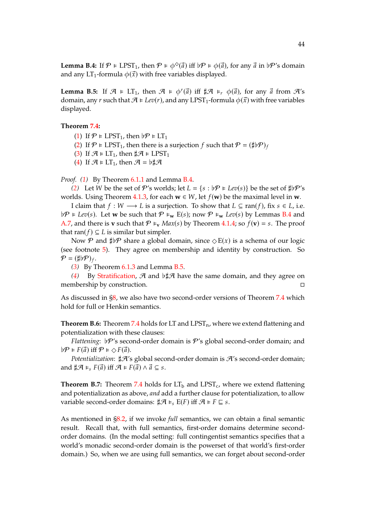<span id="page-43-1"></span><span id="page-43-0"></span>**Lemma B.5:** If  $\mathcal{A} \models LT_1$ , then  $\mathcal{A} \models \phi^r(\vec{a})$  iff  $\sharp \mathcal{A} \models_r \phi(\vec{a})$ , for any  $\vec{a}$  from  $\mathcal{A}'s$ domain, any r such that  $\mathcal{A} \models Lev(r)$ , and any LPST<sub>1</sub>-formula  $\phi(\vec{x})$  with free variables displayed.

### **Theorem [7.4:](#page-30-0)** .

- [\(1\)](#page-30-1) If  $\mathcal{P} \models \text{LPST}_1$ , then  $\flat \mathcal{P} \models \text{LT}_1$
- [\(2\)](#page-30-2) If  $\mathcal{P} \models \text{LPST}_1$ , then there is a surjection f such that  $\mathcal{P} = (\sharp \flat \mathcal{P})_f$
- [\(3\)](#page-30-3) If  $\mathcal{A} \models LT_1$ , then  $\sharp \mathcal{A} \models LPST_1$
- [\(4\)](#page-30-4) If  $\mathcal{A} \models LT_1$ , then  $\mathcal{A} = \flat \sharp \mathcal{A}$

*Proof. [\(1\)](#page-30-1)* By Theorem [6.1](#page-29-0)[.1](#page-29-1) and Lemma [B.4.](#page-43-0)

*[\(2\)](#page-30-2)* Let *W* be the set of  $\mathcal{P}'$ 's worlds; let  $L = \{s : b\mathcal{P} \models \text{Lev}(s)\}\$  be the set of  $\sharp b\mathcal{P}'$ 's worlds. Using Theorem [4.1.](#page-26-2)[3,](#page-27-2) for each  $w \in W$ , let  $f(w)$  be the maximal level in  $w$ .

I claim that  $f : W \longrightarrow L$  is a surjection. To show that  $L ⊆ \text{ran}(f)$ , fix  $s ∈ L$ , i.e.  $\not\vdash \mathcal{P} \models \text{Lev}(s)$ . Let **w** be such that  $\mathcal{P} \models_{\mathbf{w}} E(s)$ ; now  $\mathcal{P} \models_{\mathbf{w}} \text{Lev}(s)$  by Lemmas [B.4](#page-43-0) and [A.7,](#page-40-7) and there is **v** such that  $\mathcal{P} \vDash_{\mathbf{v}} Max(s)$  by Theorem [4.1.](#page-26-2)[4;](#page-27-3) so  $f(\mathbf{v}) = s$ . The proof that ran( $f$ )  $\subseteq$   $L$  is similar but simpler.

Now  $\mathcal P$  and  $\sharp\mathcal P$  share a global domain, since  $\Diamond E(x)$  is a schema of our logic (see footnote [5\)](#page-25-0). They agree on membership and identity by construction. So  $\mathcal{P} = (\sharp \flat \mathcal{P})_f.$ 

*[\(3\)](#page-30-3)* By Theorem [6.1](#page-29-0)[.3](#page-29-3) and Lemma [B.5.](#page-43-1)

*[\(4\)](#page-30-4)* By [Stratification,](#page-3-0)  $\mathcal{A}$  and  $\flat \sharp \mathcal{A}$  have the same domain, and they agree on membership by construction.

As discussed in [§8,](#page-31-0) we also have two second-order versions of Theorem [7.4](#page-30-0) which hold for full or Henkin semantics.

Theorem B.6: Theorem [7.4](#page-30-0) holds for LT and LPST<sub>n</sub>, where we extend flattening and potentialization with these clauses:

*Flattening*: ♭ $P$ 's second-order domain is  $P$ 's global second-order domain; and  $\nb \mathcal{P} \models F(\vec{a})$  iff  $\mathcal{P} \models \Diamond F(\vec{a})$ .

*Potentialization*:  $\sharp \mathcal{A}'$ 's global second-order domain is  $\mathcal{A}'$ 's second-order domain; and  $\sharp \mathcal{A} \models_{s} F(\vec{a})$  iff  $\mathcal{A} \models F(\vec{a}) \land \vec{a} \subseteq s$ .

**Theorem B.7:** Theorem [7.4](#page-30-0) holds for  $LT_b$  and  $LPST_c$ , where we extend flattening and potentialization as above, *and* add a further clause for potentialization, to allow variable second-order domains:  $\sharp \mathcal{A} \models_{s} E(F)$  iff  $\mathcal{A} \models F \sqsubseteq s$ .

As mentioned in [§8.2,](#page-32-0) if we invoke *full* semantics, we can obtain a final semantic result. Recall that, with full semantics, first-order domains determine secondorder domains. (In the modal setting: full contingentist semantics specifies that a world's monadic second-order domain is the powerset of that world's first-order domain.) So, when we are using full semantics, we can forget about second-order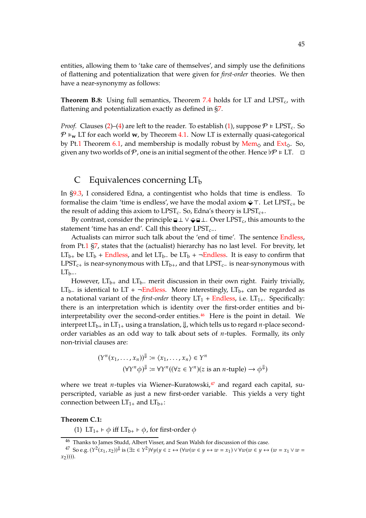entities, allowing them to 'take care of themselves', and simply use the definitions of flattening and potentialization that were given for *first-order* theories. We then have a near-synonymy as follows:

**Theorem B.8:** Using full semantics, Theorem [7.4](#page-30-0) holds for LT and LPST<sub>c</sub>, with flattening and potentialization exactly as defined in [§7.](#page-30-5)

*Proof.* Clauses [\(2\)](#page-30-2)–[\(4\)](#page-30-4) are left to the reader. To establish [\(1\)](#page-30-1), suppose  $\mathcal{P} \models \text{LPST}_c$ . So  $\mathcal{P} \models_{\mathbf{w}} \mathsf{LT}$  for each world **w**, by Theorem [4.1.](#page-26-2) Now LT is externally quasi-categorical by Pt[.1](#page-0-0) Theorem [6.1,](#page-9-0) and membership is modally robust by  $\text{Mem}_\diamond$  $\text{Mem}_\diamond$  $\text{Mem}_\diamond$  and  $\text{Ext}_\diamond$  $\text{Ext}_\diamond$  $\text{Ext}_\diamond$ . So, given any two worlds of  $\mathcal P$ , one is an initial segment of the other. Hence  $\not{P} \models LT. \square$ 

## C Equivalences concerning  $LT<sub>b</sub>$

In [§9.3,](#page-35-0) I considered Edna, a contingentist who holds that time is endless. To formalise the claim 'time is endless', we have the modal axiom  $\hat{\varphi}$  ⊤. Let LPST<sub>c+</sub> be the result of adding this axiom to LPST<sub>c</sub>. So, Edna's theory is LPST<sub>c+</sub>.

By contrast, consider the principle  $\Box \bot \lor \Diamond \Box \bot$ . Over LPST<sub>c</sub>, this amounts to the statement 'time has an end'. Call this theory  $LPST_{c-}$ .

Actualists can mirror such talk about the 'end of time'. The sentence [Endless,](#page-11-0) from Pt[.1](#page-0-0) [§7,](#page-11-0) states that the (actualist) hierarchy has no last level. For brevity, let LT<sub>b+</sub> be LT<sub>b</sub> + [Endless,](#page-11-0) and let LT<sub>b-</sub> be LT<sub>b</sub> + ¬[Endless.](#page-11-0) It is easy to confirm that LPST<sub>c+</sub> is near-synonymous with LT<sub>b+</sub>, and that LPST<sub>c−</sub> is near-synonymous with  $LT_{b-}$ .

However,  $LT_{b+}$  and  $LT_{b-}$  merit discussion in their own right. Fairly trivially, LT<sub>b−</sub> is identical to LT + ¬[Endless.](#page-11-0) More interestingly, LT<sub>b+</sub> can be regarded as a notational variant of the *first-order* theory  $LT_1$  + [Endless,](#page-11-0) i.e.  $LT_{1+}$ . Specifically: there is an interpretation which is identity over the first-order entities and bi-interpretability over the second-order entities.<sup>[46](#page-44-0)</sup> Here is the point in detail. We interpret  $LT_{b+}$  in  $LT_{1+}$  using a translation,  $\downarrow$ , which tells us to regard *n*-place secondorder variables as an odd way to talk about sets of  $n$ -tuples. Formally, its only non-trivial clauses are:

$$
(Y^n(x_1, ..., x_n))^{\downarrow} := \langle x_1, ..., x_n \rangle \in Y^n
$$

$$
(\forall Y^n \phi)^{\downarrow} := \forall Y^n ((\forall z \in Y^n)(z \text{ is an } n\text{-tuple}) \to \phi^{\downarrow})
$$

where we treat *n*-tuples via Wiener–Kuratowski, $47$  and regard each capital, superscripted, variable as just a new first-order variable. This yields a very tight connection between  $LT_{1+}$  and  $LT_{b+}$ :

#### <span id="page-44-3"></span><span id="page-44-2"></span>**Theorem C.1:**

(1) LT<sub>1+</sub>  $\vdash \phi$  iff LT<sub>b+</sub>  $\vdash \phi$ , for first-order  $\phi$ 

<span id="page-44-0"></span><sup>46</sup> Thanks to James Studd, Albert Visser, and Sean Walsh for discussion of this case.

<span id="page-44-1"></span><sup>47</sup> So e.g.  $(Y^2(x_1, x_2))^{\downarrow}$  is  $(\exists z \in Y^2) \forall y (y \in z \leftrightarrow (\forall w (w \in y \leftrightarrow w = x_1) \vee \forall w (w \in y \leftrightarrow (w = x_1 \vee w = x_2))$  $(x_2))).$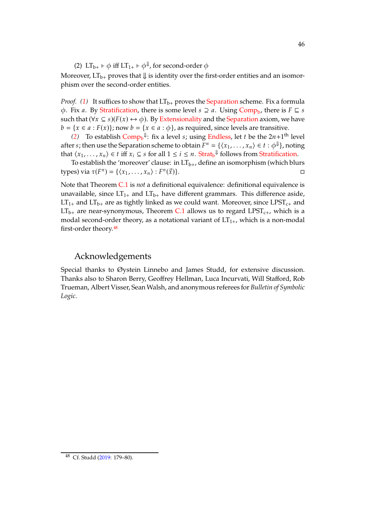<span id="page-45-0"></span>(2)  $LT_{b+} \vdash \phi$  iff  $LT_{1+} \vdash \phi^{\Downarrow}$ , for second-order  $\phi$ 

Moreover,  $LT_{b+}$  proves that  $\Downarrow$  is identity over the first-order entities and an isomorphism over the second-order entities.

*Proof.* [\(1\)](#page-44-2) It suffices to show that  $LT_{b+}$  proves the [Separation](#page-3-0) scheme. Fix a formula  $\phi$ . Fix *a*. By [Stratification,](#page-3-0) there is some level  $s \supseteq a$ . Using [Comp](#page-32-0)<sub>b</sub>, there is  $F \subseteq s$ such that  $(\forall x \subseteq s)(F(x) \leftrightarrow \phi)$ . By [Extensionality](#page-1-0) and the [Separation](#page-3-0) axiom, we have  $b = \{x \in a : F(x)\}\$ ; now  $b = \{x \in a : \phi\}$ , as required, since levels are transitive.

[\(2\)](#page-45-0) To establish  $Comp_b^{\downarrow\downarrow}$  $Comp_b^{\downarrow\downarrow}$ : fix a level *s*; using [Endless,](#page-11-0) let *t* be the  $2n+1^{\text{th}}$  level after  $s$ ; then use the Separation scheme to obtain  $F^n = \{\langle x_1, \ldots, x_n \rangle \in t : \phi^\Downarrow\}$ , noting that  $\langle x_1, \ldots, x_n \rangle \in t$  iff  $x_i \subseteq s$  for all  $1 \leq i \leq n$ . [Strat](#page-32-0)<sub>b</sub><sup> $\parallel$ </sup> follows from [Stratification.](#page-3-0)

To establish the 'moreover' clause: in  $LT_{b+}$ , define an isomorphism (which blurs types) via  $\tau(F^n) = \{ \langle x_1, \ldots, x_n \rangle : F^n \}$  $(\vec{x})$ .

Note that Theorem [C.1](#page-44-3) is *not* a definitional equivalence: definitional equivalence is unavailable, since  $LT_{1+}$  and  $LT_{b+}$  have different grammars. This difference aside,  $LT_{1+}$  and  $LT_{b+}$  are as tightly linked as we could want. Moreover, since  $LPST_{c+}$  and  $LT_{b+}$  are near-synonymous, Theorem [C.1](#page-44-3) allows us to regard LPST<sub>c+</sub>, which is a modal second-order theory, as a notational variant of  $LT_{1+}$ , which is a non-modal first-order theory.[48](#page-45-1)

## Acknowledgements

Special thanks to Øystein Linnebo and James Studd, for extensive discussion. Thanks also to Sharon Berry, Geoffrey Hellman, Luca Incurvati, Will Stafford, Rob Trueman, Albert Visser, Sean Walsh, and anonymous referees for *Bulletin of Symbolic Logic*.

<span id="page-45-1"></span><sup>48</sup> Cf. Studd [\(2019](#page-74-0): 179–80).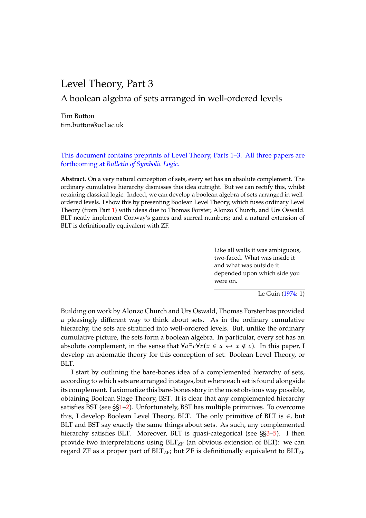# <span id="page-46-0"></span>Level Theory, Part 3

A boolean algebra of sets arranged in well-ordered levels

Tim Button tim.button@ucl.ac.uk

This document contains preprints of Level Theory, Parts 1–3. All three papers are forthcoming at *Bulletin of Symbolic Logic*.

**Abstract.** On a very natural conception of sets, every set has an absolute complement. The ordinary cumulative hierarchy dismisses this idea outright. But we can rectify this, whilst retaining classical logic. Indeed, we can develop a boolean algebra of sets arranged in wellordered levels. I show this by presenting Boolean Level Theory, which fuses ordinary Level Theory (from Part [1\)](#page-0-0) with ideas due to Thomas Forster, Alonzo Church, and Urs Oswald. BLT neatly implement Conway's games and surreal numbers; and a natural extension of BLT is definitionally equivalent with ZF.

> Like all walls it was ambiguous, two-faced. What was inside it and what was outside it depended upon which side you were on.

> > Le Guin [\(1974](#page-72-3): 1)

Building on work by Alonzo Church and Urs Oswald, Thomas Forster has provided a pleasingly different way to think about sets. As in the ordinary cumulative hierarchy, the sets are stratified into well-ordered levels. But, unlike the ordinary cumulative picture, the sets form a boolean algebra. In particular, every set has an absolute complement, in the sense that  $\forall a \exists c \forall x (x \in a \leftrightarrow x \notin c)$ . In this paper, I develop an axiomatic theory for this conception of set: Boolean Level Theory, or BLT.

I start by outlining the bare-bones idea of a complemented hierarchy of sets, according to which sets are arranged in stages, but where each set is found alongside its complement. I axiomatize this bare-bones story in the most obvious way possible, obtaining Boolean Stage Theory, BST. It is clear that any complemented hierarchy satisfies BST (see §[§1](#page-47-0)[–2\)](#page-49-0). Unfortunately, BST has multiple primitives. To overcome this, I develop Boolean Level Theory, BLT. The only primitive of BLT is  $∈$ , but BLT and BST say exactly the same things about sets. As such, any complemented hierarchy satisfies BLT. Moreover, BLT is quasi-categorical (see §[§3–](#page-50-0)[5\)](#page-53-0). I then provide two interpretations using  $BLT_{ZF}$  (an obvious extension of BLT): we can regard ZF as a proper part of  $BLT_{ZF}$ ; but ZF is definitionally equivalent to  $BLT_{ZF}$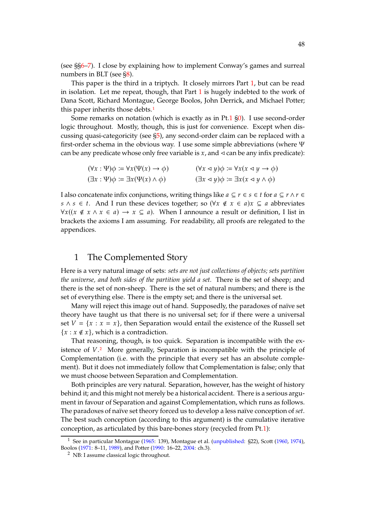(see §[§6–](#page-55-0)[7\)](#page-56-0). I close by explaining how to implement Conway's games and surreal numbers in BLT (see [§8\)](#page-57-0).

This paper is the third in a triptych. It closely mirrors Part [1,](#page-0-0) but can be read in isolation. Let me repeat, though, that Part  $1$  is hugely indebted to the work of Dana Scott, Richard Montague, George Boolos, John Derrick, and Michael Potter; this paper inherits those debts.<sup>[1](#page-47-1)</sup>

Some remarks on notation (which is exactly as in Pt[.1](#page-0-0) [§0\)](#page-1-1). I use second-order logic throughout. Mostly, though, this is just for convenience. Except when discussing quasi-categoricity (see [§5\)](#page-53-0), any second-order claim can be replaced with a first-order schema in the obvious way. I use some simple abbreviations (where  $\Psi$ can be any predicate whose only free variable is  $x$ , and  $\triangleleft$  can be any infix predicate):

$$
(\forall x : \Psi)\phi := \forall x(\Psi(x) \to \phi) \qquad (\forall x \le y)\phi := \forall x(x \le y \to \phi)
$$
  

$$
(\exists x : \Psi)\phi := \exists x(\Psi(x) \land \phi) \qquad (\exists x \le y)\phi := \exists x(x \le y \land \phi)
$$

I also concatenate infix conjunctions, writing things like  $a \subseteq r \in s \in t$  for  $a \subseteq r \land r \in$  $s \wedge s \in t$ . And I run these devices together; so  $(\forall x \notin x \in a)$   $\subseteq a$  abbreviates  $\forall x((x \notin x \land x \in a) \rightarrow x \subseteq a)$ . When I announce a result or definition, I list in brackets the axioms I am assuming. For readability, all proofs are relegated to the appendices.

## <span id="page-47-0"></span>1 The Complemented Story

Here is a very natural image of sets: *sets are not just collections of objects; sets partition the universe, and both sides of the partition yield a set.* There is the set of sheep; and there is the set of non-sheep. There is the set of natural numbers; and there is the set of everything else. There is the empty set; and there is the universal set.

Many will reject this image out of hand. Supposedly, the paradoxes of naïve set theory have taught us that there is no universal set; for if there were a universal set  $V = \{x : x = x\}$ , then Separation would entail the existence of the Russell set  ${x : x \notin x}$ , which is a contradiction.

That reasoning, though, is too quick. Separation is incompatible with the existence of  $V<sup>2</sup>$  $V<sup>2</sup>$  $V<sup>2</sup>$ . More generally, Separation is incompatible with the principle of Complementation (i.e. with the principle that every set has an absolute complement). But it does not immediately follow that Complementation is false; only that we must choose between Separation and Complementation.

Both principles are very natural. Separation, however, has the weight of history behind it; and this might not merely be a historical accident. There is a serious argument in favour of Separation and against Complementation, which runs as follows. The paradoxes of naïve set theory forced us to develop a less naïve conception of *set*. The best such conception (according to this argument) is the cumulative iterative conception, as articulated by this bare-bones story (recycled from Pt[.1\)](#page-0-0):

<sup>&</sup>lt;sup>1</sup> See in particular Montague [\(1965:](#page-73-5) 139), Montague et al. [\(unpublished:](#page-73-6) §22), Scott [\(1960](#page-73-7), [1974](#page-73-8)), Boolos [\(1971](#page-72-4): 8–11, [1989](#page-72-5)), and Potter [\(1990:](#page-73-9) 16–22, [2004](#page-73-10): ch.3).

<span id="page-47-2"></span><span id="page-47-1"></span><sup>2</sup> NB: I assume classical logic throughout.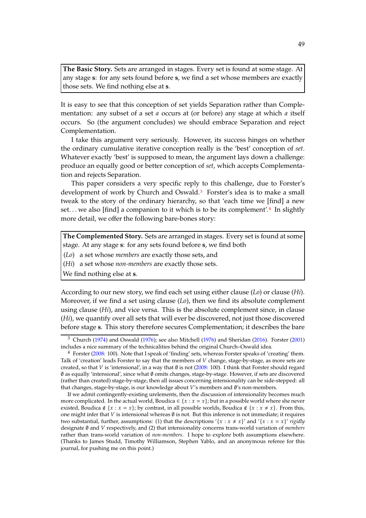**The Basic Story.** Sets are arranged in stages. Every set is found at some stage. At any stage **s**: for any sets found before **s**, we find a set whose members are exactly those sets. We find nothing else at **s**.

It is easy to see that this conception of set yields Separation rather than Complementation: any subset of a set  $a$  occurs at (or before) any stage at which  $a$  itself occurs. So (the argument concludes) we should embrace Separation and reject Complementation.

I take this argument very seriously. However, its success hinges on whether the ordinary cumulative iterative conception really is the 'best' conception of *set*. Whatever exactly 'best' is supposed to mean, the argument lays down a challenge: produce an equally good or better conception of *set*, which accepts Complementation and rejects Separation.

This paper considers a very specific reply to this challenge, due to Forster's development of work by Church and Oswald.[3](#page-48-0) Forster's idea is to make a small tweak to the story of the ordinary hierarchy, so that 'each time we [find] a new set... we also [find] a companion to it which is to be its complement'.<sup>[4](#page-48-1)</sup> In slightly more detail, we offer the following bare-bones story:

**The Complemented Story.** Sets are arranged in stages. Every set is found at some stage. At any stage **s**: for any sets found before **s**, we find both

(*Lo*) a set whose *members* are exactly those sets, and

(*Hi*) a set whose *non-members* are exactly those sets.

We find nothing else at **s**.

According to our new story, we find each set using either clause (*Lo*) or clause (*Hi*). Moreover, if we find a set using clause (*Lo*), then we find its absolute complement using clause (*Hi*), and vice versa. This is the absolute complement since, in clause (*Hi*), we quantify over all sets that will ever be discovered, not just those discovered before stage **s**. This story therefore secures Complementation; it describes the bare

<span id="page-48-0"></span> $3$  Church [\(1974\)](#page-72-6) and Oswald [\(1976\)](#page-73-11); see also Mitchell [\(1976](#page-73-12)) and Sheridan [\(2016](#page-73-13)). Forster [\(2001](#page-72-7)) includes a nice summary of the technicalities behind the original Church–Oswald idea.

<span id="page-48-1"></span><sup>4</sup> Forster [\(2008](#page-72-8): 100). Note that I speak of 'finding' sets, whereas Forster speaks of 'creating' them. Talk of 'creation' leads Forster to say that the members of  $V$  change, stage-by-stage, as more sets are created, so that V is 'intensional', in a way that  $\emptyset$  is not [\(2008](#page-72-8): 100). I think that Forster should regard ∅ as equally 'intensional', since what ∅ omits changes, stage-by-stage. However, if sets are discovered (rather than created) stage-by-stage, then all issues concerning intensionality can be side-stepped: all that changes, stage-by-stage, is our knowledge about  $V'$ s members and  $\emptyset$ 's non-members.

If we admit contingently-existing urelements, then the discussion of intensionality becomes much more complicated. In the actual world, Boudica  $\in \{x : x = x\}$ ; but in a possible world where she never existed, Boudica ∉ { $x : x = x$ }; by contrast, in all possible worlds, Boudica ∉ { $x : x \neq x$ }. From this, one might infer that V is intensional whereas  $\emptyset$  is not. But this inference is not immediate; it requires two substantial, further, assumptions: (1) that the descriptions '{ $x : x \neq x$ }' and '{ $x : x = x$ }' *rigidly* designate ∅ and 𝑉 respectively, and (2) that intensionality concerns trans-world variation of *members* rather than trans-world variation of *non-members*. I hope to explore both assumptions elsewhere. (Thanks to James Studd, Timothy Williamson, Stephen Yablo, and an anonymous referee for this journal, for pushing me on this point.)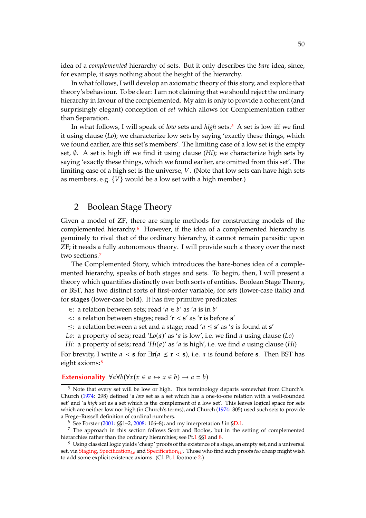idea of a *complemented* hierarchy of sets. But it only describes the *bare* idea, since, for example, it says nothing about the height of the hierarchy.

In what follows, I will develop an axiomatic theory of this story, and explore that theory's behaviour. To be clear: I am not claiming that we should reject the ordinary hierarchy in favour of the complemented. My aim is only to provide a coherent (and surprisingly elegant) conception of *set* which allows for Complementation rather than Separation.

In what follows, I will speak of *low* sets and *high* sets.[5](#page-49-1) A set is low iff we find it using clause (*Lo*); we characterize low sets by saying 'exactly these things, which we found earlier, are this set's members'. The limiting case of a low set is the empty set, ∅. A set is high iff we find it using clause (*Hi*); we characterize high sets by saying 'exactly these things, which we found earlier, are omitted from this set'. The limiting case of a high set is the universe,  $V$ . (Note that low sets can have high sets as members, e.g.  $\{V\}$  would be a low set with a high member.)

## <span id="page-49-0"></span>2 Boolean Stage Theory

Given a model of ZF, there are simple methods for constructing models of the complemented hierarchy.[6](#page-49-2) However, if the idea of a complemented hierarchy is genuinely to rival that of the ordinary hierarchy, it cannot remain parasitic upon ZF; it needs a fully autonomous theory. I will provide such a theory over the next two sections.[7](#page-49-3)

The Complemented Story, which introduces the bare-bones idea of a complemented hierarchy, speaks of both stages and sets. To begin, then, I will present a theory which quantifies distinctly over both sorts of entities. Boolean Stage Theory, or BST, has two distinct sorts of first-order variable, for *sets* (lower-case italic) and for **stages** (lower-case bold). It has five primitive predicates:

- ∈: a relation between sets; read ' $a \in b'$  as 'a is in  $b'$
- <: a relation between stages; read '**r** < **s**' as '**r** is before **s**'
- $\leq$ : a relation between a set and a stage; read ' $a \leq s'$  as ' $a$  is found at  $s'$
- *Lo*: a property of sets; read '*Lo*( $a$ )' as ' $a$  is low', i.e. we find  $a$  using clause (*Lo*)
- *Hi*: a property of sets; read ' $Hi(a)'$  as 'a is high', i.e. we find a using clause (*Hi*)

For brevity, I write  $a \leq s$  for  $\exists r(a \leq r \leq s)$ , i.e. a is found before **s**. Then BST has eight axioms:<sup>[8](#page-49-4)</sup>

### **[Extensionality](#page-1-0)**  $\forall a \forall b (\forall x (x \in a \leftrightarrow x \in b) \rightarrow a = b)$

<span id="page-49-1"></span> $5$  Note that every set will be low or high. This terminology departs somewhat from Church's. Church [\(1974](#page-72-6): 298) defined 'a *low* set as a set which has a one-to-one relation with a well-founded set' and 'a *high* set as a set which is the complement of a low set'. This leaves logical space for sets which are neither low nor high (in Church's terms), and Church [\(1974](#page-72-6): 305) used such sets to provide a Frege–Russell definition of cardinal numbers.

<span id="page-49-3"></span><span id="page-49-2"></span><sup>6</sup> See Forster [\(2001:](#page-72-7) §§1–2, [2008](#page-72-8): 106–8); and my interpretation *I* in [§D.1.](#page-66-0)

<sup>7</sup> The approach in this section follows Scott and Boolos, but in the setting of complemented hierarchies rather than the ordinary hierarchies; see Pt[.1](#page-0-0) §[§1](#page-1-0) and [8.](#page-12-0)

<span id="page-49-4"></span><sup>8</sup> Using classical logic yields 'cheap' proofs of the existence of a stage, an empty set, and a universal set, via [Staging,](#page-1-0) [Specification](#page-49-0)*Lo* and [Specification](#page-49-0)*Hi*. Those who find such proofs *too* cheap might wish to add some explicit existence axioms. (Cf. Pt[.1](#page-0-0) footnote [2.](#page-2-0))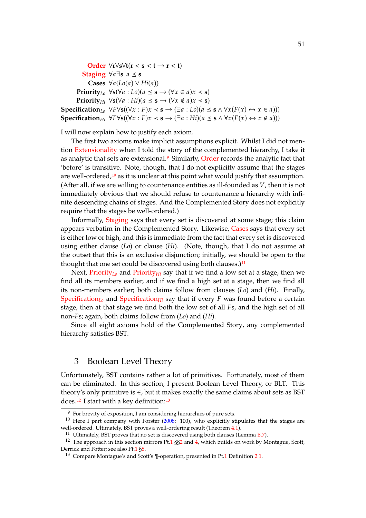**[Order](#page-1-0)** ∀**r**∀**s**∀**t**(**r** < **s** < **t** → **r** < **t**) **[Staging](#page-1-0)** ∀ $a \exists s$   $a \leq s$ **Cases**  $∀a(Lo(a) ∨ Hi(a))$ **Priority**<sub>Lo</sub>  $\forall$ **s**( $\forall$ *a* : *Lo*)( $a \leq$ **s**)  $\rightarrow$  ( $\forall$ *x*  $\in$  *a*)*x*  $\prec$  **s**) **Priority**<sub>*Hi*</sub>  $\forall$ **s**( $\forall$ *a* : *Hi*)( $a \leq$ **s**)  $\rightarrow$  ( $\forall$ *x*  $\notin$  *a*)*x* < **s**) **Specification**<sub>Lo</sub>  $\forall F \forall s ((\forall x : F)x \prec s \rightarrow (\exists a : Lo)(a \leq s \land \forall x (F(x) \leftrightarrow x \in a)))$ **Specification**<sub>*Hi*</sub>  $\forall F \forall s ((\forall x : F)x \prec s \rightarrow (\exists a : Hi)(a \leq s \land \forall x (F(x) \leftrightarrow x \notin a)))$ 

I will now explain how to justify each axiom.

The first two axioms make implicit assumptions explicit. Whilst I did not mention [Extensionality](#page-1-0) when I told the story of the complemented hierarchy, I take it as analytic that sets are extensional.<sup>[9](#page-50-1)</sup> Similarly, [Order](#page-1-0) records the analytic fact that 'before' is transitive. Note, though, that I do not explicitly assume that the stages are well-ordered, $10$  as it is unclear at this point what would justify that assumption. (After all, if we are willing to countenance entities as ill-founded as  $V$ , then it is not immediately obvious that we should refuse to countenance a hierarchy with infinite descending chains of stages. And the Complemented Story does not explicitly require that the stages be well-ordered.)

Informally, [Staging](#page-1-0) says that every set is discovered at some stage; this claim appears verbatim in the Complemented Story. Likewise, [Cases](#page-49-0) says that every set is either low or high, and this is immediate from the fact that every set is discovered using either clause (*Lo*) or clause (*Hi*). (Note, though, that I do not assume at the outset that this is an exclusive disjunction; initially, we should be open to the thought that one set could be discovered using both clauses.)<sup>[11](#page-50-3)</sup>

Next, [Priority](#page-49-0)<sub>Lo</sub> and Priority<sub>Hi</sub> say that if we find a low set at a stage, then we find all its members earlier, and if we find a high set at a stage, then we find all its non-members earlier; both claims follow from clauses (*Lo*) and (*Hi*). Finally, [Specification](#page-49-0)<sub>Lo</sub> and Specification<sub>Hi</sub> say that if every  $F$  was found before a certain stage, then at that stage we find both the low set of all Fs, and the high set of all non-*F*s; again, both claims follow from (*Lo*) and (*Hi*).

Since all eight axioms hold of the Complemented Story, any complemented hierarchy satisfies BST.

## <span id="page-50-0"></span>3 Boolean Level Theory

Unfortunately, BST contains rather a lot of primitives. Fortunately, most of them can be eliminated. In this section, I present Boolean Level Theory, or BLT. This theory's only primitive is ∈, but it makes exactly the same claims about sets as BST does.<sup>[12](#page-50-4)</sup> I start with a key definition:<sup>[13](#page-50-5)</sup>

<span id="page-50-1"></span><sup>9</sup> For brevity of exposition, I am considering hierarchies of pure sets.

<sup>&</sup>lt;sup>10</sup> Here I part company with Forster [\(2008:](#page-72-8) 100), who explicitly stipulates that the stages are well-ordered. Ultimately, BST proves a well-ordering result (Theorem [4.1\)](#page-52-0).

<span id="page-50-3"></span><span id="page-50-2"></span><sup>&</sup>lt;sup>11</sup> Ultimately, BST proves that no set is discovered using both clauses (Lemma [B.7\)](#page-64-0).

<sup>&</sup>lt;sup>12</sup> The approach in this section mirrors Pt[.1](#page-0-0) §[§2](#page-2-1) and [4,](#page-6-0) which builds on work by Montague, Scott, Derrick and Potter; see also Pt[.1](#page-0-0) [§8.](#page-12-0)

<span id="page-50-5"></span><span id="page-50-4"></span><sup>13</sup> Compare Montague's and Scott's ¶-operation, presented in Pt[.1](#page-0-0) Definition [2.1.](#page-2-2)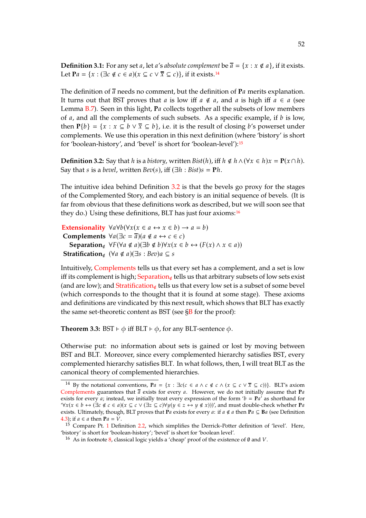<span id="page-51-4"></span>**Definition 3.1:** For any set *a*, let *a's absolute complement* be  $\overline{a} = \{x : x \notin a\}$ , if it exists. Let  $P_a = \{x : (\exists c \notin c \in a)(x \subseteq c \vee \overline{x} \subseteq c)\}\)$ , if it exists.<sup>[14](#page-51-0)</sup>

The definition of  $\overline{a}$  needs no comment, but the definition of  $P_a$  merits explanation. It turns out that BST proves that a is low iff  $a \notin a$ , and a is high iff  $a \in a$  (see Lemma [B.7\)](#page-64-0). Seen in this light, Pa collects together all the subsets of low members of  $a$ , and all the complements of such subsets. As a specific example, if  $b$  is low, then  $P\{b\} = \{x : x \subseteq b \lor \overline{x} \subseteq b\}$ , i.e. it is the result of closing *b*'s powerset under complements. We use this operation in this next definition (where 'bistory' is short for 'boolean-history', and 'bevel' is short for 'boolean-level'):[15](#page-51-1)

<span id="page-51-2"></span>**Definition 3.2:** Say that *h* is a *bistory*, written *Bist*(*h*), iff  $h \notin h \wedge (\forall x \in h) x = P(x \cap h)$ . Say that *s* is a *bevel*, written *Bev*(*s*), iff  $(\exists h : Bist)$ *s* = **P***h*.

The intuitive idea behind Definition [3.2](#page-51-2) is that the bevels go proxy for the stages of the Complemented Story, and each bistory is an initial sequence of bevels. (It is far from obvious that these definitions work as described, but we will soon see that they do.) Using these definitions, BLT has just four axioms:<sup>[16](#page-51-3)</sup>

```
Extensionality \forall a \forall b (\forall x (x \in a \leftrightarrow x \in b) \rightarrow a = b)Complements \forall a(\exists c = \overline{a})(a \notin a \leftrightarrow c \in c)Separation∉ \forall F(\forall a \notin a)(\exists b \notin b)\forall x(x \in b \leftrightarrow (F(x) \land x \in a))Stratification∉ (\forall a \notin a)(\exists s : Bev)a \subseteq s
```
Intuitively, [Complements](#page-51-2) tells us that every set has a complement, and a set is low iff its complement is high; [Separation](#page-51-2)<sub>∉</sub> tells us that arbitrary subsets of low sets exist (and are low); and [Stratification](#page-51-2)∉ tells us that every low set is a subset of some bevel (which corresponds to the thought that it is found at some stage). These axioms and definitions are vindicated by this next result, which shows that BLT has exactly the same set-theoretic content as BST (see  $\S$ B for the proof):

<span id="page-51-5"></span>**Theorem 3.3:** BST  $\vdash \phi$  iff BLT  $\vdash \phi$ , for any BLT-sentence  $\phi$ .

Otherwise put: no information about sets is gained or lost by moving between BST and BLT. Moreover, since every complemented hierarchy satisfies BST, every complemented hierarchy satisfies BLT. In what follows, then, I will treat BLT as the canonical theory of complemented hierarchies.

<span id="page-51-0"></span><sup>&</sup>lt;sup>14</sup> By the notational conventions,  $Pa = \{x : \exists c (c \in a \land c \notin c \land (x \subseteq c \lor \overline{x} \subseteq c))\}.$  BLT's axiom [Complements](#page-51-2) guarantees that  $\bar{a}$  exists for every  $a$ . However, we do not initially assume that  $P_a$ exists for every *a*; instead, we initially treat every expression of the form ' $b = Pa'$ ' as shorthand for ' $\forall x(x \in b \leftrightarrow (\exists c \notin c \in a)(x \subseteq c \vee (\exists z \subseteq c) \forall y(y \in z \leftrightarrow y \notin x))$ ', and must double-check whether **P***a* exists. Ultimately, though, BLT proves that **P**a exists for every a: if  $a \notin a$  then **P** $a \subseteq \mathbf{B}a$  (see Definition [4.3\)](#page-52-1); if  $a \in a$  then  $Pa = V$ .

<sup>&</sup>lt;sup>[1](#page-0-0)5</sup> Compare Pt. 1 Definition [2.2,](#page-3-0) which simplifies the Derrick–Potter definition of 'level'. Here, 'bistory' is short for 'boolean-history'; 'bevel' is short for 'boolean level'.

<span id="page-51-3"></span><span id="page-51-1"></span><sup>&</sup>lt;sup>16</sup> As in footnote [8,](#page-49-4) classical logic yields a 'cheap' proof of the existence of  $\emptyset$  and  $V$ .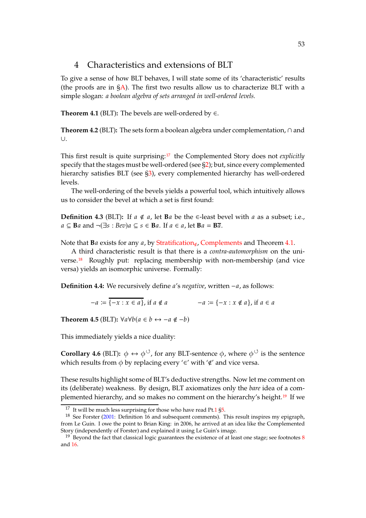## <span id="page-52-9"></span>4 Characteristics and extensions of BLT

To give a sense of how BLT behaves, I will state some of its 'characteristic' results (the proofs are in  $\zeta$ A). The first two results allow us to characterize BLT with a simple slogan: *a boolean algebra of sets arranged in well-ordered levels.*

<span id="page-52-0"></span>**Theorem 4.1** (BLT): The bevels are well-ordered by  $\in$ .

<span id="page-52-6"></span>**Theorem 4.2** (BLT)**:** The sets form a boolean algebra under complementation, ∩ and ∪.

This first result is quite surprising:[17](#page-52-2) the Complemented Story does not *explicitly* specify that the stages must be well-ordered (see [§2\)](#page-49-0); but, since every complemented hierarchy satisfies BLT (see [§3\)](#page-50-0), every complemented hierarchy has well-ordered levels.

The well-ordering of the bevels yields a powerful tool, which intuitively allows us to consider the bevel at which a set is first found:

<span id="page-52-1"></span>**Definition 4.3** (BLT): If  $a \notin a$ , let **B** $a$  be the ∈-least bevel with  $a$  as a subset; i.e.,  $a \subseteq$  **B** $a$  and  $\neg$ ( $\exists s : Bev$ ) $a \subseteq s \in$  **B** $a$ . If  $a \in a$ , let  $Ba = B\overline{a}$ .

Note that **B** $a$  exists for any  $a$ , by [Stratification](#page-51-2)<sub>∉</sub>, [Complements](#page-51-2) and Theorem [4.1.](#page-52-0)

A third characteristic result is that there is a *contra-automorphism* on the universe.[18](#page-52-3) Roughly put: replacing membership with non-membership (and vice versa) yields an isomorphic universe. Formally:

<span id="page-52-7"></span>**Definition 4.4:** We recursively define *a's negative*, written −*a*, as follows:

 $-a := \overline{\{-x : x \in a\}}$ , if  $a \notin a$ <br> $-a := \{-x : x \notin a\}$ , if  $a \in a$ 

<span id="page-52-8"></span>**Theorem 4.5** (BLT):  $\forall a \forall b (a \in b \leftrightarrow -a \notin -b)$ 

This immediately yields a nice duality:

<span id="page-52-5"></span>**Corollary 4.6** (BLT):  $\phi \leftrightarrow \phi^{\circ}$ , for any BLT-sentence  $\phi$ , where  $\phi^{\circ}$  is the sentence which results from  $\phi$  by replacing every '∈' with '∉' and vice versa.

These results highlight some of BLT's deductive strengths. Now let me comment on its (deliberate) weakness. By design, BLT axiomatizes only the *bare* idea of a complemented hierarchy, and so makes no comment on the hierarchy's height.[19](#page-52-4) If we

<span id="page-52-2"></span> $17$  It will be much less surprising for those who have read Pt[.1](#page-0-0)  $\S5$ .

<span id="page-52-3"></span><sup>18</sup> See Forster [\(2001:](#page-72-7) Definition 16 and subsequent comments). This result inspires my epigraph, from Le Guin. I owe the point to Brian King: in 2006, he arrived at an idea like the Complemented Story (independently of Forster) and explained it using Le Guin's image.

<span id="page-52-4"></span> $19$  Beyond the fact that classical logic guarantees the existence of at least one stage; see footnotes [8](#page-49-4) and [16.](#page-51-3)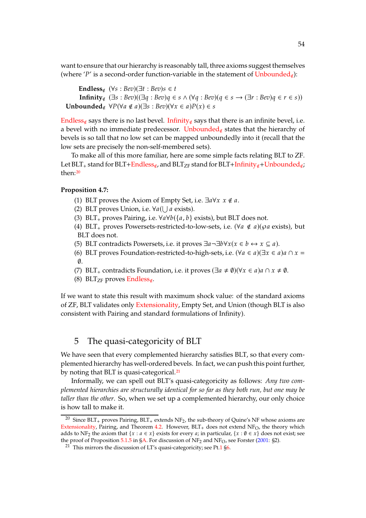want to ensure that our hierarchy is reasonably tall, three axioms suggest themselves (where 'P' is a second-order function-variable in the statement of  $\text{Unbounded}_{\notin}$  $\text{Unbounded}_{\notin}$  $\text{Unbounded}_{\notin}$ ):

**Endless**∉  $(\forall s : Bev)(\exists t : Bev)s \in t$ **Infinity**∉  $(\exists s : \text{Bev})(\exists q : \text{Bev})q \in s \land (\forall q : \text{Bev})(q \in s \rightarrow (\exists r : \text{Bev})q \in r \in s)$ **Unbounded**∉  $\forall P(\forall a \notin a)(\exists s : Bev)(\forall x \in a)P(x) \in s$ 

[Endless](#page-52-5)<sub>∉</sub> says there is no last bevel. [Infinity](#page-52-5)<sub>∉</sub> says that there is an infinite bevel, i.e. a bevel with no immediate predecessor. [Unbounded](#page-52-5)<sub>∉</sub> states that the hierarchy of bevels is so tall that no low set can be mapped unboundedly into it (recall that the low sets are precisely the non-self-membered sets).

To make all of this more familiar, here are some simple facts relating BLT to ZF. Let BLT<sub>+</sub> stand for BLT+[Endless](#page-52-5)<sub>∉</sub>, and BLT<sub>ZF</sub> stand for BLT+[Infinity](#page-52-5)<sub>∉</sub>+[Unbounded](#page-52-5)<sub>∉</sub>; then:[20](#page-53-1)

### <span id="page-53-4"></span>**Proposition 4.7:**

- (1) BLT proves the Axiom of Empty Set, i.e.  $\exists a \forall x \ x \notin a$ .
- (2) BLT proves Union, i.e.  $\forall a (\bigcup a \text{ exists}).$
- (3) BLT<sub>+</sub> proves Pairing, i.e.  $\forall a \forall b (\{a, b\} \text{ exists})$ , but BLT does not.
- <span id="page-53-3"></span>(4) BLT<sub>+</sub> proves Powersets-restricted-to-low-sets, i.e.  $(\forall a \notin a)(\wp a \text{ exists})$ , but BLT does not.
- <span id="page-53-5"></span>(5) BLT contradicts Powersets, i.e. it proves  $\exists a \neg \exists b \forall x (x \in b \leftrightarrow x \subseteq a)$ .
- <span id="page-53-6"></span>(6) BLT proves Foundation-restricted-to-high-sets, i.e.  $(\forall a \in a)(\exists x \in a)a \cap x =$  $\emptyset$ .
- (7) BLT<sub>+</sub> contradicts Foundation, i.e. it proves  $(\exists a \neq \emptyset)(\forall x \in a)a \cap x \neq \emptyset$ .
- (8) BLT<sub>ZF</sub> proves [Endless](#page-52-5)<sub>∉</sub>.

If we want to state this result with maximum shock value: of the standard axioms of ZF, BLT validates only [Extensionality,](#page-1-0) Empty Set, and Union (though BLT is also consistent with Pairing and standard formulations of Infinity).

## <span id="page-53-0"></span>5 The quasi-categoricity of BLT

We have seen that every complemented hierarchy satisfies BLT, so that every complemented hierarchy has well-ordered bevels. In fact, we can push this point further, by noting that BLT is quasi-categorical.<sup>[21](#page-53-2)</sup>

Informally, we can spell out BLT's quasi-categoricity as follows: *Any two complemented hierarchies are structurally identical for so far as they both run, but one may be taller than the other*. So, when we set up a complemented hierarchy, our only choice is how tall to make it.

<span id="page-53-1"></span><sup>&</sup>lt;sup>20</sup> Since BLT<sub>+</sub> proves Pairing, BLT<sub>+</sub> extends NF<sub>2</sub>, the sub-theory of Quine's NF whose axioms are [Extensionality,](#page-1-0) Pairing, and Theorem [4.2.](#page-52-6) However,  $BLT<sub>+</sub>$  does not extend NF<sub>O</sub>, the theory which adds to NF<sub>2</sub> the axiom that  $\{x : a \in x\}$  exists for every *a*; in particular,  $\{x : \emptyset \in x\}$  does not exist; see the proof of Proposition  $5.1.5$  $5.1.5$  in [§A.](#page-59-0) For discussion of NF<sub>2</sub> and NF<sub>O</sub>, see Forster [\(2001](#page-72-7): §2).

<span id="page-53-2"></span> $21$ <sup>T</sup> This mirrors the discussion of LT's quasi-categoricity; see Pt[.1](#page-0-0) [§6.](#page-9-1)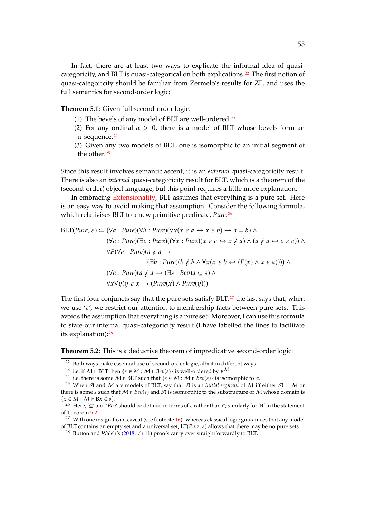In fact, there are at least two ways to explicate the informal idea of quasi-categoricity, and BLT is quasi-categorical on both explications.<sup>[22](#page-54-0)</sup> The first notion of quasi-categoricity should be familiar from Zermelo's results for ZF, and uses the full semantics for second-order logic:

**Theorem 5.1:** Given full second-order logic:

- (1) The bevels of any model of BLT are well-ordered.[23](#page-54-1)
- (2) For any ordinal  $\alpha > 0$ , there is a model of BLT whose bevels form an  $\alpha$ -sequence.<sup>[24](#page-54-2)</sup>
- (3) Given any two models of BLT, one is isomorphic to an initial segment of the other.<sup>[25](#page-54-3)</sup>

Since this result involves semantic ascent, it is an *external* quasi-categoricity result. There is also an *internal* quasi-categoricity result for BLT, which is a theorem of the (second-order) object language, but this point requires a little more explanation.

In embracing [Extensionality,](#page-1-0) BLT assumes that everything is a pure set. Here is an easy way to avoid making that assumption. Consider the following formula, which relativises BLT to a new primitive predicate, *Pure*:[26](#page-54-4)

$$
BLT(Pure, \varepsilon) := (\forall a : Pure)(\forall b : Pure)(\forall x (x \varepsilon a \leftrightarrow x \varepsilon b) \to a = b) \land
$$
  

$$
(\forall a : Pure)(\exists c : Pure)((\forall x : Pure)(x \varepsilon c \leftrightarrow x \notin a) \land (a \notin a \leftrightarrow c \varepsilon c)) \land
$$
  

$$
\forall F (\forall a : Pure)(a \notin a \to
$$
  

$$
(\exists b : Pure)(b \notin b \land \forall x (x \varepsilon b \leftrightarrow (F(x) \land x \varepsilon a)))) \land
$$
  

$$
(\forall a : Pure)(a \notin a \to (\exists s : Bev)a \subseteq s) \land
$$
  

$$
\forall x \forall y (y \varepsilon x \to (Pure(x) \land Pure(y)))
$$

The first four conjuncts say that the pure sets satisfy  $BLT;^{27}$  $BLT;^{27}$  $BLT;^{27}$  the last says that, when we use ' $\varepsilon'$ , we restrict our attention to membership facts between pure sets. This avoids the assumption that everything is a pure set. Moreover, I can use this formula to state our internal quasi-categoricity result (I have labelled the lines to facilitate its explanation):[28](#page-54-6)

<span id="page-54-7"></span>**Theorem 5.2:** This is a deductive theorem of impredicative second-order logic:

<sup>22</sup> Both ways make essential use of second-order logic, albeit in different ways.

<span id="page-54-0"></span><sup>&</sup>lt;sup>23</sup> i.e. if  $M \models \text{BLT}$  then  $\{s \in M : M \models \text{Bev}(s)\}$  is well-ordered by  $\in \mathcal{M}$ .

<span id="page-54-2"></span><span id="page-54-1"></span><sup>&</sup>lt;sup>24</sup> i.e. there is some  $M \models \text{BLT}$  such that  $\{s \in M : M \models \text{Bev}(s)\}$  is isomorphic to  $\alpha$ .

<span id="page-54-3"></span><sup>&</sup>lt;sup>25</sup> When  $\mathcal A$  and  $\mathcal M$  are models of BLT, say that  $\mathcal A$  is an *initial segment* of  $\mathcal M$  iff either  $\mathcal A = \mathcal M$  or there is some *s* such that  $M \models \text{Bev}(s)$  and  $\mathcal{A}$  is isomorphic to the substructure of M whose domain is  $\{x\in M: \mathcal{M}\models \mathbf{B}x\in s\}.$ 

<span id="page-54-4"></span><sup>&</sup>lt;sup>26</sup> Here, '⊆' and '*Bev*' should be defined in terms of  $\varepsilon$  rather than  $\epsilon$ ; similarly for '**B**' in the statement of Theorem [5.2.](#page-54-7)

<sup>&</sup>lt;sup>27</sup> With one insignificant caveat (see footnote  $16$ ): whereas classical logic guarantees that any model of BLT contains an empty set and a universal set,  $LT(Pure, \varepsilon)$  allows that there may be no pure sets.

<span id="page-54-6"></span><span id="page-54-5"></span><sup>&</sup>lt;sup>28</sup> Button and Walsh's [\(2018](#page-72-9): ch.11) proofs carry over straightforwardly to BLT.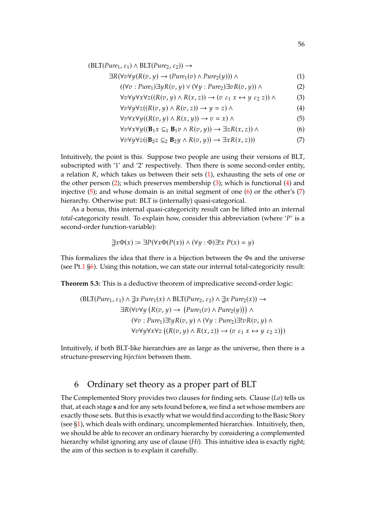$$
(\text{BLT}(Pure_1, \varepsilon_1) \land \text{BLT}(Pure_2, \varepsilon_2)) \rightarrow
$$

$$
\exists R(\forall v \forall y (R(v, y) \rightarrow (Pure_1(v) \land Pure_2(y))) \land \tag{1}
$$

$$
((\forall v: Pure_1) \exists y R(v, y) \lor (\forall y: Pure_2) \exists v R(v, y)) \land \qquad (2)
$$

<span id="page-55-4"></span><span id="page-55-3"></span><span id="page-55-2"></span><span id="page-55-1"></span>
$$
\forall v \forall y \forall x \forall z ((R(v, y) \land R(x, z)) \rightarrow (v \varepsilon_1 x \leftrightarrow y \varepsilon_2 z)) \land \tag{3}
$$

$$
\forall v \forall y \forall z ((R(v, y) \land R(v, z)) \rightarrow y = z) \land \tag{4}
$$

<span id="page-55-6"></span><span id="page-55-5"></span>
$$
\forall v \forall x \forall y ((R(v, y) \land R(x, y)) \rightarrow v = x) \land \tag{5}
$$

<span id="page-55-7"></span>
$$
\forall v \forall x \forall y ((\mathbf{B}_1 x \subseteq_1 \mathbf{B}_1 v \land R(v, y)) \to \exists z R(x, z)) \land
$$
 (6)

$$
\forall v \forall y \forall z ((\mathbf{B}_2 z \subseteq_2 \mathbf{B}_2 y \land R(v, y)) \rightarrow \exists x R(x, z)))
$$
\n(7)

Intuitively, the point is this. Suppose two people are using their versions of BLT, subscripted with '1' and '2' respectively. Then there is some second-order entity, a relation *, which takes us between their sets*  $(1)$ *, exhausting the sets of one or* the other person  $(2)$ ; which preserves membership  $(3)$ ; which is functional  $(4)$  and injective [\(5\)](#page-55-5); and whose domain is an initial segment of one [\(6\)](#page-55-6) or the other's [\(7\)](#page-55-7) hierarchy. Otherwise put: BLT is (internally) quasi-categorical.

As a bonus, this internal quasi-categoricity result can be lifted into an internal *total*-categoricity result. To explain how, consider this abbreviation (where 'P' is a second-order function-variable):

$$
\exists x \Phi(x) := \exists P(\forall x \Phi(P(x)) \land (\forall y : \Phi) \exists! x \ P(x) = y)
$$

This formalizes the idea that there is a bijection between the Φs and the universe (see Pt[.1](#page-0-0)  $\S6$ ). Using this notation, we can state our internal total-categoricity result:

**Theorem 5.3:** This is a deductive theorem of impredicative second-order logic:

$$
\begin{aligned} \left(\text{BLT}(Pure_1, \varepsilon_1) \land \exists x \, Pure_1(x) \land \text{BLT}(Pure_2, \varepsilon_2) \land \exists x \, Pure_2(x) \right) \rightarrow \\ \exists R(\forall v \forall y \, \big( R(v, y) \rightarrow \big( Pure_1(v) \land Pure_2(y) \big) \big) \land \\ (\forall v : Pure_1) \exists! y R(v, y) \land (\forall y : Pure_2) \exists! v R(v, y) \land \\ \forall v \forall y \forall x \forall z \, \big( (R(v, y) \land R(x, z)) \rightarrow (v \, \varepsilon_1 \, x \leftrightarrow y \, \varepsilon_2 \, z) \big) \big) \end{aligned}
$$

Intuitively, if both BLT-like hierarchies are as large as the universe, then there is a structure-preserving *bijection* between them.

## <span id="page-55-0"></span>6 Ordinary set theory as a proper part of BLT

The Complemented Story provides two clauses for finding sets. Clause (*Lo*) tells us that, at each stage **s** and for any sets found before **s**, we find a set whose members are exactly those sets. But this is exactly what we would find according to the Basic Story (see [§1\)](#page-47-0), which deals with ordinary, uncomplemented hierarchies. Intuitively, then, we should be able to recover an ordinary hierarchy by considering a complemented hierarchy whilst ignoring any use of clause (*Hi*). This intuitive idea is exactly right; the aim of this section is to explain it carefully.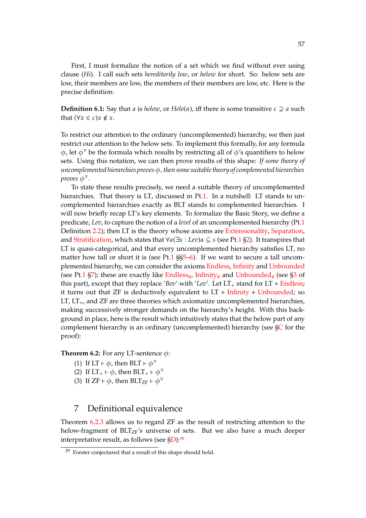First, I must formalize the notion of a set which we find without ever using clause (*Hi*). I call such sets *hereditarily low*, or *helow* for short. So: helow sets are low, their members are low, the members of their members are low, etc. Here is the precise definition:

<span id="page-56-4"></span>**Definition 6.1:** Say that *a* is *helow*, or  $Helo(a)$ , iff there is some transitive  $c \supseteq a$  such that  $(\forall x \in c) x \notin x$ .

To restrict our attention to the ordinary (uncomplemented) hierarchy, we then just restrict our attention to the helow sets. To implement this formally, for any formula  $\phi$ , let  $\phi^{\nabla}$  be the formula which results by restricting all of  $\phi'$ s quantifiers to helow sets. Using this notation, we can then prove results of this shape: *If some theory of uncomplemented hierarchies proves* 𝜙*, then some suitable theory of complemented hierarchies proves* φ<sup>ν</sup>.

To state these results precisely, we need a suitable theory of uncomplemented hierarchies. That theory is LT, discussed in Pt[.1.](#page-0-0) In a nutshell: LT stands to uncomplemented hierarchies exactly as BLT stands to complemented hierarchies. I will now briefly recap LT's key elements. To formalize the Basic Story, we define a predicate, *Lev*, to capture the notion of a *level* of an uncomplemented hierarchy (Pt[.1](#page-0-0) Definition [2.2\)](#page-3-0); then LT is the theory whose axioms are [Extensionality,](#page-1-0) [Separation,](#page-3-0) and [Stratification,](#page-3-0) which states that  $\forall a(\exists s : Lev)a \subseteq s$  (see Pt[.1](#page-0-0) [§2\)](#page-2-1). It transpires that LT is quasi-categorical, and that every uncomplemented hierarchy satisfies LT, no matter how tall or short it is (see Pt[.1](#page-0-0)  $\S5-6$ ). If we want to secure a tall uncomplemented hierarchy, we can consider the axioms [Endless,](#page-11-0) [Infinity](#page-11-0) and [Unbounded](#page-11-0) (see Pt[.1](#page-0-0) [§7\)](#page-11-0); these are exactly like [Endless](#page-52-5)<sub>∉</sub>, [Infinity](#page-52-5)<sub>∉</sub> and [Unbounded](#page-52-5)<sub>∉</sub> (see [§3](#page-50-0) of this part), except that they replace '*Bev'* with '*Lev'*. Let  $LT_+$  stand for  $LT +$  [Endless;](#page-11-0) it turns out that ZF is deductively equivalent to  $LT +$  [Infinity](#page-11-0) + [Unbounded;](#page-11-0) so LT,  $LT_{+}$ , and ZF are three theories which axiomatize uncomplemented hierarchies, making successively stronger demands on the hierarchy's height. With this background in place, here is the result which intuitively states that the helow part of any complement hierarchy is an ordinary (uncomplemented) hierarchy (see [§C](#page-64-1) for the proof):

<span id="page-56-1"></span>**Theorem 6.2:** For any LT-sentence  $\phi$ :

- (1) If LT  $\vdash \phi$ , then BLT  $\vdash \phi^{\triangledown}$
- <span id="page-56-2"></span>(2) If  $LT_+ \vdash \phi$ , then  $BLT_+ \vdash \phi^{\triangledown}$
- (3) If  $ZF \vdash \phi$ , then  $BLT_{ZF} \vdash \phi^{\triangledown}$

## <span id="page-56-0"></span>7 Definitional equivalence

Theorem [6.2.](#page-56-1)[3](#page-56-2) allows us to regard ZF as the result of restricting attention to the helow-fragment of  $BLT_{ZF}$ 's universe of sets. But we also have a much deeper interpretative result, as follows (see [§D\)](#page-66-1):[29](#page-56-3)

<span id="page-56-3"></span> $29$  Forster conjectured that a result of this shape should hold.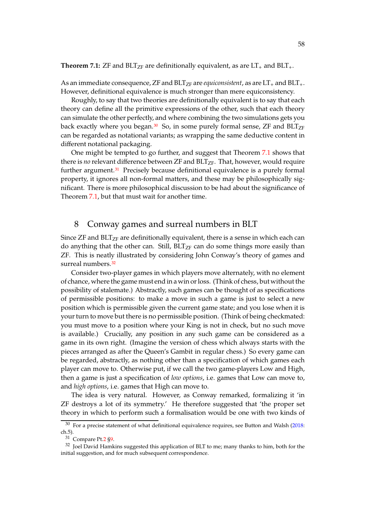<span id="page-57-2"></span>**Theorem 7.1:** ZF and  $BLT_{ZF}$  are definitionally equivalent, as are  $LT_+$  and  $BLT_+$ .

As an immediate consequence, ZF and  $BLT_{ZF}$  are *equiconsistent*, as are  $LT_+$  and  $BLT_+$ . However, definitional equivalence is much stronger than mere equiconsistency.

Roughly, to say that two theories are definitionally equivalent is to say that each theory can define all the primitive expressions of the other, such that each theory can simulate the other perfectly, and where combining the two simulations gets you back exactly where you began.<sup>[30](#page-57-1)</sup> So, in some purely formal sense, ZF and BLT<sub>ZF</sub> can be regarded as notational variants; as wrapping the same deductive content in different notational packaging.

One might be tempted to go further, and suggest that Theorem [7.1](#page-57-2) shows that there is *no* relevant difference between ZF and BLT<sub>ZF</sub>. That, however, would require further argument.<sup>[31](#page-57-3)</sup> Precisely because definitional equivalence is a purely formal property, it ignores all non-formal matters, and these may be philosophically significant. There is more philosophical discussion to be had about the significance of Theorem [7.1,](#page-57-2) but that must wait for another time.

## <span id="page-57-0"></span>8 Conway games and surreal numbers in BLT

Since  $ZF$  and  $BLT<sub>ZF</sub>$  are definitionally equivalent, there is a sense in which each can do anything that the other can. Still,  $BLT_{ZF}$  can do some things more easily than ZF. This is neatly illustrated by considering John Conway's theory of games and surreal numbers.<sup>[32](#page-57-4)</sup>

Consider two-player games in which players move alternately, with no element of chance, where the game must end in a win or loss. (Think of chess, but without the possibility of stalemate.) Abstractly, such games can be thought of as specifications of permissible positions: to make a move in such a game is just to select a new position which is permissible given the current game state; and you lose when it is your turn to move but there is no permissible position. (Think of being checkmated: you must move to a position where your King is not in check, but no such move is available.) Crucially, any position in any such game can be considered as a game in its own right. (Imagine the version of chess which always starts with the pieces arranged as after the Queen's Gambit in regular chess.) So every game can be regarded, abstractly, as nothing other than a specification of which games each player can move to. Otherwise put, if we call the two game-players Low and High, then a game is just a specification of *low options*, i.e. games that Low can move to, and *high options*, i.e. games that High can move to.

The idea is very natural. However, as Conway remarked, formalizing it 'in ZF destroys a lot of its symmetry.' He therefore suggested that 'the proper set theory in which to perform such a formalisation would be one with two kinds of

 $30$  For a precise statement of what definitional equivalence requires, see Button and Walsh [\(2018](#page-72-9): ch.5).

<span id="page-57-3"></span><span id="page-57-1"></span><sup>31</sup> Compare Pt[.2](#page-23-0) [§9.](#page-33-1)

<span id="page-57-4"></span> $32$  Joel David Hamkins suggested this application of BLT to me; many thanks to him, both for the initial suggestion, and for much subsequent correspondence.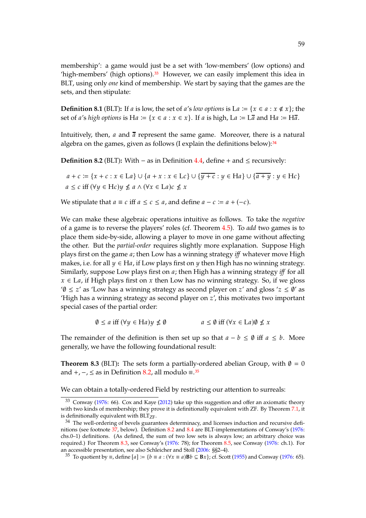membership': a game would just be a set with 'low-members' (low options) and 'high-members' (high options).<sup>[33](#page-58-0)</sup> However, we can easily implement this idea in BLT, using only *one* kind of membership. We start by saying that the games are the sets, and then stipulate:

**Definition 8.1** (BLT): If *a* is low, the set of *a's low options* is L*a* := { $x \in a : x \notin x$ }; the set of *a's high options* is H*a* := { $x \in a : x \in x$ }. If *a* is high, La := L $\overline{a}$  and Ha := H $\overline{a}$ .

Intuitively, then, a and  $\bar{a}$  represent the same game. Moreover, there is a natural algebra on the games, given as follows (I explain the definitions below): $34$ 

<span id="page-58-2"></span>**Definition 8.2** (BLT)**:** With − as in Definition [4.4,](#page-52-7) define + and ≤ recursively:

$$
a + c := \{x + c : x \in La\} \cup \{a + x : x \in Lc\} \cup \{\overline{y + c} : y \in Ha\} \cup \{\overline{a + y} : y \in Hc\}
$$
  

$$
a \le c \text{ iff } (\forall y \in Hc)y \nleq a \land (\forall x \in La)c \nleq x
$$

We stipulate that  $a \equiv c$  iff  $a \leq c \leq a$ , and define  $a - c \equiv a + (-c)$ .

We can make these algebraic operations intuitive as follows. To take the *negative* of a game is to reverse the players' roles (cf. Theorem [4.5\)](#page-52-8). To *add* two games is to place them side-by-side, allowing a player to move in one game without affecting the other. But the *partial-order* requires slightly more explanation. Suppose High plays first on the game *a*; then Low has a winning strategy *iff* whatever move High makes, i.e. for all  $y \in Ha$ , if Low plays first on y then High has no winning strategy. Similarly, suppose Low plays first on *a*; then High has a winning strategy *iff* for all  $x \in La$ , if High plays first on x then Low has no winning strategy. So, if we gloss ' $\emptyset \leq z'$  as 'Low has a winning strategy as second player on z' and gloss ' $z \leq \emptyset'$  as 'High has a winning strategy as second player on  $z'$ , this motivates two important special cases of the partial order:

$$
\emptyset \le a \text{ iff } (\forall y \in Ha) y \nleq \emptyset \qquad a \leq \emptyset \text{ iff } (\forall x \in La) \emptyset \nleq x
$$

The remainder of the definition is then set up so that  $a - b \leq \emptyset$  iff  $a \leq b$ . More generally, we have the following foundational result:

<span id="page-58-4"></span>**Theorem 8.3** (BLT): The sets form a partially-ordered abelian Group, with  $\emptyset = 0$ and  $+$ ,  $-$ ,  $\leq$  as in Definition [8.2,](#page-58-2) all modulo  $\equiv$ .<sup>[35](#page-58-3)</sup>

We can obtain a totally-ordered Field by restricting our attention to surreals:

<span id="page-58-0"></span><sup>33</sup> Conway [\(1976](#page-72-10): 66). Cox and Kaye [\(2012](#page-72-11)) take up this suggestion and offer an axiomatic theory with two kinds of membership; they prove it is definitionally equivalent with ZF. By Theorem [7.1,](#page-57-2) it is definitionally equivalent with  $BLT<sub>ZF</sub>$ .

<span id="page-58-1"></span><sup>&</sup>lt;sup>34</sup> The well-ordering of bevels guarantees determinacy, and licenses induction and recursive definitions (see footnote [37,](#page-61-0) below). Definition [8.2](#page-58-2) and [8.4](#page-59-1) are BLT-implementations of Conway's [\(1976](#page-72-10): chs.0–1) definitions. (As defined, the sum of two low sets is always low; an arbitrary choice was required.) For Theorem [8.3,](#page-58-4) see Conway's [\(1976](#page-72-10): 78); for Theorem [8.5,](#page-59-2) see Conway [\(1976:](#page-72-10) ch.1). For an accessible presentation, see also Schleicher and Stoll [\(2006](#page-73-14): §§2–4).

<span id="page-58-3"></span><sup>&</sup>lt;sup>35</sup> To quotient by ≡, define  $[a] := \{b \equiv a : (\forall x \equiv a) \mathbf{B} b \subseteq \mathbf{B} x\}$ ; cf. Scott [\(1955](#page-73-15)) and Conway [\(1976:](#page-72-10) 65).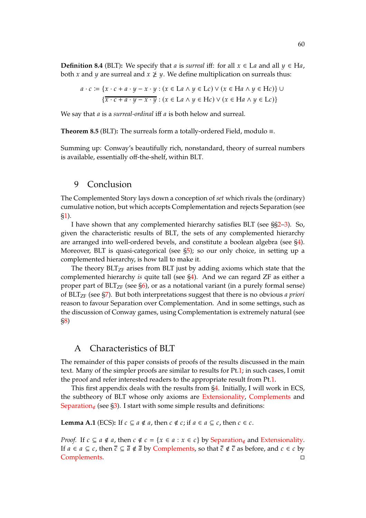<span id="page-59-1"></span>**Definition 8.4** (BLT): We specify that *a* is *surreal* iff: for all  $x \in L$ *a* and all  $y \in H$ *a*, both x and y are surreal and  $x \not\geq y$ . We define multiplication on surreals thus:

$$
a \cdot c := \{x \cdot c + a \cdot y - x \cdot y : (x \in La \land y \in Le) \lor (x \in Ha \land y \in He)\} \cup \{x \cdot c + a \cdot y - x \cdot y : (x \in La \land y \in He) \lor (x \in Ha \land y \in Le)\}
$$

We say that *a* is a *surreal-ordinal* iff *a* is both helow and surreal.

<span id="page-59-2"></span>**Theorem 8.5** (BLT)**:** The surreals form a totally-ordered Field, modulo ≡.

Summing up: Conway's beautifully rich, nonstandard, theory of surreal numbers is available, essentially off-the-shelf, within BLT.

## 9 Conclusion

The Complemented Story lays down a conception of *set* which rivals the (ordinary) cumulative notion, but which accepts Complementation and rejects Separation (see [§1\)](#page-47-0).

I have shown that any complemented hierarchy satisfies BLT (see §[§2](#page-49-0)[–3\)](#page-50-0). So, given the characteristic results of BLT, the sets of any complemented hierarchy are arranged into well-ordered bevels, and constitute a boolean algebra (see [§4\)](#page-52-9). Moreover, BLT is quasi-categorical (see [§5\)](#page-53-0); so our only choice, in setting up a complemented hierarchy, is how tall to make it.

The theory  $BLT<sub>ZF</sub>$  arises from BLT just by adding axioms which state that the complemented hierarchy *is* quite tall (see [§4\)](#page-52-9). And we can regard ZF as either a proper part of  $BLT<sub>ZF</sub>$  (see [§6\)](#page-55-0), or as a notational variant (in a purely formal sense) of BLTZF (see [§7\)](#page-56-0). But both interpretations suggest that there is no obvious *a priori* reason to favour Separation over Complementation. And in some settings, such as the discussion of Conway games, using Complementation is extremely natural (see [§8\)](#page-57-0)

## <span id="page-59-0"></span>A Characteristics of BLT

The remainder of this paper consists of proofs of the results discussed in the main text. Many of the simpler proofs are similar to results for Pt[.1;](#page-0-0) in such cases, I omit the proof and refer interested readers to the appropriate result from Pt[.1.](#page-0-0)

This first appendix deals with the results from [§4.](#page-52-9) Initially, I will work in ECS, the subtheory of BLT whose only axioms are [Extensionality,](#page-1-0) [Complements](#page-51-2) and [Separation](#page-51-2)<sub>∉</sub> (see [§3\)](#page-50-0). I start with some simple results and definitions:

<span id="page-59-3"></span>**Lemma A.1** (ECS): If  $c \subseteq a \notin a$ , then  $c \notin c$ ; if  $a \in a \subseteq c$ , then  $c \in c$ .

*Proof.* If  $c \subseteq a \notin a$ , then  $c \notin c = \{x \in a : x \in c\}$  by [Separation](#page-51-2)<sub>∉</sub> and [Extensionality.](#page-1-0) If  $a \in a \subseteq c$ , then  $\overline{c} \subseteq \overline{a} \notin \overline{a}$  by [Complements,](#page-51-2) so that  $\overline{c} \notin \overline{c}$  as before, and  $c \in c$  by [Complements.](#page-51-2)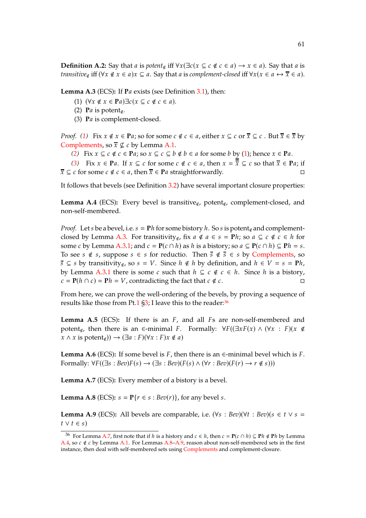<span id="page-60-3"></span><span id="page-60-1"></span><span id="page-60-0"></span>**Lemma A.3** (ECS): If **P***a* exists (see Definition [3.1\)](#page-51-4), then:

- (1)  $(\forall x \notin x \in \mathbf{P}a) \exists c(x \subseteq c \notin c \in a).$
- <span id="page-60-2"></span>(2) **P** $a$  is potent $\epsilon$ .
- (3) Pa is complement-closed.

*Proof.* [\(1\)](#page-60-0) Fix  $x \notin x \in \mathbf{P}a$ ; so for some  $c \notin c \in a$ , either  $x \subseteq c$  or  $\overline{x} \subseteq c$ . But  $\overline{x} \in \overline{x}$  by [Complements,](#page-51-2) so  $\overline{x} \nsubseteq c$  by Lemma [A.1.](#page-59-3)

*[\(2\)](#page-60-1)* Fix  $x \subseteq c \notin c \in \mathbf{Pa}$ ; so  $x \subseteq c \subseteq b \notin b \in a$  for some b by [\(1\)](#page-60-0); hence  $x \in \mathbf{Pa}$ .

*[\(3\)](#page-60-2)* Fix  $x \in \mathbf{P}a$ . If  $x \subseteq c$  for some  $c \notin c \in a$ , then  $x = \frac{1}{x} \subseteq c$  so that  $\overline{x} \in \mathbf{P}a$ ; if  $\overline{x} \subseteq c$  for some  $c \notin c \in a$ , then  $\overline{x} \in Pa$  straightforwardly.

It follows that bevels (see Definition [3.2\)](#page-51-2) have several important closure properties:

<span id="page-60-6"></span>**Lemma A.4** (ECS)**:** Every bevel is transitive∉, potent∉, complement-closed, and non-self-membered.

*Proof.* Let s be a bevel, i.e.  $s = Ph$  for some bistory h. So s is potent<sub>∉</sub> and complement-closed by Lemma [A.3.](#page-60-3) For transitivity<sub>∉</sub>, fix  $a \notin a \in s = Ph$ ; so  $a \subseteq c \notin c \in h$  for some c by Lemma [A.3](#page-60-3)[.1;](#page-60-0) and  $c = P(c \cap h)$  as h is a bistory; so  $a \subseteq P(c \cap h) \subseteq Ph = s$ . To see  $s \notin s$ , suppose  $s \in s$  for reductio. Then  $\overline{s} \notin \overline{s} \in s$  by [Complements,](#page-51-2) so  $\overline{s} \subseteq s$  by transitivity<sub>∉</sub>, so  $s = V$ . Since  $h \notin h$  by definition, and  $h \in V = s = Ph$ , by Lemma [A.3](#page-60-3)[.1](#page-60-0) there is some c such that  $h \subseteq c \notin c \in h$ . Since h is a bistory,  $c = P(h \cap c) = Ph = V$ , contradicting the fact that  $c \notin c$ .

From here, we can prove the well-ordering of the bevels, by proving a sequence of results like those from Pt[.1](#page-0-0) [§3;](#page-3-1) I leave this to the reader:<sup>[36](#page-60-4)</sup>

Lemma A.5 (ECS): If there is an *F*, and all *Fs* are non-self-membered and potent∉, then there is an  $\epsilon$ -minimal F. Formally:  $\forall F((\exists x F(x) \land (\forall x : F)(x \notin \mathbb{R}))$  $x \wedge x$  is potent<sub>∉</sub>))  $\rightarrow (\exists a : F)(\forall x : F)x \notin a)$ 

<span id="page-60-9"></span>**Lemma A.6** (ECS): If some bevel is  $F$ , then there is an  $\in$ -minimal bevel which is  $F$ . Formally:  $\forall F((\exists s : \text{Bev})F(s) \rightarrow (\exists s : \text{Bev})(F(s) \land (\forall r : \text{Bev})(F(r) \rightarrow r \notin s)))$ 

<span id="page-60-5"></span>**Lemma A.7** (ECS)**:** Every member of a bistory is a bevel.

<span id="page-60-7"></span>**Lemma A.8** (ECS):  $s = P\{r \in s : \text{Bev}(r)\}\)$ , for any bevel s.

<span id="page-60-8"></span>**Lemma A.9** (ECS): All bevels are comparable, i.e.  $(\forall s : Bev)(\forall t : Bev)(s \in t \lor s =$  $t \vee t \in s$ 

<span id="page-60-4"></span><sup>&</sup>lt;sup>36</sup> For Lemma [A.7,](#page-60-5) first note that if h is a history and  $c \in h$ , then  $c = P(c \cap h) \subseteq Ph \notin Ph$  by Lemma [A.4,](#page-60-6) so  $c \notin c$  by Lemma [A.1.](#page-59-3) For Lemmas [A.8](#page-60-7)[–A.9,](#page-60-8) reason about non-self-membered sets in the first instance, then deal with self-membered sets using [Complements](#page-51-2) and complement-closure.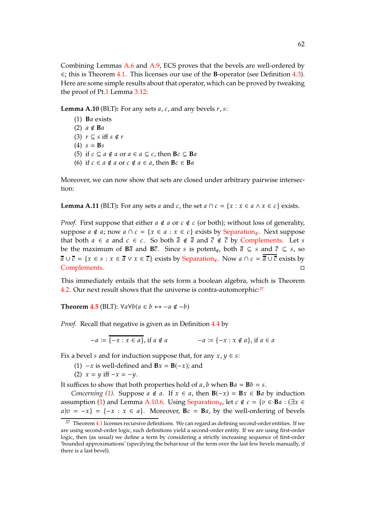Combining Lemmas [A.6](#page-60-9) and [A.9,](#page-60-8) ECS proves that the bevels are well-ordered by ∈; this is Theorem [4.1.](#page-52-0) This licenses our use of the **B**-operator (see Definition [4.3\)](#page-52-1). Here are some simple results about that operator, which can be proved by tweaking the proof of Pt[.1](#page-0-0) Lemma [3.12:](#page-5-1)

<span id="page-61-2"></span>**Lemma A.10** (BLT): For any sets *a*, *c*, and any bevels *r*, *s*:

(1) **B**𝑎 exists (2)  $a \notin Ba$ (3)  $r \subseteq s$  iff  $s \notin r$  $(4) s = **B**s$ (5) if  $c \subseteq a \notin a$  or  $a \in a \subseteq c$ , then  $Bc \subseteq Ba$ (6) if  $c \in a \notin a$  or  $c \notin a \in a$ , then  $Bc \in Ba$ 

<span id="page-61-3"></span>Moreover, we can now show that sets are closed under arbitrary pairwise intersection:

<span id="page-61-5"></span>**Lemma A.11** (BLT): For any sets *a* and *c*, the set  $a \cap c = \{x : x \in a \land x \in c\}$  exists.

*Proof.* First suppose that either  $a \notin a$  or  $c \notin c$  (or both); without loss of generality, suppose  $a \notin a$ ; now  $a \cap c = \{x \in a : x \in c\}$  exists by [Separation](#page-51-2)<sub>∉</sub>. Next suppose that both  $a \in a$  and  $c \in c$ . So both  $\overline{a} \notin \overline{a}$  and  $\overline{c} \notin \overline{c}$  by [Complements.](#page-51-2) Let s be the maximum of  $\overline{B}a$  and  $\overline{B}c$ . Since *s* is potent<sub>∉</sub>, both  $\overline{a} \subseteq s$  and  $\overline{c} \subseteq s$ , so  $\overline{a} \cup \overline{c} = \{x \in s : x \in \overline{a} \lor x \in \overline{c}\}$  exists by [Separation](#page-51-2)<sub>∉</sub>. Now  $a \cap c = \overline{a} \cup \overline{c}$  exists by [Complements.](#page-51-2) □

This immediately entails that the sets form a boolean algebra, which is Theorem [4.2.](#page-52-6) Our next result shows that the universe is contra-automorphic:  $37$ 

**Theorem [4.5](#page-52-8)** (BLT):  $\forall a \forall b (a \in b \leftrightarrow -a \notin -b)$ 

*Proof.* Recall that negative is given as in Definition [4.4](#page-52-7) by

$$
-a := \overline{\{-x : x \in a\}}, \text{ if } a \notin a \qquad -a := \{-x : x \notin a\}, \text{ if } a \in a
$$

<span id="page-61-4"></span><span id="page-61-1"></span>Fix a bevel *s* and for induction suppose that, for any  $x, y \in s$ :

- (1)  $-x$  is well-defined and **B** $x =$ **B**( $-x$ ); and
- (2)  $x = y$  iff  $-x = -y$ .

It suffices to show that both properties hold of  $a$ ,  $b$  when  $\mathbf{B}a = \mathbf{B}b = s$ .

*Concerning* [\(1\)](#page-61-1). Suppose  $a \notin a$ . If  $x \in a$ , then  $B(-x) = Bx \in Ba$  by induction assumption [\(1\)](#page-61-1) and Lemma [A.10.](#page-61-2)[6.](#page-61-3) Using [Separation](#page-51-2)<sub>∉</sub>, let  $c \notin c = \{v \in Ba : (\exists x \in a) \in A \mid \exists x \in a \}$  $a|v = -x$  =  $\{-x : x \in a\}$ . Moreover,  $Bc = Ba$ , by the well-ordering of bevels

<span id="page-61-0"></span> $37$  Theorem [4.1](#page-52-0) licenses recursive definitions. We can regard as defining second-order entities. If we are using second-order logic, such definitions yield a second-order entity. If we are using first-order logic, then (as usual) we define a term by considering a strictly increasing sequence of first-order 'bounded approximations' (specifying the behaviour of the term over the last few bevels manually, if there is a last bevel).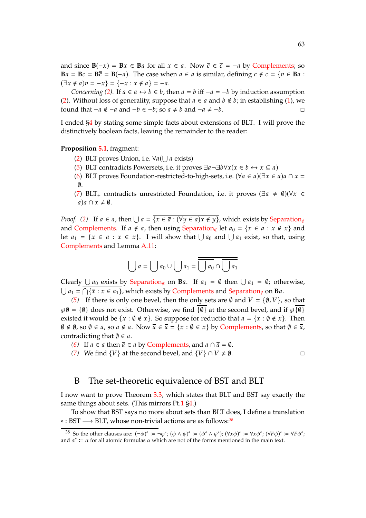and since  $\mathbf{B}(-x) = \mathbf{B}x \in \mathbf{B}$  for all  $x \in a$ . Now  $\overline{c} \in \overline{c} = -a$  by [Complements;](#page-51-2) so  $Ba = Bc = B\overline{c} = B(-a)$ . The case when  $a \in a$  is similar, defining  $c \notin c = \{v \in Ba :$  $(\exists x \notin a)v = -x$ } = {-x : x  $\notin a$ } = -a.

*Concerning* [\(2\)](#page-61-4). If  $a \in a \leftrightarrow b \in b$ , then  $a = b$  iff  $-a = -b$  by induction assumption [\(2\)](#page-61-4). Without loss of generality, suppose that  $a \in a$  and  $b \notin b$ ; in establishing [\(1\)](#page-61-1), we found that  $-a \notin -a$  and  $-b \in -b$ ; so  $a \neq b$  and  $-a \neq -b$ .  $\Box$ 

I ended [§4](#page-52-9) by stating some simple facts about extensions of BLT. I will prove the distinctively boolean facts, leaving the remainder to the reader:

### **Proposition [5.1](#page-28-0)**, fragment: .

- [\(2\)](#page-53-4) BLT proves Union, i.e.  $\forall a (\bigcup a \text{ exists})$
- [\(5\)](#page-53-3) BLT contradicts Powersets, i.e. it proves  $\exists a \neg \exists b \forall x (x \in b \leftrightarrow x \subseteq a)$
- [\(6\)](#page-53-5) BLT proves Foundation-restricted-to-high-sets, i.e.  $(\forall a \in a)(\exists x \in a)a \cap x =$ ∅.
- [\(7\)](#page-53-6) BLT<sub>+</sub> contradicts unrestricted Foundation, i.e. it proves ( $\exists a \neq \emptyset$ )( $\forall x \in \mathbb{R}$  $a)a \cap x \neq \emptyset$ .

*Proof.* [\(2\)](#page-53-4) If  $a \in a$ , then  $\bigcup a = \{x \in \overline{a} : (\forall y \in a) x \notin y\}$ , which exists by [Separation](#page-51-2)<sub>∉</sub> and [Complements.](#page-51-2) If  $a \notin a$ , then using [Separation](#page-51-2)<sub>∉</sub> let  $a_0 = \{x \in a : x \notin x\}$  and let  $a_1 = \{x \in a : x \in x\}$ . I will show that  $\bigcup a_0$  and  $\bigcup a_1$  exist, so that, using [Complements](#page-51-2) and Lemma [A.11:](#page-61-5)

$$
\bigcup a = \bigcup a_0 \cup \bigcup a_1 = \overline{\bigcup a_0 \cap \bigcup a_1}
$$

Clearly  $\bigcup a_0$  exists by [Separation](#page-51-2)<sub>∉</sub> on **B**a. If  $a_1 = \emptyset$  then  $\bigcup a_1 = \emptyset$ ; otherwise,  $\bigcup a_1 = \bigcap \{ \overline{x} : x \in a_1 \}$ , which exists by [Complements](#page-51-2) and [Separation](#page-51-2)<sub>∉</sub> on **B**a.

*[\(5\)](#page-53-3)* If there is only one bevel, then the only sets are  $\emptyset$  and  $V = {\emptyset, V}$ , so that  $\wp\emptyset = \{\emptyset\}$  does not exist. Otherwise, we find  $\{\emptyset\}$  at the second bevel, and if  $\wp\{\emptyset\}$ existed it would be  $\{x : \emptyset \notin x\}$ . So suppose for reductio that  $a = \{x : \emptyset \notin x\}$ . Then  $\emptyset \notin \emptyset$ , so  $\emptyset \in \emptyset$ , so  $\emptyset \notin \emptyset$ . Now  $\overline{\emptyset} \in \overline{\emptyset} = \{x : \emptyset \in \mathbb{X}\}$  by [Complements,](#page-51-2) so that  $\emptyset \in \overline{\emptyset}$ , contradicting that  $\emptyset \in \mathfrak{a}$ .

- *[\(6\)](#page-53-5)* If  $a \in a$  then  $\overline{a} \in a$  by [Complements,](#page-51-2) and  $a \cap \overline{a} = \emptyset$ .
- *[\(7\)](#page-53-6)* We find  $\{V\}$  at the second bevel, and  $\{V\} \cap V \neq \emptyset$ .

### <span id="page-62-0"></span>B The set-theoretic equivalence of BST and BLT

I now want to prove Theorem [3.3,](#page-51-5) which states that BLT and BST say exactly the same things about sets. (This mirrors Pt[.1](#page-0-0) [§4.](#page-6-0))

To show that BST says no more about sets than BLT does, I define a translation ∗ : BST −→ BLT, whose non-trivial actions are as follows:[38](#page-62-1)

<span id="page-62-1"></span><sup>38</sup> So the other clauses are:  $(\neg \phi)^* \coloneqq \neg \phi^*$ ;  $(\phi \land \psi)^* \coloneqq (\phi^* \land \psi^*)$ ;  $(\forall x \phi)^* \coloneqq \forall x \phi^*$ ;  $(\forall F \phi)^* \coloneqq \forall F \phi^*$ ; and  $\alpha^* := \alpha$  for all atomic formulas  $\alpha$  which are not of the forms mentioned in the main text.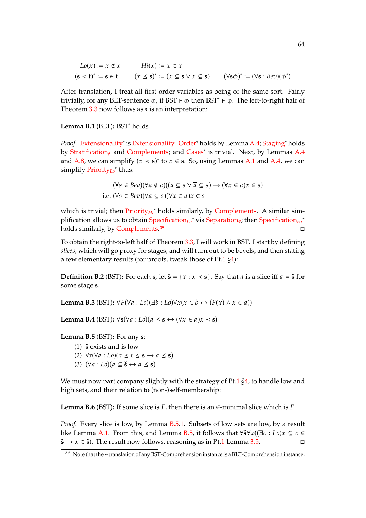$$
Lo(x) := x \notin x
$$
  
\n
$$
(s < t)^* := s \in t
$$
  
\n
$$
(x \le s)^* := (x \subseteq s \lor \overline{x} \subseteq s)
$$
  
\n
$$
(\forall s \phi)^* := (\forall s : \text{Bev})(\phi^*)
$$

After translation, I treat all first-order variables as being of the same sort. Fairly trivially, for any BLT-sentence  $\phi$ , if BST  $\vdash \phi$  then BST<sup>\*</sup>  $\vdash \phi$ . The left-to-right half of Theorem  $3.3$  now follows as  $*$  is an interpretation:

**Lemma B.1** (BLT)**:** BST<sup>∗</sup> holds.

Proof. [Extensionality](#page-1-0)<sup>\*</sup> is [Extensionality.](#page-1-0) [Order](#page-1-0)<sup>\*</sup> holds by Lemma [A.4;](#page-60-6) [Staging](#page-1-0)<sup>\*</sup> holds by [Stratification](#page-51-2)<sub>∉</sub> and [Complements;](#page-51-2) and [Cases](#page-49-0)<sup>\*</sup> is trivial. Next, by Lemmas [A.4](#page-60-6) and [A.8,](#page-60-7) we can simplify  $(x < s)^*$  to  $x \in s$ . So, using Lemmas [A.1](#page-59-3) and [A.4,](#page-60-6) we can simplify [Priority](#page-49-0)*Lo* ∗ thus:

$$
(\forall s \in Bev)(\forall a \notin a)((a \subseteq s \lor \overline{a} \subseteq s) \to (\forall x \in a)x \in s)
$$
  
i.e. 
$$
(\forall s \in Bev)(\forall a \subseteq s)(\forall x \in a)x \in s
$$

which is trivial; then *[Priority](#page-49-0)<sub>Hi</sub><sup>∗</sup>* holds similarly, by [Complements.](#page-51-2) A similar sim-plification allows us to obtain [Specification](#page-49-0)<sub>Lo</sub>\* via [Separation](#page-51-2)<sub>∉</sub>; then Specification<sub>Hi</sub><sup>∗</sup> holds similarly, by [Complements.](#page-51-2)<sup>[39](#page-63-0)</sup>

To obtain the right-to-left half of Theorem [3.3,](#page-51-5) I will work in BST. I start by defining *slices*, which will go proxy for stages, and will turn out to be bevels, and then stating a few elementary results (for proofs, tweak those of Pt[.1](#page-0-0) [§4\)](#page-6-0):

**Definition B.2** (BST): For each **s**, let  $\check{\mathbf{s}} = \{x : x \leq \mathbf{s}\}\)$ . Say that *a* is a slice iff  $a = \check{\mathbf{s}}$  for some stage **s**.

<span id="page-63-4"></span>**Lemma B.3** (BST):  $\forall F(\forall a : L_0)(\exists b : L_0)(\forall x (x \in b \leftrightarrow (F(x) \land x \in a))$ 

**Lemma B.4** (BST):  $\forall$ **s**( $\forall$ *a* : *Lo*)( $a \leq$  **s** ↔ ( $\forall$ *x* ∈  $a$ )*x* < **s**)

<span id="page-63-2"></span><span id="page-63-1"></span>**Lemma B.5** (BST)**:** For any **s**:

- $(1)$  **š** exists and is low
- (2)  $\forall$ **r**( $\forall$ *a* : *Lo*)( $a \leq$ **r** $\leq$ **s** $\rightarrow$   $a \leq$ **s**)
- (3)  $(\forall a : Lo)(a \subseteq \check{s} \leftrightarrow a \leq s)$

We must now part company slightly with the strategy of Pt[.1](#page-0-0) [§4,](#page-6-0) to handle low and high sets, and their relation to (non-)self-membership:

<span id="page-63-3"></span>**Lemma B.6** (BST): If some slice is  $F$ , then there is an  $\in$ -minimal slice which is  $F$ .

*Proof.* Every slice is low, by Lemma [B.5.](#page-63-1)[1.](#page-63-2) Subsets of low sets are low, by a result like Lemma [A.1.](#page-59-3) From this, and Lemma [B.5,](#page-63-1) it follows that  $\forall \check{s} \forall x ((\exists c : Lo)x \subseteq c \in \mathbb{R})$  $\check{\mathbf{s}} \to x \in \check{\mathbf{s}}$ ). The result now follows, reasoning as in Pt[.1](#page-0-0) Lemma [3.5.](#page-4-1)

<span id="page-63-0"></span><sup>39</sup> Note that the ∗-translation of any BST-Comprehension instance is a BLT-Comprehension instance.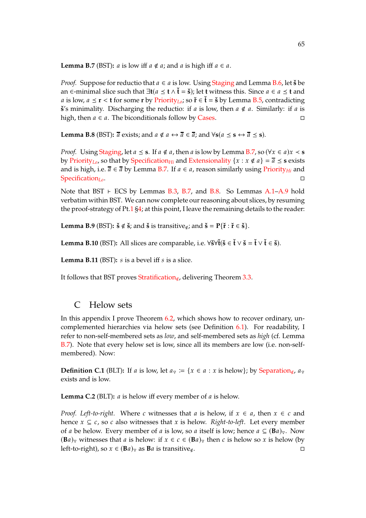<span id="page-64-0"></span>**Lemma B.7** (BST): *a* is low iff  $a \notin a$ ; and  $a$  is high iff  $a \in a$ .

*Proof.* Suppose for reductio that  $a \in a$  is low. Using [Staging](#page-1-0) and Lemma [B.6,](#page-63-3) let  $\check{\mathbf{s}}$  be an ∈-minimal slice such that ∃**t**(𝑎 **t** ∧ ˇ**t** = **s**ˇ); let **t** witness this. Since 𝑎 ∈ 𝑎 **t** and *a* is low, *a* ≤ **r** < **t** for some **r** by [Priority](#page-49-0)<sub>Lo</sub>; so **ř** ∈ **ť** = š by Lemma [B.5,](#page-63-1) contradicting **š**'s minimality. Discharging the reductio: if  $a$  is low, then  $a \notin a$ . Similarly: if  $a$  is high, then  $a \in a$ . The biconditionals follow by [Cases.](#page-49-0)  $\Box$ 

<span id="page-64-2"></span>**Lemma B.8** (BST):  $\bar{a}$  exists; and  $a \notin a \leftrightarrow \bar{a} \in \bar{a}$ ; and  $\forall s (a \leq s \leftrightarrow \bar{a} \leq s)$ .

*Proof.* Using *Staging*, let  $a \leq s$ . If  $a \notin a$ , then  $a$  is low by Lemma [B.7,](#page-64-0) so ( $\forall x \in a$ ) $x \leq s$ by [Priority](#page-49-0)<sub>Lo</sub>, so that by [Specification](#page-49-0)<sub>Hi</sub> and [Extensionality](#page-1-0)  $\{x : x \notin a\} = \overline{a} \le s$  exists and is high, i.e.  $\bar{a} \in \bar{a}$  by Lemma [B.7.](#page-64-0) If  $a \in a$ , reason similarly using [Priority](#page-49-0)<sub>Hi</sub> and [Specification](#page-49-0)<sub>Lo</sub>.

Note that BST ⊦ ECS by Lemmas [B.3,](#page-63-4) [B.7,](#page-64-0) and [B.8.](#page-64-2) So Lemmas [A.1](#page-59-3)[–A.9](#page-60-8) hold verbatim within BST. We can now complete our reasoning about slices, by resuming the proof-strategy of Pt[.1](#page-0-0) [§4;](#page-6-0) at this point, I leave the remaining details to the reader:

**Lemma B.9** (BST):  $\check{\mathbf{s}} \notin \check{\mathbf{s}}$ ; and  $\check{\mathbf{s}}$  is transitive<sub>∉</sub>; and  $\check{\mathbf{s}} = \mathbf{P}\{\check{\mathbf{r}} : \check{\mathbf{r}} \in \check{\mathbf{s}}\}$ .

**Lemma B.10** (BST): All slices are comparable, i.e.  $\forall \check{\mathbf{s}} \forall \check{\mathbf{t}} (\check{\mathbf{s}} \in \check{\mathbf{t}} \lor \check{\mathbf{t}} \in \check{\mathbf{s}}).$ 

**Lemma B.11** (BST):  $s$  is a bevel iff  $s$  is a slice.

It follows that BST proves [Stratification](#page-51-2)∉, delivering Theorem [3.3.](#page-51-5)

## <span id="page-64-1"></span>C Helow sets

In this appendix I prove Theorem [6.2,](#page-56-1) which shows how to recover ordinary, uncomplemented hierarchies via helow sets (see Definition [6.1\)](#page-56-4). For readability, I refer to non-self-membered sets as *low*, and self-membered sets as *high* (cf. Lemma [B.7\)](#page-64-0). Note that every helow set is low, since all its members are low (i.e. non-selfmembered). Now:

**Definition C.1** (BLT): If a is low, let  $a_{\overline{y}} := \{x \in a : x \text{ is below}\}\;$ ; by [Separation](#page-51-2)<sub>∉</sub>,  $a_{\overline{y}}$ exists and is low.

<span id="page-64-3"></span>**Lemma C.2** (BLT):  $a$  is helow iff every member of  $a$  is helow.

*Proof. Left-to-right.* Where c witnesses that *a* is helow, if  $x \in a$ , then  $x \in c$  and hence  $x \subseteq c$ , so c also witnesses that x is helow. *Right-to-left*. Let every member of *a* be helow. Every member of *a* is low, so *a* itself is low; hence  $a \subseteq (\mathbf{B}a)_{\nabla}$ . Now  $(\mathbf{B}a)_{\nabla}$  witnesses that a is helow: if  $x \in c \in (\mathbf{B}a)_{\nabla}$  then c is helow so x is helow (by left-to-right), so  $x \in (Ba)_\nabla$  as  $Ba$  is transitive<sub>∉</sub>.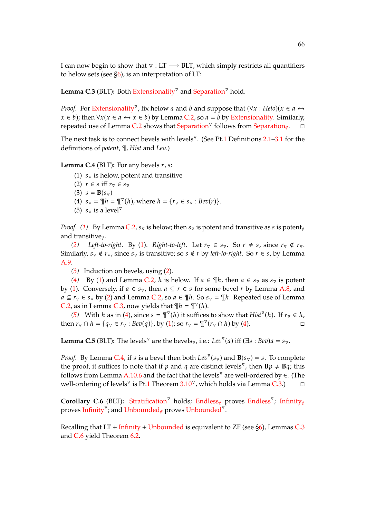I can now begin to show that  $\nabla$  : LT  $\longrightarrow$  BLT, which simply restricts all quantifiers to helow sets (see  $\S6$ ), is an interpretation of LT:

<span id="page-65-4"></span>Lemma C.3 (BLT): Both [Extensionality](#page-1-0)<sup>⊽</sup> and [Separation](#page-3-0)<sup>⊽</sup> hold.

*Proof.* For [Extensionality](#page-1-0)<sup> $\triangledown$ </sup>, fix helow *a* and *b* and suppose that  $(\forall x : Helo)(x \in a \leftrightarrow a)$  $x \in b$ ); then  $\forall x (x \in a \leftrightarrow x \in b)$  by Lemma [C.2,](#page-64-3) so  $a = b$  by [Extensionality.](#page-1-0) Similarly, repeated use of Lemma [C.2](#page-64-3) shows that [Separation](#page-51-2)<sup>⊽</sup> follows from Separation<sub>∉</sub>.  $\Box$ 

The next task is to connect bevels with levels<sup> $\triangledown$ </sup>. (See Pt[.1](#page-0-0) Definitions [2.1](#page-2-2)[–3.1](#page-3-2) for the definitions of *potent*, ¶, *Hist* and *Lev*.)

<span id="page-65-6"></span><span id="page-65-1"></span><span id="page-65-0"></span>**Lemma C.4** (BLT): For any bevels  $r, s$ :

(1)  $s_{\nabla}$  is helow, potent and transitive

- <span id="page-65-2"></span>(2)  $r \in s$  iff  $r_{\nabla} \in s_{\nabla}$
- <span id="page-65-3"></span>(3)  $s = B(s_{\nabla})$
- <span id="page-65-5"></span>(4)  $s_{\overline{y}} = \overline{\mathbb{I}} \overline{h} = \mathbb{I}^{\overline{y}}(h)$ , where  $h = \{r_{\overline{y}} \in s_{\overline{y}} : \text{Bev}(r)\}.$
- (5)  $s_{\overline{v}}$  is a level<sup> $\overline{v}$ </sup>

*Proof.* [\(1\)](#page-65-0) By Lemma [C.2,](#page-64-3)  $s_{\nabla}$  is helow; then  $s_{\nabla}$  is potent and transitive as s is potent<sub>∉</sub> and transitive∉.

*[\(2\)](#page-65-1) Left-to-right*. By [\(1\)](#page-65-0). *Right-to-left*. Let  $r_\nabla \in s_\nabla$ . So  $r \neq s$ , since  $r_\nabla \notin r_\nabla$ . Similarly,  $s_{\nabla} \notin r_{\nabla}$ , since  $s_{\nabla}$  is transitive; so  $s \notin r$  by *left-to-right*. So  $r \in s$ , by Lemma [A.9.](#page-60-8)

*[\(3\)](#page-65-2)* Induction on bevels, using [\(2\)](#page-65-1).

[\(4\)](#page-65-3) By [\(1\)](#page-65-0) and Lemma [C.2,](#page-64-3) h is helow. If  $a \in \mathcal{F}_h$ , then  $a \in s_{\nabla}$  as  $s_{\nabla}$  is potent by [\(1\)](#page-65-0). Conversely, if  $a \in s_{\nabla}$ , then  $a \subseteq r \in s$  for some bevel r by Lemma [A.8,](#page-60-7) and  $a \subseteq r_{\overline{v}} \in s_{\overline{v}}$  by [\(2\)](#page-65-1) and Lemma [C.2,](#page-64-3) so  $a \in \mathcal{F}$ h. So  $s_{\overline{v}} = \mathcal{F}$ h. Repeated use of Lemma [C.2,](#page-64-3) as in Lemma [C.3,](#page-65-4) now yields that  $\P h = \P^{\triangledown}(h)$ .

[\(5\)](#page-65-5) With *h* as in [\(4\)](#page-65-3), since  $s = \P^\triangledown(h)$  it suffices to show that *Hist*<sup> $\triangledown(h)$ . If  $r_\triangledown \in h$ ,</sup> then  $r_{\triangledown} \cap h = \{q_{\triangledown} \in r_{\triangledown} : \text{Bev}(q)\}\)$ , by [\(1\)](#page-65-0); so  $r_{\triangledown} = \P^{\triangledown}(r_{\triangledown} \cap h)$  by [\(4\)](#page-65-3).

**Lemma C.5** (BLT): The levels<sup> $\triangledown$ </sup> are the bevels<sub> $\triangledown$ </sub>, i.e.: *Lev*<sup> $\triangledown$ </sup>(*a*) iff ( $\exists s : Bev$ )*a* =  $s_{\triangledown}$ .

*Proof.* By Lemma [C.4,](#page-65-6) if s is a bevel then both  $Lev^{\nabla}(s_{\nabla})$  and  $\mathbf{B}(s_{\nabla}) = s$ . To complete the proof, it suffices to note that if p and q are distinct levels<sup> $\triangledown$ </sup>, then  $\mathbf{B}p \neq \mathbf{B}q$ ; this follows from Lemma [A.10.](#page-61-2)[6](#page-61-3) and the fact that the levels<sup> $\triangledown$ </sup> are well-ordered by  $\in$ . (The well-ordering of levels<sup>⊽</sup> is Pt[.1](#page-0-0) Theorem  $3.10^{\nabla}$  $3.10^{\nabla}$ , which holds via Lemma [C.3.](#page-65-4))  $\Box$ 

<span id="page-65-7"></span>Corollary C.6 (BLT): [Stratification](#page-3-0)<sup>⊽</sup> holds; [Endless](#page-11-0)<sub>∉</sub> proves Endless<sup>⊽</sup>; [Infinity](#page-52-5)<sub>∉</sub> proves [Infinity](#page-11-0)<sup> $\overline{v}$ </sup>, and [Unbounded](#page-11-0)<sub>∉</sub> proves Unbounded<sup> $\overline{v}$ </sup>.

Recalling that  $LT$  + [Infinity](#page-11-0) + [Unbounded](#page-11-0) is equivalent to  $ZF$  (see [§6\)](#page-55-0), Lemmas [C.3](#page-65-4) and [C.6](#page-65-7) yield Theorem [6.2.](#page-56-1)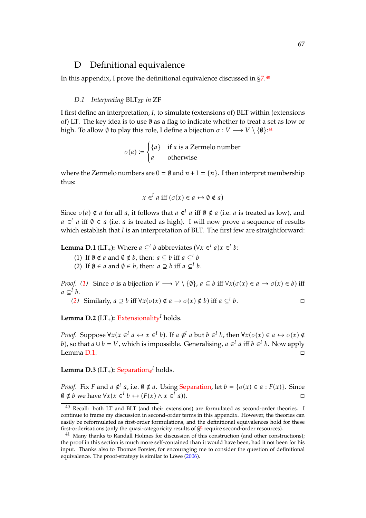### <span id="page-66-1"></span>D Definitional equivalence

<span id="page-66-0"></span>In this appendix, I prove the definitional equivalence discussed in [§7.](#page-56-0)[40](#page-66-2)

### *D.1* Interpreting BLT<sub>ZF</sub> in ZF

I first define an interpretation, *I*, to simulate (extensions of) BLT within (extensions of) LT. The key idea is to use  $\emptyset$  as a flag to indicate whether to treat a set as low or high. To allow Ø to play this role, I define a bijection  $\sigma: V \longrightarrow V \setminus \{\emptyset\}$ :<sup>[41](#page-66-3)</sup>

$$
\sigma(a) := \begin{cases} \{a\} & \text{if } a \text{ is a Zermelo number} \\ a & \text{otherwise} \end{cases}
$$

where the Zermelo numbers are  $0 = \emptyset$  and  $n + 1 = \{n\}$ . I then interpret membership thus:

$$
x \in I \text{ a iff } (\sigma(x) \in a \leftrightarrow \emptyset \notin a)
$$

Since  $\sigma(a) \notin a$  for all  $a$ , it follows that  $a \notin a$  iff  $\emptyset \notin a$  (i.e.  $a$  is treated as low), and  $a \in I$  a iff  $\emptyset \in a$  (i.e. a is treated as high). I will now prove a sequence of results which establish that *I* is an interpretation of BLT. The first few are straightforward:

<span id="page-66-6"></span><span id="page-66-5"></span><span id="page-66-4"></span>**Lemma D.1** (LT<sub>+</sub>): Where  $a \subseteq^{l} b$  abbreviates ( $\forall x \in^{l} a$ ) $x \in^{l} b$ :

(1) If  $\emptyset \notin a$  and  $\emptyset \notin b$ , then:  $a \subseteq b$  iff  $a \subseteq^l b$ 

(2) If  $\emptyset \in a$  and  $\emptyset \in b$ , then:  $a \supseteq b$  iff  $a \subseteqq^l b$ .

*Proof.* [\(1\)](#page-66-4) Since  $\sigma$  is a bijection  $V \longrightarrow V \setminus \{\emptyset\}$ ,  $a \subseteq b$  iff  $\forall x (\sigma(x) \in a \longrightarrow \sigma(x) \in b)$  iff  $a \subseteq^{I} b$ .

(2) Similarly, 
$$
a \supseteq b
$$
 iff  $\forall x(\sigma(x) \notin a \rightarrow \sigma(x) \notin b)$  iff  $a \subseteq^l b$ .

<span id="page-66-7"></span>**Lemma D.2** (LT<sub>+</sub>): [Extensionality](#page-1-0)<sup>*I*</sup> holds.

*Proof.* Suppose  $\forall x (x \in \mathbb{I} \land a \leftrightarrow x \in \mathbb{I} \land b)$ . If  $a \notin \mathbb{I} \land a$  but  $b \in \mathbb{I} \land b$ , then  $\forall x (\sigma(x) \in a \leftrightarrow \sigma(x) \notin a)$ *b*), so that  $a \cup b = V$ , which is impossible. Generalising,  $a \in$ <sup>*I*</sup>  $a$  iff  $b \in$ <sup>*I*</sup>  $b$ . Now apply Lemma [D.1.](#page-66-6)

Lemma D.3 (LT<sub>+</sub>): [Separation](#page-51-2)<sub>∉</sub><sup>*I*</sup> holds.

*Proof.* Fix *F* and  $a \notin I$   $a$ , i.e.  $\emptyset \notin a$ . Using [Separation,](#page-3-0) let  $b = \{\sigma(x) \in a : F(x)\}\$ . Since  $\emptyset \notin b$  we have  $\forall x (x \in \{I\} \in \mathcal{F})$   $\infty \in \{I\}$  $(a)$ ).

<span id="page-66-2"></span> $40$  Recall: both LT and BLT (and their extensions) are formulated as second-order theories. I continue to frame my discussion in second-order terms in this appendix. However, the theories can easily be reformulated as first-order formulations, and the definitional equivalences hold for these first-orderisations (only the quasi-categoricity results of  $\S5$  require second-order resources).

<span id="page-66-3"></span><sup>&</sup>lt;sup>41</sup> Many thanks to Randall Holmes for discussion of this construction (and other constructions); the proof in this section is much more self-contained than it would have been, had it not been for his input. Thanks also to Thomas Forster, for encouraging me to consider the question of definitional equivalence. The proof-strategy is similar to Löwe [\(2006](#page-72-12)).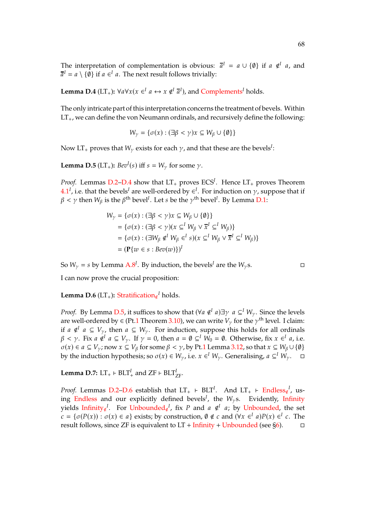The interpretation of complementation is obvious:  $\bar{a}^I = a \cup \{\emptyset\}$  if  $a \notin I$  a, and  $\overline{a}^I = a \setminus \{\emptyset\}$  if  $a \in I$  a. The next result follows trivially:

<span id="page-67-0"></span>**Lemma D.4** (LT<sub>+</sub>):  $\forall a \forall x (x \in \mathbb{I} \ a \leftrightarrow x \notin \mathbb{I} \ \overline{a}^I)$ , and [Complements](#page-51-2)<sup>*I*</sup> holds.

The only intricate part of this interpretation concerns the treatment of bevels. Within  $LT_+$ , we can define the von Neumann ordinals, and recursively define the following:

$$
W_{\gamma} = \{ \sigma(x) : (\exists \beta < \gamma) x \subseteq W_{\beta} \cup \{\emptyset\} \}
$$

Now LT<sub>+</sub> proves that  $W_\gamma$  exists for each  $\gamma$ , and that these are the bevels<sup>I</sup>:

<span id="page-67-1"></span>**Lemma D.5** (LT<sub>+</sub>):  $Bev^{I}(s)$  iff  $s = W_{\gamma}$  for some  $\gamma$ .

*Proof.* Lemmas [D.2](#page-66-7)[–D.4](#page-67-0) show that  $LT_+$  proves  $ECS<sup>I</sup>$ . Hence  $LT_+$  proves Theorem  $4.1<sup>I</sup>$  $4.1<sup>I</sup>$ , i.e. that the bevels<sup>*I*</sup> are well-ordered by ∈<sup>*I*</sup>. For induction on  $\gamma$ , suppose that if  $\beta<\gamma$  then  $W_\beta$  is the  $\beta^{\rm th}$  bevel<sup>*I*</sup>. Let  $s$  be the  $\gamma^{\rm th}$  bevel<sup>*I*</sup>. By Lemma [D.1:](#page-66-6)

$$
W_{\gamma} = \{ \sigma(x) : (\exists \beta < \gamma) x \subseteq W_{\beta} \cup \{\emptyset\} \}
$$
\n
$$
= \{ \sigma(x) : (\exists \beta < \gamma) (x \subseteq^{I} W_{\beta} \vee \overline{x}^{I} \subseteq^{I} W_{\beta}) \}
$$
\n
$$
= \{ \sigma(x) : (\exists W_{\beta} \notin^{I} W_{\beta} \in^{I} s) (x \subseteq^{I} W_{\beta} \vee \overline{x}^{I} \subseteq^{I} W_{\beta}) \}
$$
\n
$$
= (\mathbf{P} \{ w \in s : \text{Bev}(w) \} )^{I}
$$

So  $W_{\gamma} = s$  by Lemma [A.8](#page-60-7)<sup>*I*</sup>. By induction, the bevels<sup>*I*</sup> are the  $W_{\gamma}$ s.

I can now prove the crucial proposition:

<span id="page-67-2"></span>**Lemma D.6** (LT<sub>+</sub>): [Stratification](#page-51-2)<sub>∉</sub><sup>*I*</sup> holds.

*Proof.* By Lemma [D.5,](#page-67-1) it suffices to show that  $(\forall a \notin^{I} a) \exists \gamma \ a \subseteq^{I} W_{\gamma}$ . Since the levels are well-ordered by  $\in$  (Pt[.1](#page-0-0) Theorem [3.10\)](#page-5-0), we can write  $V_\gamma$  for the  $\gamma^{\text{th}}$  level. I claim: if *a* ∉<sup>*I*</sup> *a* ⊆  $V_{\gamma}$ , then *a* ⊆  $W_{\gamma}$ . For induction, suppose this holds for all ordinals  $\beta < \gamma$ . Fix  $a \notin^I a \subseteq V_\gamma$ . If  $\gamma = 0$ , then  $a = \emptyset \subseteq^I W_0 = \emptyset$ . Otherwise, fix  $x \in^I a$ , i.e.  $\sigma(x) \in a \subseteq V_{\gamma}$ ; now  $x \subseteq V_{\beta}$  for some  $\beta < \gamma$ , by Pt[.1](#page-0-0) Lemma [3.12,](#page-5-1) so that  $x \subseteq W_{\beta} \cup \{\emptyset\}$ by the induction hypothesis; so  $\sigma(x) \in W_{\gamma}$ , i.e.  $x \in^I W_{\gamma}$ . Generalising,  $a \subseteq^I W_{\gamma}$ .  $\Box$ 

<span id="page-67-3"></span>**Lemma D.7:** LT<sub>+</sub>  $\vdash$  BLT<sup>*I*</sup><sub>+</sub> and ZF  $\vdash$  BLT<sup>*I*</sup><sub>ZF</sub>.

*Proof.* Lemmas [D.2](#page-66-7)[–D.6](#page-67-2) establish that  $LT_+$  ⊢  $BLT^I$ . And  $LT_+$  ⊢  $Endless_{\notin}^I$  $Endless_{\notin}^I$ , us-ing [Endless](#page-11-0) and our explicitly defined bevels<sup>*I*</sup>, the  $W_\gamma$ s. Evidently, [Infinity](#page-11-0) yields [Infinity](#page-52-5)<sub>∉</sub><sup>I</sup>. For [Unbounded](#page-52-5)<sub>∉</sub><sup>I</sup>, fix P and a ∉<sup>I</sup> a; by [Unbounded,](#page-11-0) the set  $c = \{\sigma(P(x)) : \sigma(x) \in a\}$  exists; by construction,  $\emptyset \notin c$  and  $(\forall x \in^I a)P(x) \in^I c$ . The result follows, since ZF is equivalent to  $LT$  + [Infinity](#page-11-0) + [Unbounded](#page-11-0) (see [§6\)](#page-55-0).  $\square$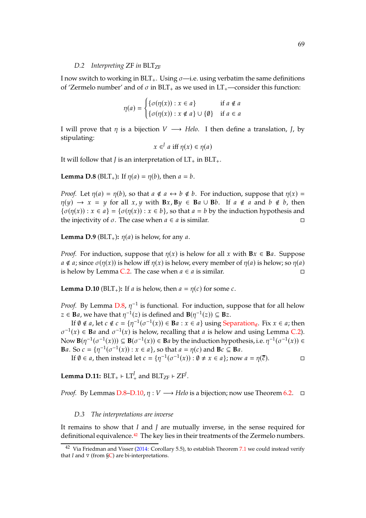#### *D.2* Interpreting ZF in BLT<sub>ZF</sub>

I now switch to working in  $BLT_+$ . Using  $\sigma$ —i.e. using verbatim the same definitions of 'Zermelo number' and of  $\sigma$  in BLT<sub>+</sub> as we used in LT<sub>+</sub>—consider this function:

$$
\eta(a) = \begin{cases} \{\sigma(\eta(x)) : x \in a\} & \text{if } a \notin a \\ \{\sigma(\eta(x)) : x \notin a\} \cup \{\emptyset\} & \text{if } a \in a \end{cases}
$$

I will prove that  $\eta$  is a bijection  $V \rightarrow Helo$ . I then define a translation, *J*, by stipulating:

$$
x \in^{J} a \text{ iff } \eta(x) \in \eta(a)
$$

It will follow that *J* is an interpretation of  $LT_+$  in  $BLT_+$ .

<span id="page-68-0"></span>**Lemma D.8** (BLT<sub>+</sub>): If  $\eta(a) = \eta(b)$ , then  $a = b$ .

*Proof.* Let  $\eta(a) = \eta(b)$ , so that  $a \notin a \leftrightarrow b \notin b$ . For induction, suppose that  $\eta(x) =$  $\eta(y) \to x = y$  for all  $x, y$  with  $Bx, By \in Ba \cup Bb$ . If  $a \notin a$  and  $b \notin b$ , then  $\{\sigma(\eta(x)) : x \in a\} = \{\sigma(\eta(x)) : x \in b\}$ , so that  $a = b$  by the induction hypothesis and the injectivity of  $\sigma$ . The case when  $a \in a$  is similar.

**Lemma D.9** ( $BLT_+$ ):  $\eta(a)$  is helow, for any a.

*Proof.* For induction, suppose that  $\eta(x)$  is helow for all x with **B** $x \in \mathbf{B}$ *a*. Suppose  $a \notin a$ ; since  $\sigma(\eta(x))$  is helow iff  $\eta(x)$  is helow, every member of  $\eta(a)$  is helow; so  $\eta(a)$ is helow by Lemma [C.2.](#page-64-3) The case when  $a \in a$  is similar.  $□$ 

<span id="page-68-1"></span>**Lemma D.10** (BLT<sub>+</sub>): If *a* is helow, then  $a = \eta(c)$  for some *c*.

*Proof.* By Lemma [D.8,](#page-68-0)  $\eta^{-1}$  is functional. For induction, suppose that for all helow  $z \in \mathbf{B}a$ , we have that  $\eta^{-1}(z)$  is defined and  $\mathbf{B}(\eta^{-1}(z)) \subseteq \mathbf{B}z$ .

If  $\emptyset \notin a$ , let  $c \notin c = \{\eta^{-1}(\sigma^{-1}(x)) \in \mathbf{B}a : x \in a\}$  using [Separation](#page-51-2)<sub>∉</sub>. Fix  $x \in a$ ; then  $\sigma^{-1}(x) \in$  **B***a* and  $\sigma^{-1}(x)$  is helow, recalling that *a* is helow and using Lemma [C.2\)](#page-64-3). Now  $\mathbf{B}(\eta^{-1}(\sigma^{-1}(x))) \subseteq \mathbf{B}(\sigma^{-1}(x)) \in \mathbf{B}$  a by the induction hypothesis, i.e.  $\eta^{-1}(\sigma^{-1}(x)) \in$ **B**a. So  $c = \{\eta^{-1}(\sigma^{-1}(x)) : x \in a\}$ , so that  $a = \eta(c)$  and  $\mathbf{B}c \subseteq \mathbf{B}a$ .

If  $\emptyset \in a$ , then instead let  $c = \{\eta^{-1}(\sigma^{-1}(x)) : \emptyset \neq x \in a\}$ ; now  $a = \eta(\overline{c})$ .

<span id="page-68-3"></span>**Lemma D.11:**  $BLT_+ \vdash LT_+^f$  and  $BLT_{ZF} \vdash ZF^f$ .

*Proof.* By Lemmas [D.8](#page-68-0)[–D.10,](#page-68-1)  $\eta: V \longrightarrow$  *Helo* is a bijection; now use Theorem [6.2.](#page-56-1)  $\Box$ 

#### *D.3 The interpretations are inverse*

It remains to show that *I* and *J* are mutually inverse, in the sense required for definitional equivalence.[42](#page-68-2) The key lies in their treatments of the Zermelo numbers.

<span id="page-68-2"></span> $42$  Via Friedman and Visser [\(2014:](#page-72-13) Corollary 5.5), to establish Theorem [7.1](#page-57-2) we could instead verify that *I* and  $\nabla$  (from  $\zeta$ C) are bi-interpretations.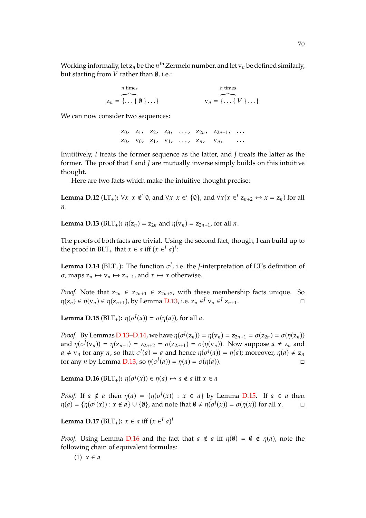Working informally, let  $z_n$  be the  $n^{\text{th}}$  Zermelo number, and let  $v_n$  be defined similarly, but starting from  $V$  rather than  $\emptyset$ , i.e.:

*n* times  

$$
z_n = \overbrace{\{\ldots \{0\}\ldots\}}^{n \text{ times}}
$$

$$
v_n = \overbrace{\{\ldots \{V\}\ldots\}}^{n \text{ times}}
$$

We can now consider two sequences:

 $Z_0$ ,  $Z_1$ ,  $Z_2$ ,  $Z_3$ , ...,  $Z_{2n}$ ,  $Z_{2n+1}$ , ...  $Z_0$ ,  $V_0$ ,  $Z_1$ ,  $V_1$ , ...,  $Z_n$ ,  $V_n$ , ...

Inutitively, *I* treats the former sequence as the latter, and *J* treats the latter as the former. The proof that *I* and *J* are mutually inverse simply builds on this intuitive thought.

Here are two facts which make the intuitive thought precise:

<span id="page-69-4"></span>**Lemma D.12** (LT<sub>+</sub>):  $\forall x \ x \notin^{I} \emptyset$ , and  $\forall x \ x \in^{I} \{\emptyset\}$ , and  $\forall x(x \in^{I} Z_{n+2} \leftrightarrow x = Z_n)$  for all  $\overline{n}$ .

<span id="page-69-0"></span>**Lemma D.13** (BLT<sub>+</sub>):  $\eta(z_n) = z_{2n}$  and  $\eta(v_n) = z_{2n+1}$ , for all *n*.

The proofs of both facts are trivial. Using the second fact, though, I can build up to the proof in BLT<sub>+</sub> that  $x \in a$  iff  $(x \in^I a)^J$ :

<span id="page-69-1"></span>**Lemma D.14** (BLT<sub>+</sub>): The function  $\sigma^J$ , i.e. the *J*-interpretation of LT's definition of  $\sigma$ , maps  $z_n \mapsto v_n \mapsto z_{n+1}$ , and  $x \mapsto x$  otherwise.

*Proof.* Note that  $z_{2n} \in z_{2n+1} \in z_{2n+2}$ , with these membership facts unique. So  $\eta(z_n) \in \eta(v_n) \in \eta(z_{n+1})$ , by Lemma [D.13,](#page-69-0) i.e.  $z_n \in V_{n} \in I_{z_{n+1}}$ .

<span id="page-69-2"></span>**Lemma D.15** (BLT<sub>+</sub>):  $\eta(\sigma^J(a)) = \sigma(\eta(a))$ , for all a.

*Proof.* By Lemmas [D.13](#page-69-0)[–D.14,](#page-69-1) we have  $\eta(\sigma^J(z_n)) = \eta(v_n) = z_{2n+1} = \sigma(z_{2n}) = \sigma(\eta(z_n))$ and  $\eta(\sigma^J(v_n)) = \eta(z_{n+1}) = z_{2n+2} = \sigma(z_{2n+1}) = \sigma(\eta(v_n))$ . Now suppose  $a \neq z_n$  and  $a \neq v_n$  for any  $n$ , so that  $\sigma^J(a) = a$  and hence  $\eta(\sigma^J(a)) = \eta(a)$ ; moreover,  $\eta(a) \neq z_n$ for any *n* by Lemma [D.13;](#page-69-0) so  $\eta(\sigma^J(a)) = \eta(a) = \sigma(\eta(a))$ .

<span id="page-69-3"></span>**Lemma D.16** ( $BLT_+$ ):  $\eta(\sigma^J(x)) \in \eta(a) \leftrightarrow a \notin a$  iff  $x \in a$ 

*Proof.* If  $a \notin a$  then  $\eta(a) = {\eta(\sigma^f(x)) : x \in a}$  by Lemma [D.15.](#page-69-2) If  $a \in a$  then  $\eta(a) = \{ \eta(\sigma^J(x)) : x \notin a \} \cup \{ \emptyset \}$ , and note that  $\emptyset \neq \eta(\sigma^J(x)) = \sigma(\eta(x))$  for all  $x$ .

<span id="page-69-5"></span>**Lemma D.17** (BLT<sub>+</sub>):  $x \in a$  iff  $(x \in [a]^d)$ 

*Proof.* Using Lemma [D.16](#page-69-3) and the fact that  $a \notin a$  iff  $\eta(\emptyset) = \emptyset \notin \eta(a)$ , note the following chain of equivalent formulas: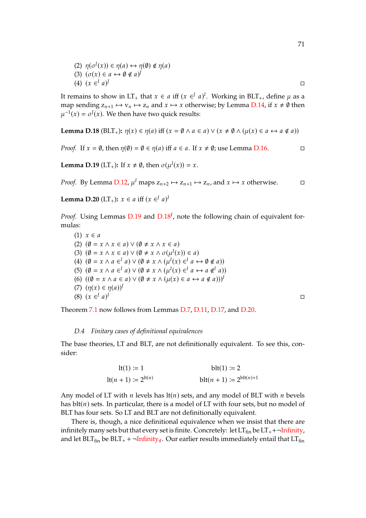(2) 
$$
\eta(\sigma^J(x)) \in \eta(a) \leftrightarrow \eta(\emptyset) \notin \eta(a)
$$
  
\n(3)  $(\sigma(x) \in a \leftrightarrow \emptyset \notin a)^J$   
\n(4)  $(x \in^I a)^J$ 

It remains to show in LT<sub>+</sub> that  $x \in a$  iff  $(x \in a)^I$ . Working in BLT<sub>+</sub>, define  $\mu$  as a map sending  $z_{n+1} \mapsto v_n \mapsto z_n$  and  $x \mapsto x$  otherwise; by Lemma [D.14,](#page-69-1) if  $x \neq \emptyset$  then  $\mu^{-1}(x) = \sigma^{J}(x)$ . We then have two quick results:

<span id="page-70-1"></span>**Lemma D.18** (BLT<sub>+</sub>): 
$$
\eta(x) \in \eta(a)
$$
 iff  $(x = \emptyset \land a \in a) \lor (x \neq \emptyset \land (\mu(x) \in a \leftrightarrow a \notin a))$ 

*Proof.* If  $x = \emptyset$ , then  $\eta(\emptyset) = \emptyset \in \eta(a)$  iff  $a \in a$ . If  $x \neq \emptyset$ ; use Lemma [D.16.](#page-69-3)

<span id="page-70-0"></span>**Lemma D.19** (LT<sub>+</sub>): If  $x \neq \emptyset$ , then  $\sigma(\mu^{I}(x)) = x$ .

*Proof.* By Lemma [D.12,](#page-69-4)  $\mu^I$  maps  $z_{n+2} \mapsto z_{n+1} \mapsto z_n$ , and  $x \mapsto x$  otherwise.  $\square$ 

<span id="page-70-2"></span>**Lemma D.20** (LT<sub>+</sub>):  $x \in a$  iff  $(x \in^{\text{J}} a)^{\text{J}}$ 

*Proof.* Using Lemmas [D.19](#page-70-0) and [D.18](#page-70-1)*<sup>I</sup>* , note the following chain of equivalent formulas:

(1)  $x \in a$ (2)  $(\emptyset = x \land x \in a) \lor (\emptyset \neq x \land x \in a)$ (3)  $(\emptyset = x \land x \in a) \lor (\emptyset \neq x \land \sigma(\mu^{I}(x)) \in a)$ (4)  $(\emptyset = x \land a \in \mathbb{I} a) \lor (\emptyset \neq x \land (\mu^I(x) \in \mathbb{I} a \leftrightarrow \emptyset \notin a))$ (5)  $(\emptyset = x \land a \in^I a) \lor (\emptyset \neq x \land (\mu^I(x) \in^I a \leftrightarrow a \notin^I a))$ (6)  $((\emptyset = x \land a \in a) \lor (\emptyset \neq x \land (\mu(x) \in a \leftrightarrow a \notin a)))^T$ (7)  $(\eta(x) \in \eta(a))^I$ (8)  $(x \in^J a)$ *I* <del>□</del>

Theorem [7.1](#page-57-2) now follows from Lemmas [D.7,](#page-67-3) [D.11,](#page-68-3) [D.17,](#page-69-5) and [D.20.](#page-70-2)

### *D.4 Finitary cases of definitional equivalences*

The base theories, LT and BLT, are not definitionally equivalent. To see this, consider:

$$
lt(1) := 1 \t\t\t\t blt(1) := 2
$$
  

$$
lt(n + 1) := 2^{lt(n)} \t\t\t\t blt(n + 1) := 2^{blt(n)+1}
$$

Any model of LT with  $n$  levels has  $lt(n)$  sets, and any model of BLT with  $n$  bevels has  $blt(n)$  sets. In particular, there is a model of LT with four sets, but no model of BLT has four sets. So LT and BLT are not definitionally equivalent.

There is, though, a nice definitional equivalence when we insist that there are infinitely many sets but that every set is finite. Concretely: let  $LT_{fin}$  be  $LT_{+}$ +¬[Infinity,](#page-11-0) and let BLT<sub>fin</sub> be BLT<sub>+</sub> + ¬[Infinity](#page-52-5)<sub>∉</sub>. Our earlier results immediately entail that LT<sub>fin</sub>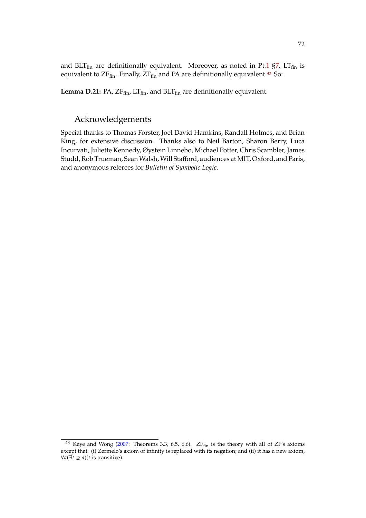**Lemma D.21:** PA,  $ZF_{fin}$ ,  $LT_{fin}$ , and  $BLT_{fin}$  are definitionally equivalent.

## Acknowledgements

Special thanks to Thomas Forster, Joel David Hamkins, Randall Holmes, and Brian King, for extensive discussion. Thanks also to Neil Barton, Sharon Berry, Luca Incurvati, Juliette Kennedy, Øystein Linnebo, Michael Potter, Chris Scambler, James Studd, Rob Trueman, Sean Walsh, Will Stafford, audiences at MIT, Oxford, and Paris, and anonymous referees for *Bulletin of Symbolic Logic*.

<span id="page-71-0"></span> $43$  Kaye and Wong [\(2007:](#page-72-14) Theorems 3.3, 6.5, 6.6).  $ZF_{fin}$  is the theory with all of  $ZF's$  axioms except that: (i) Zermelo's axiom of infinity is replaced with its negation; and (ii) it has a new axiom,  $\forall a (\exists t \supseteq a)(t \text{ is transitive}).$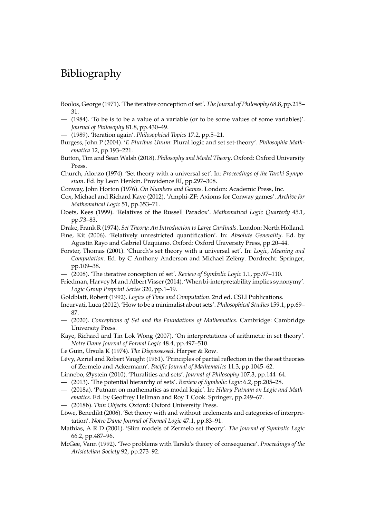## Bibliography

- Boolos, George (1971). 'The iterative conception of set'. *The Journal of Philosophy* 68.8, pp.215– 31.
- (1984). 'To be is to be a value of a variable (or to be some values of some variables)'. *Journal of Philosophy* 81.8, pp.430–49.
- (1989). 'Iteration again'. *Philosophical Topics* 17.2, pp.5–21.

Burgess, John P (2004). '*E Pluribus Unum*: Plural logic and set set-theory'. *Philosophia Mathematica* 12, pp.193–221.

Button, Tim and Sean Walsh (2018). *Philosophy and Model Theory*. Oxford: Oxford University Press.

Church, Alonzo (1974). 'Set theory with a universal set'. In: *Proceedings of the Tarski Symposium*. Ed. by Leon Henkin. Providence RI, pp.297–308.

Conway, John Horton (1976). *On Numbers and Games*. London: Academic Press, Inc.

Cox, Michael and Richard Kaye (2012). 'Amphi-ZF: Axioms for Conway games'. *Archive for Mathematical Logic* 51, pp.353–71.

Doets, Kees (1999). 'Relatives of the Russell Paradox'. *Mathematical Logic Quarterly* 45.1, pp.73–83.

Drake, Frank R (1974). *Set Theory: An Introduction to Large Cardinals*. London: North Holland.

- Fine, Kit (2006). 'Relatively unrestricted quantification'. In: *Absolute Generality*. Ed. by Agustín Rayo and Gabriel Uzquiano. Oxford: Oxford University Press, pp.20–44.
- Forster, Thomas (2001). 'Church's set theory with a universal set'. In: *Logic, Meaning and Computation*. Ed. by C Anthony Anderson and Michael Zelëny. Dordrecht: Springer, pp.109–38.
- (2008). 'The iterative conception of set'. *Review of Symbolic Logic* 1.1, pp.97–110.
- Friedman, HarveyM and Albert Visser (2014). 'When bi-interpretability implies synonymy'. *Logic Group Preprint Series* 320, pp.1–19.

Goldblatt, Robert (1992). *Logics of Time and Computation*. 2nd ed. CSLI Publications.

- Incurvati, Luca (2012). 'How to be a minimalist about sets'. *Philosophical Studies* 159.1, pp.69– 87.
- (2020). *Conceptions of Set and the Foundations of Mathematics*. Cambridge: Cambridge University Press.

Kaye, Richard and Tin Lok Wong (2007). 'On interpretations of arithmetic in set theory'. *Notre Dame Journal of Formal Logic* 48.4, pp.497–510.

Le Guin, Ursula K (1974). *The Dispossessed*. Harper & Row.

Lévy, Azriel and Robert Vaught (1961). 'Principles of partial reflection in the the set theories of Zermelo and Ackermann'. *Pacific Journal of Mathematics* 11.3, pp.1045–62.

Linnebo, Øystein (2010). 'Pluralities and sets'. *Journal of Philosophy* 107.3, pp.144–64.

- (2013). 'The potential hierarchy of sets'. *Review of Symbolic Logic* 6.2, pp.205–28.
- (2018a). 'Putnam on mathematics as modal logic'. In: *Hilary Putnam on Logic and Mathematics*. Ed. by Geoffrey Hellman and Roy T Cook. Springer, pp.249–67.
- (2018b). *Thin Objects*. Oxford: Oxford University Press.

Löwe, Benedikt (2006). 'Set theory with and without urelements and categories of interpretation'. *Notre Dame Journal of Formal Logic* 47.1, pp.83–91.

- Mathias, A R D (2001). 'Slim models of Zermelo set theory'. *The Journal of Symbolic Logic* 66.2, pp.487–96.
- McGee, Vann (1992). 'Two problems with Tarski's theory of consequence'. *Proceedings of the Aristotelian Society* 92, pp.273–92.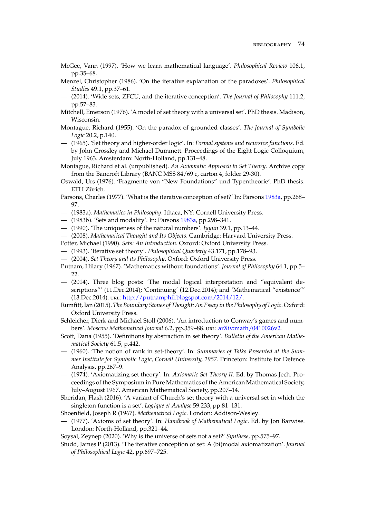- McGee, Vann (1997). 'How we learn mathematical language'. *Philosophical Review* 106.1, pp.35–68.
- Menzel, Christopher (1986). 'On the iterative explanation of the paradoxes'. *Philosophical Studies* 49.1, pp.37–61.
- (2014). 'Wide sets, ZFCU, and the iterative conception'. *The Journal of Philosophy* 111.2, pp.57–83.
- Mitchell, Emerson (1976). 'A model of set theory with a universal set'. PhD thesis. Madison, Wisconsin.
- Montague, Richard (1955). 'On the paradox of grounded classes'. *The Journal of Symbolic Logic* 20.2, p.140.
- (1965). 'Set theory and higher-order logic'. In: *Formal systems and recursive functions*. Ed. by John Crossley and Michael Dummett. Proceedings of the Eight Logic Colloquium, July 1963. Amsterdam: North-Holland, pp.131–48.
- Montague, Richard et al. (unpublished). *An Axiomatic Approach to Set Theory*. Archive copy from the Bancroft Library (BANC MSS 84/69 c, carton 4, folder 29-30).
- Oswald, Urs (1976). 'Fragmente von "New Foundations" und Typentheorie'. PhD thesis. ETH Zürich.
- <span id="page-73-0"></span>Parsons, Charles (1977). 'What is the iterative conception of set?' In: Parsons [1983a](#page-73-0), pp.268– 97.
- (1983a). *Mathematics in Philosophy*. Ithaca, NY: Cornell University Press.
- (1983b). 'Sets and modality'. In: Parsons [1983a,](#page-73-0) pp.298–341.
- (1990). 'The uniqueness of the natural numbers'. *Iyyun* 39.1, pp.13–44.
- (2008). *Mathematical Thought and Its Objects*. Cambridge: Harvard University Press.
- Potter, Michael (1990). *Sets: An Introduction*. Oxford: Oxford University Press.
- (1993). 'Iterative set theory'. *Philosophical Quarterly* 43.171, pp.178–93.
- (2004). *Set Theory and its Philosophy*. Oxford: Oxford University Press.
- Putnam, Hilary (1967). 'Mathematics without foundations'. *Journal of Philosophy* 64.1, pp.5– 22.
- (2014). Three blog posts: 'The modal logical interpretation and "equivalent descriptions"' (11.Dec.2014); 'Continuing' (12.Dec.2014); and 'Mathematical "existence"' (13.Dec.2014). url: [http://putnamphil.blogspot.com/2014/12/.](http://putnamphil.blogspot.com/2014/12/)
- Rumfitt, Ian (2015).*The Boundary Stones of Thought: An Essay in the Philosophy of Logic*. Oxford: Oxford University Press.
- Schleicher, Dierk and Michael Stoll (2006). 'An introduction to Conway's games and numbers'. Moscow Mathematical Journal 6.2, pp.359-88. url: [arXiv:math/0410026v2.](arXiv:math/0410026v2)
- Scott, Dana (1955). 'Definitions by abstraction in set theory'. *Bulletin of the American Mathematical Society* 61.5, p.442.
- (1960). 'The notion of rank in set-theory'. In: *Summaries of Talks Presented at the Summer Institute for Symbolic Logic, Cornell University, 1957*. Princeton: Institute for Defence Analysis, pp.267–9.
- (1974). 'Axiomatizing set theory'. In: *Axiomatic Set Theory II*. Ed. by Thomas Jech. Proceedings of the Symposium in Pure Mathematics of the American Mathematical Society, July–August 1967. American Mathematical Society, pp.207–14.
- Sheridan, Flash (2016). 'A variant of Church's set theory with a universal set in which the singleton function is a set'. *Logique et Analyse* 59.233, pp.81–131.
- Shoenfield, Joseph R (1967). *Mathematical Logic*. London: Addison-Wesley.
- (1977). 'Axioms of set theory'. In: *Handbook of Mathematical Logic*. Ed. by Jon Barwise. London: North-Holland, pp.321–44.

Soysal, Zeynep (2020). 'Why is the universe of sets not a set?' *Synthese*, pp.575–97.

Studd, James P (2013). 'The iterative conception of set: A (bi)modal axiomatization'. *Journal of Philosophical Logic* 42, pp.697–725.